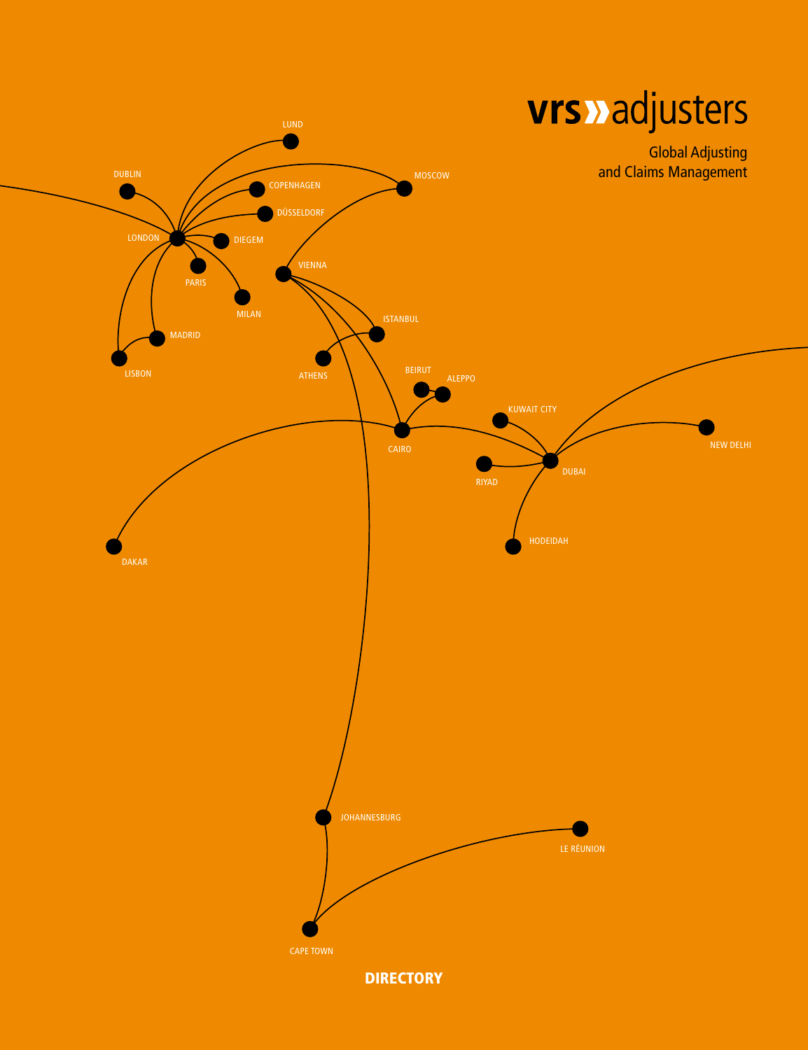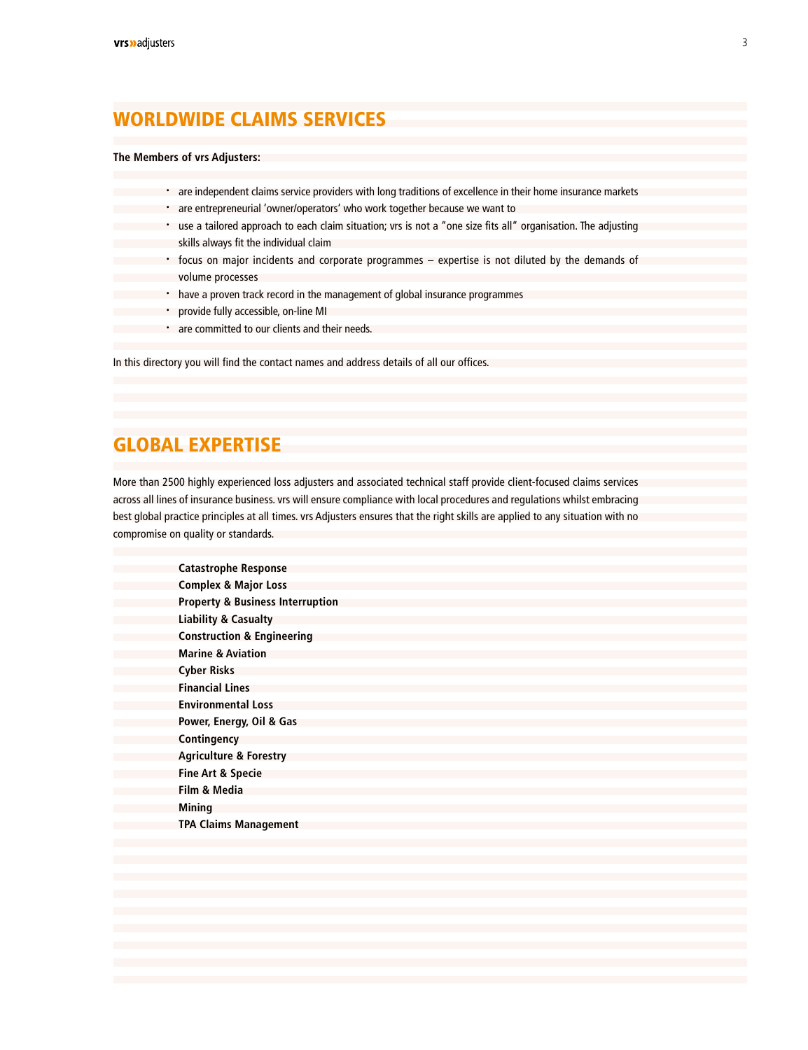### WORLDWIDE CLAIMS SERVICES

#### **The Members of vrs Adjusters:**

| are independent claims service providers with long traditions of excellence in their home insurance markets   |
|---------------------------------------------------------------------------------------------------------------|
| are entrepreneurial 'owner/operators' who work together because we want to                                    |
|                                                                                                               |
| use a tailored approach to each claim situation; vrs is not a "one size fits all" organisation. The adjusting |
| skills always fit the individual claim                                                                        |
|                                                                                                               |
| • focus on major incidents and corporate programmes – expertise is not diluted by the demands of              |
|                                                                                                               |
| volume processes                                                                                              |
| have a proven track record in the management of global insurance programmes                                   |
|                                                                                                               |
| provide fully accessible, on-line MI                                                                          |
|                                                                                                               |
| are committed to our clients and their needs.                                                                 |
|                                                                                                               |

In this directory you will find the contact names and address details of all our offices.

### GLOBAL EXPERTISE

More than 2500 highly experienced loss adjusters and associated technical staff provide client-focused claims services across all lines of insurance business. vrs will ensure compliance with local procedures and regulations whilst embracing best global practice principles at all times. vrs Adjusters ensures that the right skills are applied to any situation with no compromise on quality or standards.

| <b>Catastrophe Response</b>                 |
|---------------------------------------------|
| <b>Complex &amp; Major Loss</b>             |
| <b>Property &amp; Business Interruption</b> |
| <b>Liability &amp; Casualty</b>             |
| <b>Construction &amp; Engineering</b>       |
| <b>Marine &amp; Aviation</b>                |
| Cyber Risks                                 |
| <b>Financial Lines</b>                      |
| <b>Environmental Loss</b>                   |
| Power, Energy, Oil & Gas                    |
| Contingency                                 |
| <b>Agriculture &amp; Forestry</b>           |
| <b>Fine Art &amp; Specie</b>                |
| Film & Media                                |
| Mining                                      |
| <b>TPA Claims Management</b>                |
|                                             |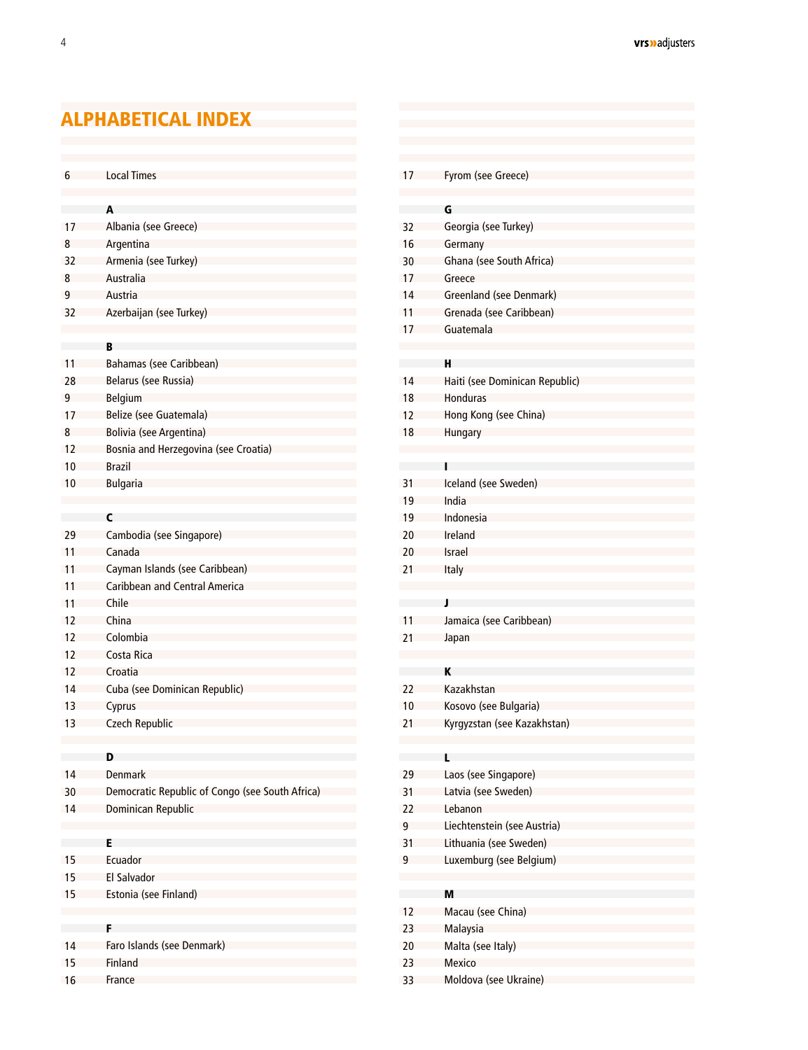## <span id="page-2-0"></span>ALPHABETICAL INDEX

| <b>Local Times</b><br>Fyrom (see Greece)<br>6<br>17<br>G<br>A<br><b>Contract</b><br>Albania (see Greece)<br>Georgia (see Turkey)<br>17<br>32<br>Argentina<br>Germany<br>16<br>8<br>Armenia (see Turkey)<br>Ghana (see South Africa)<br>30<br>32<br>Australia<br>8<br>Greece<br>17<br>9<br>Austria<br>14<br>Greenland (see Denmark)<br>Azerbaijan (see Turkey)<br>11<br>Grenada (see Caribbean)<br>32<br>Guatemala<br>17<br>B<br>Bahamas (see Caribbean)<br>н<br>in a<br>Belarus (see Russia)<br>14<br>Haiti (see Dominican Republic)<br>28<br>9<br>Belgium<br>18<br><b>Honduras</b><br>Belize (see Guatemala)<br>12<br>Hong Kong (see China)<br>17<br>8<br><b>Bolivia (see Argentina)</b><br>18<br>Hungary<br>Bosnia and Herzegovina (see Croatia)<br>12<br><b>Brazil</b><br>10<br>Iceland (see Sweden)<br><b>Bulgaria</b><br>31<br>10<br>India<br>19<br>$\mathsf{C}$<br>Indonesia<br>19<br>Cambodia (see Singapore)<br>Ireland<br>29<br>20<br>Canada<br>11<br>20<br>Israel<br>Cayman Islands (see Caribbean)<br>Italy<br>11<br>21<br>Caribbean and Central America<br>11<br>Chile<br>11<br>J<br>China<br>Jamaica (see Caribbean)<br>12<br>11<br>Colombia<br>12<br>21<br>Japan<br>12<br>Costa Rica<br>K<br>12<br>Croatia<br>Kazakhstan<br>Cuba (see Dominican Republic)<br>14<br>22<br>Cyprus<br>10<br>Kosovo (see Bulgaria)<br>13<br><b>Czech Republic</b><br>21<br>Kyrgyzstan (see Kazakhstan)<br>D<br>L<br>Denmark<br>Laos (see Singapore)<br>29<br>14<br>30<br>31<br>Democratic Republic of Congo (see South Africa)<br>Latvia (see Sweden)<br>Dominican Republic<br>14<br>22<br>Lebanon<br>Liechtenstein (see Austria)<br>9<br>E<br>Lithuania (see Sweden)<br>31<br>Ecuador<br>Luxemburg (see Belgium)<br>15<br>9<br>15<br>El Salvador<br>Estonia (see Finland)<br>15<br>M<br><b>Common</b><br>Macau (see China)<br>12<br>F<br>23<br>Malaysia<br>Faro Islands (see Denmark)<br>14<br>20<br>Malta (see Italy)<br>15<br>Mexico<br>Finland<br>23<br>Moldova (see Ukraine)<br>16<br>France<br>33 |    |  |  |
|---------------------------------------------------------------------------------------------------------------------------------------------------------------------------------------------------------------------------------------------------------------------------------------------------------------------------------------------------------------------------------------------------------------------------------------------------------------------------------------------------------------------------------------------------------------------------------------------------------------------------------------------------------------------------------------------------------------------------------------------------------------------------------------------------------------------------------------------------------------------------------------------------------------------------------------------------------------------------------------------------------------------------------------------------------------------------------------------------------------------------------------------------------------------------------------------------------------------------------------------------------------------------------------------------------------------------------------------------------------------------------------------------------------------------------------------------------------------------------------------------------------------------------------------------------------------------------------------------------------------------------------------------------------------------------------------------------------------------------------------------------------------------------------------------------------------------------------------------------------------------------------------------------------------------------------------------------------------------------------------------|----|--|--|
|                                                                                                                                                                                                                                                                                                                                                                                                                                                                                                                                                                                                                                                                                                                                                                                                                                                                                                                                                                                                                                                                                                                                                                                                                                                                                                                                                                                                                                                                                                                                                                                                                                                                                                                                                                                                                                                                                                                                                                                                   |    |  |  |
|                                                                                                                                                                                                                                                                                                                                                                                                                                                                                                                                                                                                                                                                                                                                                                                                                                                                                                                                                                                                                                                                                                                                                                                                                                                                                                                                                                                                                                                                                                                                                                                                                                                                                                                                                                                                                                                                                                                                                                                                   |    |  |  |
|                                                                                                                                                                                                                                                                                                                                                                                                                                                                                                                                                                                                                                                                                                                                                                                                                                                                                                                                                                                                                                                                                                                                                                                                                                                                                                                                                                                                                                                                                                                                                                                                                                                                                                                                                                                                                                                                                                                                                                                                   |    |  |  |
|                                                                                                                                                                                                                                                                                                                                                                                                                                                                                                                                                                                                                                                                                                                                                                                                                                                                                                                                                                                                                                                                                                                                                                                                                                                                                                                                                                                                                                                                                                                                                                                                                                                                                                                                                                                                                                                                                                                                                                                                   |    |  |  |
|                                                                                                                                                                                                                                                                                                                                                                                                                                                                                                                                                                                                                                                                                                                                                                                                                                                                                                                                                                                                                                                                                                                                                                                                                                                                                                                                                                                                                                                                                                                                                                                                                                                                                                                                                                                                                                                                                                                                                                                                   |    |  |  |
|                                                                                                                                                                                                                                                                                                                                                                                                                                                                                                                                                                                                                                                                                                                                                                                                                                                                                                                                                                                                                                                                                                                                                                                                                                                                                                                                                                                                                                                                                                                                                                                                                                                                                                                                                                                                                                                                                                                                                                                                   |    |  |  |
|                                                                                                                                                                                                                                                                                                                                                                                                                                                                                                                                                                                                                                                                                                                                                                                                                                                                                                                                                                                                                                                                                                                                                                                                                                                                                                                                                                                                                                                                                                                                                                                                                                                                                                                                                                                                                                                                                                                                                                                                   |    |  |  |
|                                                                                                                                                                                                                                                                                                                                                                                                                                                                                                                                                                                                                                                                                                                                                                                                                                                                                                                                                                                                                                                                                                                                                                                                                                                                                                                                                                                                                                                                                                                                                                                                                                                                                                                                                                                                                                                                                                                                                                                                   |    |  |  |
|                                                                                                                                                                                                                                                                                                                                                                                                                                                                                                                                                                                                                                                                                                                                                                                                                                                                                                                                                                                                                                                                                                                                                                                                                                                                                                                                                                                                                                                                                                                                                                                                                                                                                                                                                                                                                                                                                                                                                                                                   |    |  |  |
|                                                                                                                                                                                                                                                                                                                                                                                                                                                                                                                                                                                                                                                                                                                                                                                                                                                                                                                                                                                                                                                                                                                                                                                                                                                                                                                                                                                                                                                                                                                                                                                                                                                                                                                                                                                                                                                                                                                                                                                                   |    |  |  |
|                                                                                                                                                                                                                                                                                                                                                                                                                                                                                                                                                                                                                                                                                                                                                                                                                                                                                                                                                                                                                                                                                                                                                                                                                                                                                                                                                                                                                                                                                                                                                                                                                                                                                                                                                                                                                                                                                                                                                                                                   |    |  |  |
|                                                                                                                                                                                                                                                                                                                                                                                                                                                                                                                                                                                                                                                                                                                                                                                                                                                                                                                                                                                                                                                                                                                                                                                                                                                                                                                                                                                                                                                                                                                                                                                                                                                                                                                                                                                                                                                                                                                                                                                                   | 11 |  |  |
|                                                                                                                                                                                                                                                                                                                                                                                                                                                                                                                                                                                                                                                                                                                                                                                                                                                                                                                                                                                                                                                                                                                                                                                                                                                                                                                                                                                                                                                                                                                                                                                                                                                                                                                                                                                                                                                                                                                                                                                                   |    |  |  |
|                                                                                                                                                                                                                                                                                                                                                                                                                                                                                                                                                                                                                                                                                                                                                                                                                                                                                                                                                                                                                                                                                                                                                                                                                                                                                                                                                                                                                                                                                                                                                                                                                                                                                                                                                                                                                                                                                                                                                                                                   |    |  |  |
|                                                                                                                                                                                                                                                                                                                                                                                                                                                                                                                                                                                                                                                                                                                                                                                                                                                                                                                                                                                                                                                                                                                                                                                                                                                                                                                                                                                                                                                                                                                                                                                                                                                                                                                                                                                                                                                                                                                                                                                                   |    |  |  |
|                                                                                                                                                                                                                                                                                                                                                                                                                                                                                                                                                                                                                                                                                                                                                                                                                                                                                                                                                                                                                                                                                                                                                                                                                                                                                                                                                                                                                                                                                                                                                                                                                                                                                                                                                                                                                                                                                                                                                                                                   |    |  |  |
|                                                                                                                                                                                                                                                                                                                                                                                                                                                                                                                                                                                                                                                                                                                                                                                                                                                                                                                                                                                                                                                                                                                                                                                                                                                                                                                                                                                                                                                                                                                                                                                                                                                                                                                                                                                                                                                                                                                                                                                                   |    |  |  |
|                                                                                                                                                                                                                                                                                                                                                                                                                                                                                                                                                                                                                                                                                                                                                                                                                                                                                                                                                                                                                                                                                                                                                                                                                                                                                                                                                                                                                                                                                                                                                                                                                                                                                                                                                                                                                                                                                                                                                                                                   |    |  |  |
|                                                                                                                                                                                                                                                                                                                                                                                                                                                                                                                                                                                                                                                                                                                                                                                                                                                                                                                                                                                                                                                                                                                                                                                                                                                                                                                                                                                                                                                                                                                                                                                                                                                                                                                                                                                                                                                                                                                                                                                                   |    |  |  |
|                                                                                                                                                                                                                                                                                                                                                                                                                                                                                                                                                                                                                                                                                                                                                                                                                                                                                                                                                                                                                                                                                                                                                                                                                                                                                                                                                                                                                                                                                                                                                                                                                                                                                                                                                                                                                                                                                                                                                                                                   |    |  |  |
|                                                                                                                                                                                                                                                                                                                                                                                                                                                                                                                                                                                                                                                                                                                                                                                                                                                                                                                                                                                                                                                                                                                                                                                                                                                                                                                                                                                                                                                                                                                                                                                                                                                                                                                                                                                                                                                                                                                                                                                                   |    |  |  |
|                                                                                                                                                                                                                                                                                                                                                                                                                                                                                                                                                                                                                                                                                                                                                                                                                                                                                                                                                                                                                                                                                                                                                                                                                                                                                                                                                                                                                                                                                                                                                                                                                                                                                                                                                                                                                                                                                                                                                                                                   |    |  |  |
|                                                                                                                                                                                                                                                                                                                                                                                                                                                                                                                                                                                                                                                                                                                                                                                                                                                                                                                                                                                                                                                                                                                                                                                                                                                                                                                                                                                                                                                                                                                                                                                                                                                                                                                                                                                                                                                                                                                                                                                                   |    |  |  |
|                                                                                                                                                                                                                                                                                                                                                                                                                                                                                                                                                                                                                                                                                                                                                                                                                                                                                                                                                                                                                                                                                                                                                                                                                                                                                                                                                                                                                                                                                                                                                                                                                                                                                                                                                                                                                                                                                                                                                                                                   |    |  |  |
|                                                                                                                                                                                                                                                                                                                                                                                                                                                                                                                                                                                                                                                                                                                                                                                                                                                                                                                                                                                                                                                                                                                                                                                                                                                                                                                                                                                                                                                                                                                                                                                                                                                                                                                                                                                                                                                                                                                                                                                                   |    |  |  |
|                                                                                                                                                                                                                                                                                                                                                                                                                                                                                                                                                                                                                                                                                                                                                                                                                                                                                                                                                                                                                                                                                                                                                                                                                                                                                                                                                                                                                                                                                                                                                                                                                                                                                                                                                                                                                                                                                                                                                                                                   |    |  |  |
|                                                                                                                                                                                                                                                                                                                                                                                                                                                                                                                                                                                                                                                                                                                                                                                                                                                                                                                                                                                                                                                                                                                                                                                                                                                                                                                                                                                                                                                                                                                                                                                                                                                                                                                                                                                                                                                                                                                                                                                                   |    |  |  |
|                                                                                                                                                                                                                                                                                                                                                                                                                                                                                                                                                                                                                                                                                                                                                                                                                                                                                                                                                                                                                                                                                                                                                                                                                                                                                                                                                                                                                                                                                                                                                                                                                                                                                                                                                                                                                                                                                                                                                                                                   |    |  |  |
|                                                                                                                                                                                                                                                                                                                                                                                                                                                                                                                                                                                                                                                                                                                                                                                                                                                                                                                                                                                                                                                                                                                                                                                                                                                                                                                                                                                                                                                                                                                                                                                                                                                                                                                                                                                                                                                                                                                                                                                                   |    |  |  |
|                                                                                                                                                                                                                                                                                                                                                                                                                                                                                                                                                                                                                                                                                                                                                                                                                                                                                                                                                                                                                                                                                                                                                                                                                                                                                                                                                                                                                                                                                                                                                                                                                                                                                                                                                                                                                                                                                                                                                                                                   |    |  |  |
|                                                                                                                                                                                                                                                                                                                                                                                                                                                                                                                                                                                                                                                                                                                                                                                                                                                                                                                                                                                                                                                                                                                                                                                                                                                                                                                                                                                                                                                                                                                                                                                                                                                                                                                                                                                                                                                                                                                                                                                                   |    |  |  |
|                                                                                                                                                                                                                                                                                                                                                                                                                                                                                                                                                                                                                                                                                                                                                                                                                                                                                                                                                                                                                                                                                                                                                                                                                                                                                                                                                                                                                                                                                                                                                                                                                                                                                                                                                                                                                                                                                                                                                                                                   |    |  |  |
|                                                                                                                                                                                                                                                                                                                                                                                                                                                                                                                                                                                                                                                                                                                                                                                                                                                                                                                                                                                                                                                                                                                                                                                                                                                                                                                                                                                                                                                                                                                                                                                                                                                                                                                                                                                                                                                                                                                                                                                                   |    |  |  |
|                                                                                                                                                                                                                                                                                                                                                                                                                                                                                                                                                                                                                                                                                                                                                                                                                                                                                                                                                                                                                                                                                                                                                                                                                                                                                                                                                                                                                                                                                                                                                                                                                                                                                                                                                                                                                                                                                                                                                                                                   | 13 |  |  |
|                                                                                                                                                                                                                                                                                                                                                                                                                                                                                                                                                                                                                                                                                                                                                                                                                                                                                                                                                                                                                                                                                                                                                                                                                                                                                                                                                                                                                                                                                                                                                                                                                                                                                                                                                                                                                                                                                                                                                                                                   |    |  |  |
|                                                                                                                                                                                                                                                                                                                                                                                                                                                                                                                                                                                                                                                                                                                                                                                                                                                                                                                                                                                                                                                                                                                                                                                                                                                                                                                                                                                                                                                                                                                                                                                                                                                                                                                                                                                                                                                                                                                                                                                                   |    |  |  |
|                                                                                                                                                                                                                                                                                                                                                                                                                                                                                                                                                                                                                                                                                                                                                                                                                                                                                                                                                                                                                                                                                                                                                                                                                                                                                                                                                                                                                                                                                                                                                                                                                                                                                                                                                                                                                                                                                                                                                                                                   |    |  |  |
|                                                                                                                                                                                                                                                                                                                                                                                                                                                                                                                                                                                                                                                                                                                                                                                                                                                                                                                                                                                                                                                                                                                                                                                                                                                                                                                                                                                                                                                                                                                                                                                                                                                                                                                                                                                                                                                                                                                                                                                                   |    |  |  |
|                                                                                                                                                                                                                                                                                                                                                                                                                                                                                                                                                                                                                                                                                                                                                                                                                                                                                                                                                                                                                                                                                                                                                                                                                                                                                                                                                                                                                                                                                                                                                                                                                                                                                                                                                                                                                                                                                                                                                                                                   |    |  |  |
|                                                                                                                                                                                                                                                                                                                                                                                                                                                                                                                                                                                                                                                                                                                                                                                                                                                                                                                                                                                                                                                                                                                                                                                                                                                                                                                                                                                                                                                                                                                                                                                                                                                                                                                                                                                                                                                                                                                                                                                                   |    |  |  |
|                                                                                                                                                                                                                                                                                                                                                                                                                                                                                                                                                                                                                                                                                                                                                                                                                                                                                                                                                                                                                                                                                                                                                                                                                                                                                                                                                                                                                                                                                                                                                                                                                                                                                                                                                                                                                                                                                                                                                                                                   |    |  |  |
|                                                                                                                                                                                                                                                                                                                                                                                                                                                                                                                                                                                                                                                                                                                                                                                                                                                                                                                                                                                                                                                                                                                                                                                                                                                                                                                                                                                                                                                                                                                                                                                                                                                                                                                                                                                                                                                                                                                                                                                                   |    |  |  |
|                                                                                                                                                                                                                                                                                                                                                                                                                                                                                                                                                                                                                                                                                                                                                                                                                                                                                                                                                                                                                                                                                                                                                                                                                                                                                                                                                                                                                                                                                                                                                                                                                                                                                                                                                                                                                                                                                                                                                                                                   |    |  |  |
|                                                                                                                                                                                                                                                                                                                                                                                                                                                                                                                                                                                                                                                                                                                                                                                                                                                                                                                                                                                                                                                                                                                                                                                                                                                                                                                                                                                                                                                                                                                                                                                                                                                                                                                                                                                                                                                                                                                                                                                                   |    |  |  |
|                                                                                                                                                                                                                                                                                                                                                                                                                                                                                                                                                                                                                                                                                                                                                                                                                                                                                                                                                                                                                                                                                                                                                                                                                                                                                                                                                                                                                                                                                                                                                                                                                                                                                                                                                                                                                                                                                                                                                                                                   |    |  |  |
|                                                                                                                                                                                                                                                                                                                                                                                                                                                                                                                                                                                                                                                                                                                                                                                                                                                                                                                                                                                                                                                                                                                                                                                                                                                                                                                                                                                                                                                                                                                                                                                                                                                                                                                                                                                                                                                                                                                                                                                                   |    |  |  |
|                                                                                                                                                                                                                                                                                                                                                                                                                                                                                                                                                                                                                                                                                                                                                                                                                                                                                                                                                                                                                                                                                                                                                                                                                                                                                                                                                                                                                                                                                                                                                                                                                                                                                                                                                                                                                                                                                                                                                                                                   |    |  |  |
|                                                                                                                                                                                                                                                                                                                                                                                                                                                                                                                                                                                                                                                                                                                                                                                                                                                                                                                                                                                                                                                                                                                                                                                                                                                                                                                                                                                                                                                                                                                                                                                                                                                                                                                                                                                                                                                                                                                                                                                                   |    |  |  |
|                                                                                                                                                                                                                                                                                                                                                                                                                                                                                                                                                                                                                                                                                                                                                                                                                                                                                                                                                                                                                                                                                                                                                                                                                                                                                                                                                                                                                                                                                                                                                                                                                                                                                                                                                                                                                                                                                                                                                                                                   |    |  |  |
|                                                                                                                                                                                                                                                                                                                                                                                                                                                                                                                                                                                                                                                                                                                                                                                                                                                                                                                                                                                                                                                                                                                                                                                                                                                                                                                                                                                                                                                                                                                                                                                                                                                                                                                                                                                                                                                                                                                                                                                                   |    |  |  |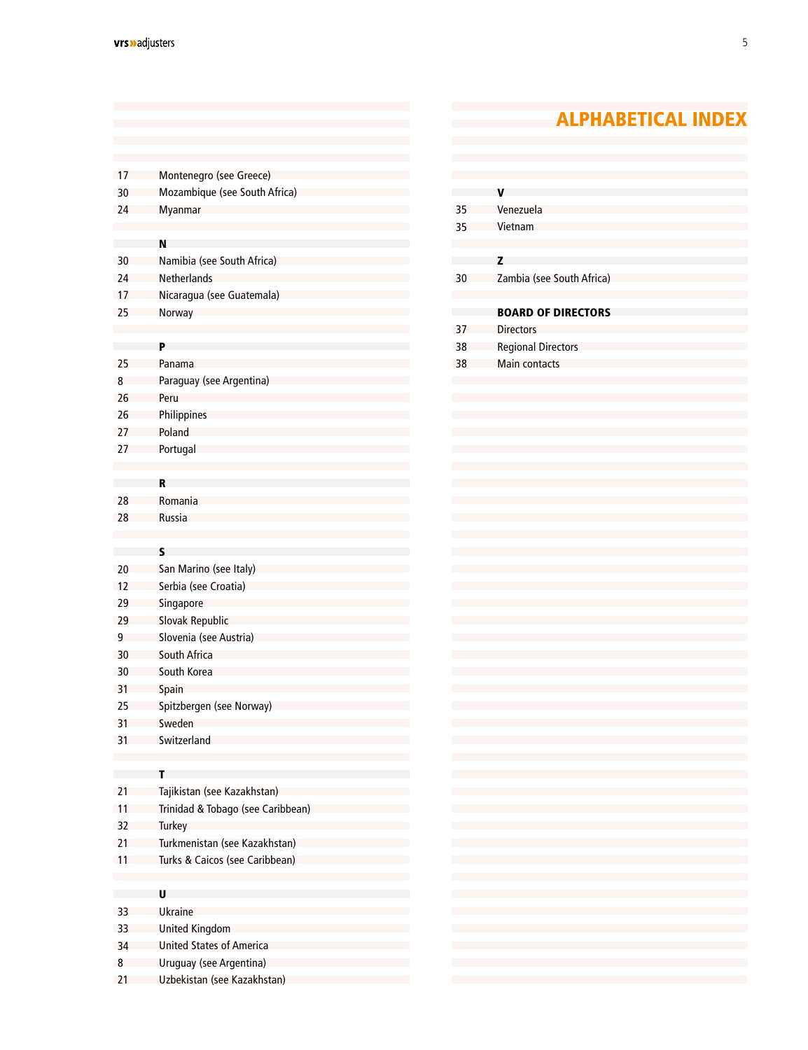### ALPHABETICAL INDEX

| -17        | Montenegro (see Greece)                        |
|------------|------------------------------------------------|
| -30        | Mozambique (see South Africa)                  |
| 24         | Myanmar                                        |
|            |                                                |
|            | N                                              |
| -30        | Namibia (see South Africa)                     |
| 24         | Netherlands                                    |
| 17         | Nicaragua (see Guatemala)                      |
| 25         | Norway                                         |
|            |                                                |
|            | P                                              |
| -25        | Panama                                         |
| 8          | Paraguay (see Argentina)                       |
| -26        | Peru                                           |
| -26        | Philippines                                    |
| 27         | Poland                                         |
| 27         | Portugal                                       |
|            |                                                |
|            | R                                              |
| -28        | Romania                                        |
| 28         | Russia                                         |
|            |                                                |
|            | S                                              |
| -20        | San Marino (see Italy)<br>Serbia (see Croatia) |
| -12<br>-29 | Singapore                                      |
| -29        |                                                |
| 9          | Slovak Republic<br>Slovenia (see Austria)      |
| -30        | South Africa                                   |
| -30        | South Korea                                    |
| -31        | Spain                                          |
| -25        | Spitzbergen (see Norway)                       |
| 31         | Sweden                                         |
| 31         | Switzerland                                    |
|            |                                                |
|            | т                                              |
| 21         | Tajikistan (see Kazakhstan)                    |
| 11         | Trinidad & Tobago (see Caribbean)              |
| 32         | Turkey                                         |
| 21         | Turkmenistan (see Kazakhstan)                  |
| 11         | Turks & Caicos (see Caribbean)                 |
|            |                                                |
|            | U                                              |
| 33         | <b>Ukraine</b>                                 |
| 33         | <b>United Kingdom</b>                          |
| 34         | <b>United States of America</b>                |
| 8          | Uruguay (see Argentina)                        |
| 21         | Uzbekistan (see Kazakhstan)                    |

|    | v                                                                                                                                                                                                                                                                                                                                                                                                                                                           |
|----|-------------------------------------------------------------------------------------------------------------------------------------------------------------------------------------------------------------------------------------------------------------------------------------------------------------------------------------------------------------------------------------------------------------------------------------------------------------|
| 35 | Venezuela                                                                                                                                                                                                                                                                                                                                                                                                                                                   |
| 35 | Vietnam                                                                                                                                                                                                                                                                                                                                                                                                                                                     |
|    |                                                                                                                                                                                                                                                                                                                                                                                                                                                             |
|    | z                                                                                                                                                                                                                                                                                                                                                                                                                                                           |
| 30 | Zambia (see South Africa)                                                                                                                                                                                                                                                                                                                                                                                                                                   |
|    |                                                                                                                                                                                                                                                                                                                                                                                                                                                             |
|    | <b>BOARD OF DIRECTORS</b>                                                                                                                                                                                                                                                                                                                                                                                                                                   |
| 37 | <b>Directors</b>                                                                                                                                                                                                                                                                                                                                                                                                                                            |
| 38 | <b>Regional Directors</b>                                                                                                                                                                                                                                                                                                                                                                                                                                   |
| 38 | Main contacts                                                                                                                                                                                                                                                                                                                                                                                                                                               |
|    |                                                                                                                                                                                                                                                                                                                                                                                                                                                             |
|    |                                                                                                                                                                                                                                                                                                                                                                                                                                                             |
|    |                                                                                                                                                                                                                                                                                                                                                                                                                                                             |
|    |                                                                                                                                                                                                                                                                                                                                                                                                                                                             |
|    |                                                                                                                                                                                                                                                                                                                                                                                                                                                             |
|    |                                                                                                                                                                                                                                                                                                                                                                                                                                                             |
|    |                                                                                                                                                                                                                                                                                                                                                                                                                                                             |
|    |                                                                                                                                                                                                                                                                                                                                                                                                                                                             |
|    |                                                                                                                                                                                                                                                                                                                                                                                                                                                             |
|    |                                                                                                                                                                                                                                                                                                                                                                                                                                                             |
|    |                                                                                                                                                                                                                                                                                                                                                                                                                                                             |
|    |                                                                                                                                                                                                                                                                                                                                                                                                                                                             |
|    |                                                                                                                                                                                                                                                                                                                                                                                                                                                             |
|    |                                                                                                                                                                                                                                                                                                                                                                                                                                                             |
|    |                                                                                                                                                                                                                                                                                                                                                                                                                                                             |
|    |                                                                                                                                                                                                                                                                                                                                                                                                                                                             |
|    |                                                                                                                                                                                                                                                                                                                                                                                                                                                             |
|    |                                                                                                                                                                                                                                                                                                                                                                                                                                                             |
|    |                                                                                                                                                                                                                                                                                                                                                                                                                                                             |
|    |                                                                                                                                                                                                                                                                                                                                                                                                                                                             |
|    |                                                                                                                                                                                                                                                                                                                                                                                                                                                             |
|    |                                                                                                                                                                                                                                                                                                                                                                                                                                                             |
|    |                                                                                                                                                                                                                                                                                                                                                                                                                                                             |
|    |                                                                                                                                                                                                                                                                                                                                                                                                                                                             |
|    |                                                                                                                                                                                                                                                                                                                                                                                                                                                             |
|    |                                                                                                                                                                                                                                                                                                                                                                                                                                                             |
|    |                                                                                                                                                                                                                                                                                                                                                                                                                                                             |
|    |                                                                                                                                                                                                                                                                                                                                                                                                                                                             |
|    | $\mathcal{L}(\mathcal{L}(\mathcal{L}(\mathcal{L}(\mathcal{L}(\mathcal{L}(\mathcal{L}(\mathcal{L}(\mathcal{L}(\mathcal{L}(\mathcal{L}(\mathcal{L}(\mathcal{L}(\mathcal{L}(\mathcal{L}(\mathcal{L}(\mathcal{L}(\mathcal{L}(\mathcal{L}(\mathcal{L}(\mathcal{L}(\mathcal{L}(\mathcal{L}(\mathcal{L}(\mathcal{L}(\mathcal{L}(\mathcal{L}(\mathcal{L}(\mathcal{L}(\mathcal{L}(\mathcal{L}(\mathcal{L}(\mathcal{L}(\mathcal{L}(\mathcal{L}(\mathcal{L}(\mathcal{$ |
|    | $\mathcal{L}(\mathcal{L}(\mathcal{L}(\mathcal{L}(\mathcal{L}(\mathcal{L}(\mathcal{L}(\mathcal{L}(\mathcal{L}(\mathcal{L}(\mathcal{L}(\mathcal{L}(\mathcal{L}(\mathcal{L}(\mathcal{L}(\mathcal{L}(\mathcal{L}(\mathcal{L}(\mathcal{L}(\mathcal{L}(\mathcal{L}(\mathcal{L}(\mathcal{L}(\mathcal{L}(\mathcal{L}(\mathcal{L}(\mathcal{L}(\mathcal{L}(\mathcal{L}(\mathcal{L}(\mathcal{L}(\mathcal{L}(\mathcal{L}(\mathcal{L}(\mathcal{L}(\mathcal{L}(\mathcal{$ |
|    | $\mathcal{L}(\mathcal{L}(\mathcal{L}(\mathcal{L}(\mathcal{L}(\mathcal{L}(\mathcal{L}(\mathcal{L}(\mathcal{L}(\mathcal{L}(\mathcal{L}(\mathcal{L}(\mathcal{L}(\mathcal{L}(\mathcal{L}(\mathcal{L}(\mathcal{L}(\mathcal{L}(\mathcal{L}(\mathcal{L}(\mathcal{L}(\mathcal{L}(\mathcal{L}(\mathcal{L}(\mathcal{L}(\mathcal{L}(\mathcal{L}(\mathcal{L}(\mathcal{L}(\mathcal{L}(\mathcal{L}(\mathcal{L}(\mathcal{L}(\mathcal{L}(\mathcal{L}(\mathcal{L}(\mathcal{$ |
|    | $\mathcal{L}(\mathcal{L}(\mathcal{L}(\mathcal{L}(\mathcal{L}(\mathcal{L}(\mathcal{L}(\mathcal{L}(\mathcal{L}(\mathcal{L}(\mathcal{L}(\mathcal{L}(\mathcal{L}(\mathcal{L}(\mathcal{L}(\mathcal{L}(\mathcal{L}(\mathcal{L}(\mathcal{L}(\mathcal{L}(\mathcal{L}(\mathcal{L}(\mathcal{L}(\mathcal{L}(\mathcal{L}(\mathcal{L}(\mathcal{L}(\mathcal{L}(\mathcal{L}(\mathcal{L}(\mathcal{L}(\mathcal{L}(\mathcal{L}(\mathcal{L}(\mathcal{L}(\mathcal{L}(\mathcal{$ |
|    | $\mathcal{L}(\mathcal{L}(\mathcal{L}(\mathcal{L}(\mathcal{L}(\mathcal{L}(\mathcal{L}(\mathcal{L}(\mathcal{L}(\mathcal{L}(\mathcal{L}(\mathcal{L}(\mathcal{L}(\mathcal{L}(\mathcal{L}(\mathcal{L}(\mathcal{L}(\mathcal{L}(\mathcal{L}(\mathcal{L}(\mathcal{L}(\mathcal{L}(\mathcal{L}(\mathcal{L}(\mathcal{L}(\mathcal{L}(\mathcal{L}(\mathcal{L}(\mathcal{L}(\mathcal{L}(\mathcal{L}(\mathcal{L}(\mathcal{L}(\mathcal{L}(\mathcal{L}(\mathcal{L}(\mathcal{$ |
|    | $\mathcal{L}(\mathcal{L}(\mathcal{L}(\mathcal{L}(\mathcal{L}(\mathcal{L}(\mathcal{L}(\mathcal{L}(\mathcal{L}(\mathcal{L}(\mathcal{L}(\mathcal{L}(\mathcal{L}(\mathcal{L}(\mathcal{L}(\mathcal{L}(\mathcal{L}(\mathcal{L}(\mathcal{L}(\mathcal{L}(\mathcal{L}(\mathcal{L}(\mathcal{L}(\mathcal{L}(\mathcal{L}(\mathcal{L}(\mathcal{L}(\mathcal{L}(\mathcal{L}(\mathcal{L}(\mathcal{L}(\mathcal{L}(\mathcal{L}(\mathcal{L}(\mathcal{L}(\mathcal{L}(\mathcal{$ |
|    | $\mathcal{L}^{\mathcal{L}}(\mathcal{L}^{\mathcal{L}}(\mathcal{L}^{\mathcal{L}}(\mathcal{L}^{\mathcal{L}}(\mathcal{L}^{\mathcal{L}}(\mathcal{L}^{\mathcal{L}}(\mathcal{L}^{\mathcal{L}}(\mathcal{L}^{\mathcal{L}}(\mathcal{L}^{\mathcal{L}}(\mathcal{L}^{\mathcal{L}}(\mathcal{L}^{\mathcal{L}}(\mathcal{L}^{\mathcal{L}}(\mathcal{L}^{\mathcal{L}}(\mathcal{L}^{\mathcal{L}}(\mathcal{L}^{\mathcal{L}}(\mathcal{L}^{\mathcal{L}}(\mathcal{L}^{\mathcal{L$   |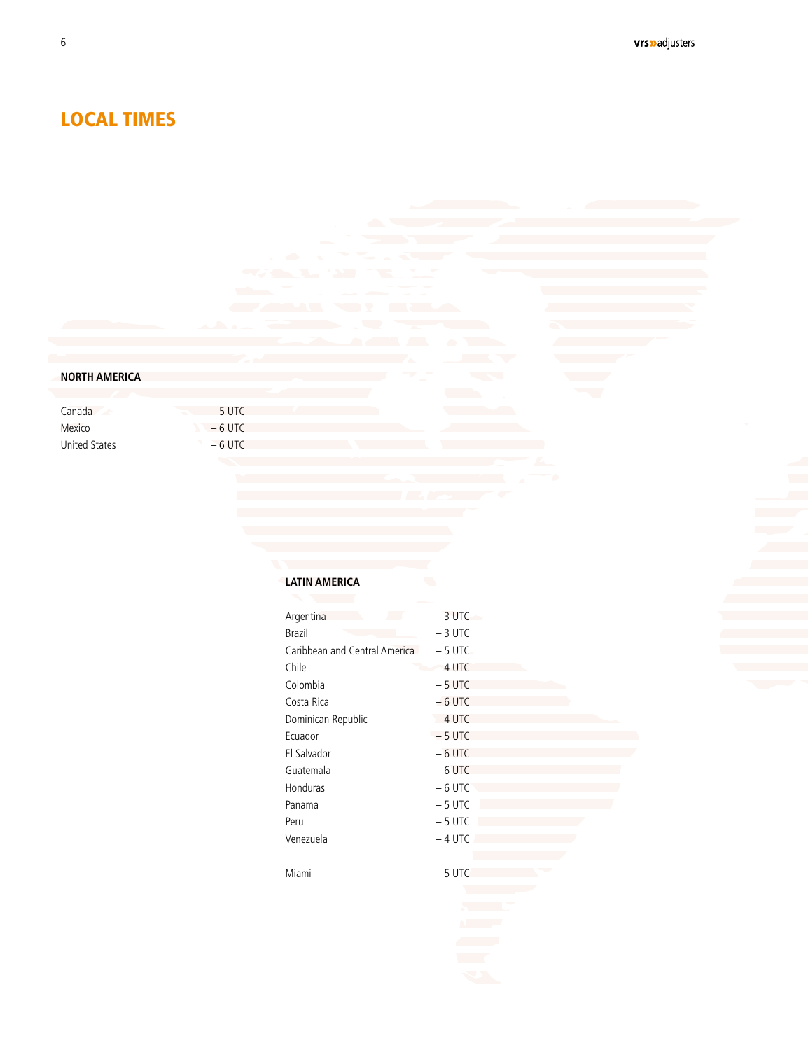### LOCAL TIMES

<span id="page-4-0"></span>6

#### **NORTH AMERICA**

Canada Mexico United States  $-5$  UTC  $-6$  UTC  $-6$  UTC

#### **LATIN AMERICA**

| Argentina                     | $-3$ UTC |
|-------------------------------|----------|
| Brazil                        | $-3$ UTC |
| Caribbean and Central America | $-5$ UTC |
| Chile                         | $-4$ UTC |
| Colombia                      | $-5$ UTC |
| Costa Rica                    | $-6$ UTC |
| Dominican Republic            | $-4$ UTC |
| Ecuador                       | $-5$ UTC |
| El Salvador                   | $-6$ UTC |
| Guatemala                     | $-6$ UTC |
| <b>Honduras</b>               | $-6$ UTC |
| Panama                        | $-5$ UTC |
| Peru                          | $-5$ UTC |
| Venezuela                     | $-4$ UTC |
|                               |          |
| Miami                         | $-5$ UTC |
|                               |          |
|                               |          |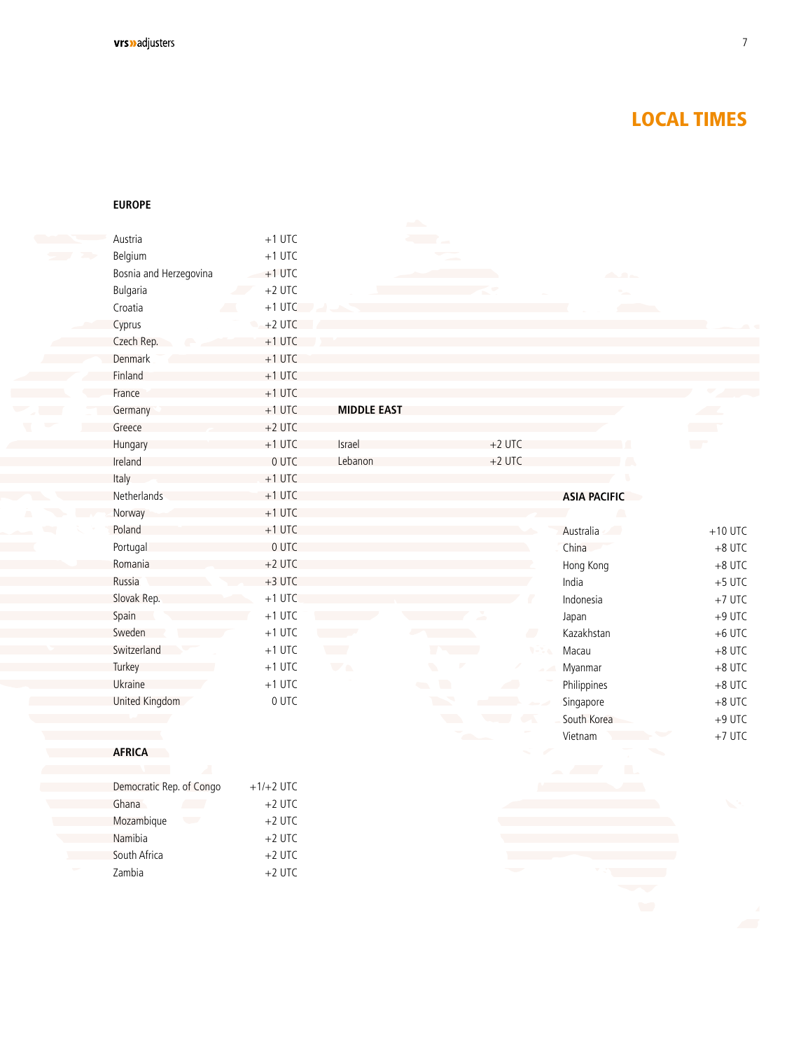### LOCAL TIMES

#### **EUROPE**

Namibia **South Africa** Zambia

| Austria                  | $+1$ UTC                |                            |                          |                             |                             |
|--------------------------|-------------------------|----------------------------|--------------------------|-----------------------------|-----------------------------|
| Belgium                  | $+1$ UTC                |                            |                          |                             |                             |
| Bosnia and Herzegovina   | $+1$ UTC                |                            |                          | $\mathcal{L}_{\mathcal{A}}$ |                             |
| Bulgaria                 | $+2$ UTC<br><b>Alla</b> |                            |                          |                             |                             |
| Croatia                  | $+1$ UTC                |                            |                          |                             |                             |
| Cyprus                   | $+2$ UTC                |                            |                          |                             |                             |
| Czech Rep.               | $+1$ UTC                |                            |                          |                             |                             |
| Denmark                  | $+1$ UTC                |                            |                          |                             |                             |
| Finland                  | $+1$ UTC                |                            |                          |                             |                             |
| France                   | $+1$ UTC                |                            |                          |                             |                             |
| Germany                  | $+1$ UTC                | <b>MIDDLE EAST</b>         |                          |                             |                             |
| Greece                   | $+2$ UTC                |                            |                          |                             | <b>Contract</b>             |
| Hungary                  | $+1$ UTC                | <b>Israel</b>              | $+2$ UTC                 |                             | $\mathcal{L}^{\mathcal{L}}$ |
| Ireland                  | 0 UTC                   | Lebanon                    | $+2$ UTC                 |                             |                             |
| Italy                    | $+1$ UTC                |                            |                          |                             |                             |
| Netherlands              | $+1$ UTC                |                            |                          | <b>ASIA PACIFIC</b>         |                             |
| Norway                   | $+1$ UTC                |                            |                          | ۸                           |                             |
| Poland                   | $+1$ UTC                |                            |                          | Australia<br>$\sim$         | $+10$ UTC                   |
| Portugal                 | 0 UTC                   |                            |                          | China                       | $+8$ UTC                    |
| Romania                  | $+2$ UTC                |                            |                          | Hong Kong                   | $+8$ UTC                    |
| Russia                   | $+3$ UTC                |                            |                          | India                       | $+5$ UTC                    |
| Slovak Rep.              | $+1$ UTC                |                            |                          | Indonesia                   | $+7$ UTC                    |
| Spain                    | $+1$ UTC                |                            |                          | Japan                       | $+9$ UTC                    |
| Sweden                   | $+1$ UTC                |                            | <b>A</b>                 | Kazakhstan                  | $+6$ UTC                    |
| Switzerland              | $+1$ UTC                | $\mathcal{L}^{\text{max}}$ | $9 - 24$                 | Macau                       | $+8$ UTC                    |
| Turkey                   | $+1$ UTC                | $\overline{\phantom{a}}$   | $\blacksquare$           | Myanmar                     | $+8$ UTC                    |
| Ukraine                  | $+1$ UTC                |                            | $\blacksquare$<br>a ka   | Philippines                 | $+8$ UTC                    |
| United Kingdom           | 0 UTC                   |                            | <b>The Second Second</b> | Singapore                   | $+8$ UTC                    |
|                          |                         |                            | $\blacksquare$           | South Korea                 | $+9$ UTC                    |
|                          |                         |                            |                          | Vietnam                     | $+7$ UTC                    |
| <b>AFRICA</b>            |                         |                            |                          |                             |                             |
|                          |                         |                            |                          | m.<br><b>Contract</b>       |                             |
| Democratic Rep. of Congo | $+1/+2$ UTC             |                            |                          |                             |                             |
| Ghana                    | $+2$ UTC                |                            |                          |                             |                             |
| Mozambique<br>$\sqrt{2}$ | $+2$ UTC                |                            |                          |                             |                             |

+2 UTC +2 UTC +2 UTC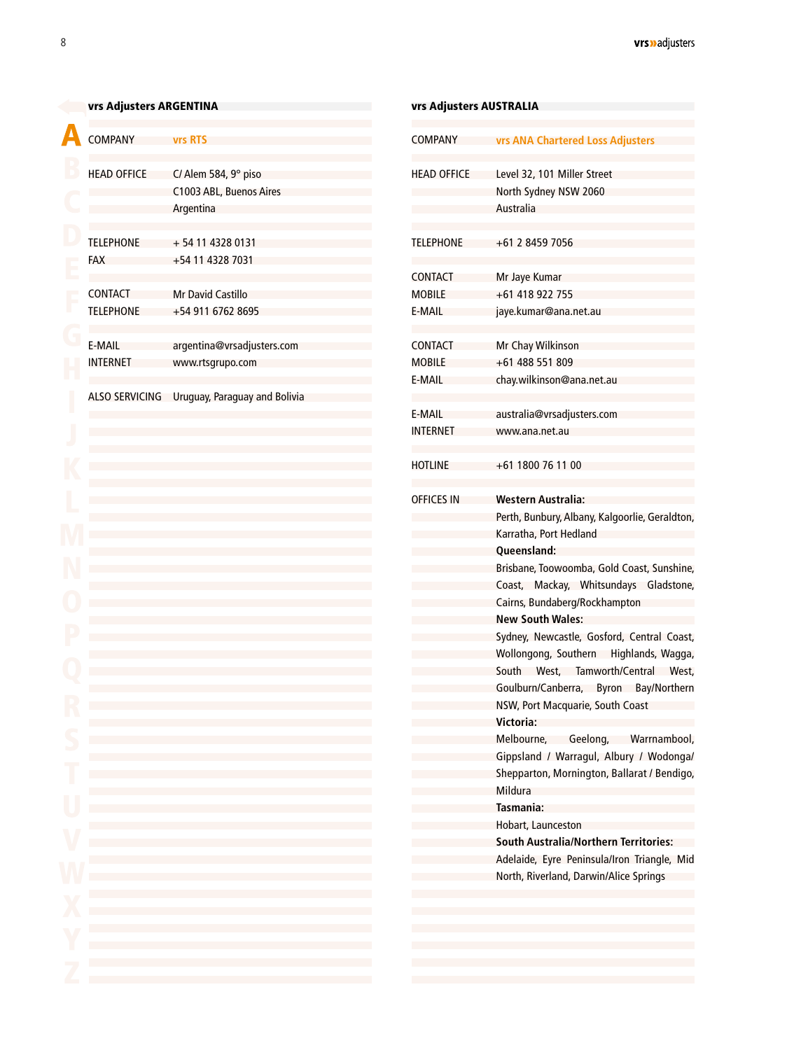<span id="page-6-0"></span>

| <b>COMPANY</b>                     | <b>vrs RTS</b>                                                                                                                                                                                                                       |
|------------------------------------|--------------------------------------------------------------------------------------------------------------------------------------------------------------------------------------------------------------------------------------|
| <b>HEAD OFFICE</b>                 | C/ Alem 584, 9° piso<br>C1003 ABL, Buenos Aires<br>Argentina                                                                                                                                                                         |
| <b>TELEPHONE</b><br><b>FAX</b>     | +54 11 4328 0131<br>+54 11 4328 7031                                                                                                                                                                                                 |
| <b>CONTACT</b><br><b>TELEPHONE</b> | <b>Mr David Castillo</b><br>+54 911 6762 8695                                                                                                                                                                                        |
| E-MAIL<br><b>INTERNET</b>          | argentina@vrsadjusters.com<br>www.rtsgrupo.com                                                                                                                                                                                       |
|                                    | ALSO SERVICING Uruguay, Paraguay and Bolivia                                                                                                                                                                                         |
|                                    |                                                                                                                                                                                                                                      |
|                                    |                                                                                                                                                                                                                                      |
|                                    |                                                                                                                                                                                                                                      |
|                                    |                                                                                                                                                                                                                                      |
|                                    |                                                                                                                                                                                                                                      |
|                                    |                                                                                                                                                                                                                                      |
|                                    |                                                                                                                                                                                                                                      |
|                                    |                                                                                                                                                                                                                                      |
|                                    |                                                                                                                                                                                                                                      |
|                                    |                                                                                                                                                                                                                                      |
|                                    | and the control of the control of the control of the control of the control of the control of the control of the                                                                                                                     |
|                                    | and the state of the state of the state of the state of the state of the state of the<br>and the control of the control of the control of the control of the control of the control of the control of the                            |
|                                    | and the control of the control of the control of the control of the control of the control of the control of the<br>and the control of the control of the control of the control of the control of the control of the control of the |
| <b>Contract</b>                    | and the control of the control of the control of the control of the control of the control of the control of the<br>and the state of the state of the state of the state of the state of the state of the state of the               |
| W<br>X<br>Y                        | and the control of the control of the control of the control of the control of the control of the control of the<br>and the control of the control of the control of the control of the control of the control of the control of the |
|                                    | and the state of the state of the state of the state of the state of the state of the state of<br>and the state of the state of the state of the state of the state of the state of the state of                                     |
|                                    |                                                                                                                                                                                                                                      |

| <b>vrs ANA Chartered Loss Adjusters</b><br>Level 32, 101 Miller Street<br><b>HEAD OFFICE</b><br>North Sydney NSW 2060<br>Australia<br>+61 2 8459 7056<br>Mr Jaye Kumar<br>+61 418 922 755<br>jaye.kumar@ana.net.au<br>Mr Chay Wilkinson<br>+61 488 551 809<br>chay.wilkinson@ana.net.au<br>australia@vrsadjusters.com<br>www.ana.net.au<br>+61 1800 76 11 00<br>Western Australia:<br>Karratha, Port Hedland<br>Queensland:<br>Cairns, Bundaberg/Rockhampton<br><b>New South Wales:</b><br>NSW, Port Macquarie, South Coast<br>Victoria:<br>Mildura<br>Tasmania:<br>Hobart, Launceston<br><b>South Australia/Northern Territories:</b><br>Adelaide, Eyre Peninsula/Iron Triangle, Mid<br>North, Riverland, Darwin/Alice Springs |                                    |  |
|---------------------------------------------------------------------------------------------------------------------------------------------------------------------------------------------------------------------------------------------------------------------------------------------------------------------------------------------------------------------------------------------------------------------------------------------------------------------------------------------------------------------------------------------------------------------------------------------------------------------------------------------------------------------------------------------------------------------------------|------------------------------------|--|
|                                                                                                                                                                                                                                                                                                                                                                                                                                                                                                                                                                                                                                                                                                                                 | COMPANY                            |  |
|                                                                                                                                                                                                                                                                                                                                                                                                                                                                                                                                                                                                                                                                                                                                 |                                    |  |
| Perth, Bunbury, Albany, Kalgoorlie, Geraldton,<br>Brisbane, Toowoomba, Gold Coast, Sunshine,<br>Coast, Mackay, Whitsundays Gladstone,<br>Sydney, Newcastle, Gosford, Central Coast,<br>Wollongong, Southern Highlands, Wagga,<br>South West, Tamworth/Central West,<br>Goulburn/Canberra, Byron Bay/Northern<br>Melbourne, Geelong, Warrnambool,<br>Gippsland / Warragul, Albury / Wodonga/<br>Shepparton, Mornington, Ballarat / Bendigo,                                                                                                                                                                                                                                                                                      | TELEPHONE                          |  |
|                                                                                                                                                                                                                                                                                                                                                                                                                                                                                                                                                                                                                                                                                                                                 | <b>CONTACT</b><br>MOBILE<br>E-MAIL |  |
|                                                                                                                                                                                                                                                                                                                                                                                                                                                                                                                                                                                                                                                                                                                                 | CONTACT<br><b>MOBILE</b><br>E-MAIL |  |
|                                                                                                                                                                                                                                                                                                                                                                                                                                                                                                                                                                                                                                                                                                                                 | E-MAIL<br>INTERNET                 |  |
|                                                                                                                                                                                                                                                                                                                                                                                                                                                                                                                                                                                                                                                                                                                                 | HOTLINE                            |  |
|                                                                                                                                                                                                                                                                                                                                                                                                                                                                                                                                                                                                                                                                                                                                 | <b>OFFICES IN</b>                  |  |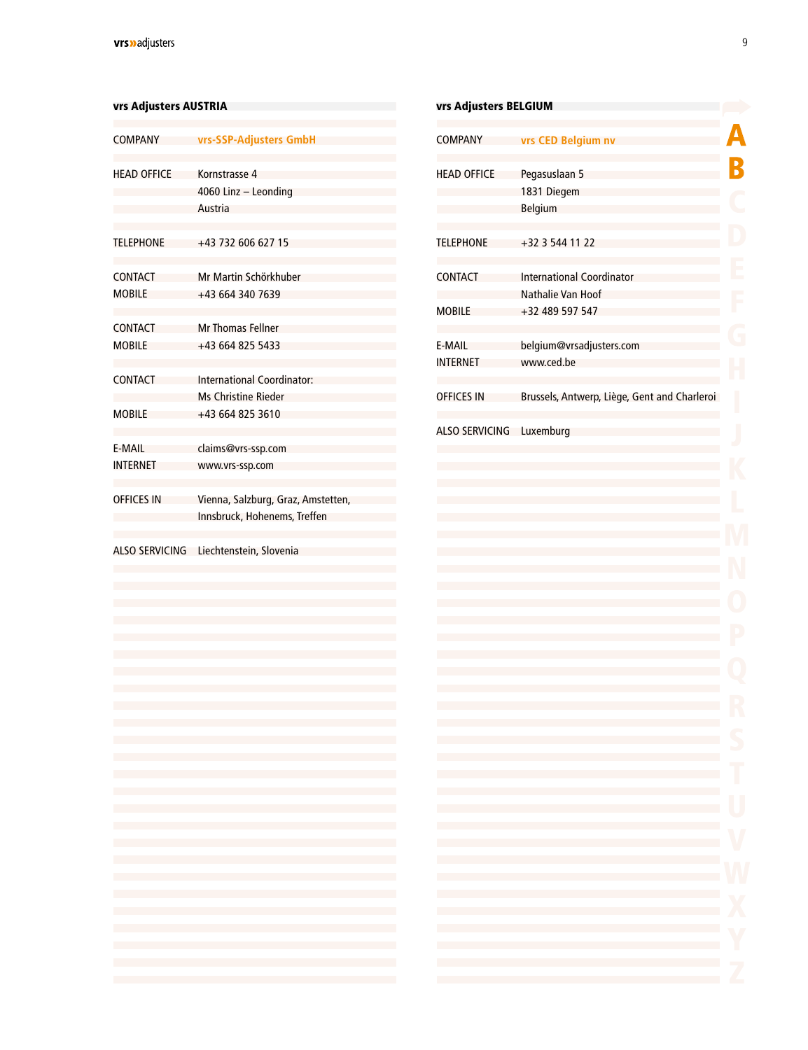#### <span id="page-7-0"></span>vrs Adjusters AUSTRIA vrs Antiques and a verse and a verse and a verse and a verse and a verse and a verse and

| COMPANY                         | vrs-SSP-Adjusters GmbH                                             |
|---------------------------------|--------------------------------------------------------------------|
| <b>HEAD OFFICE</b>              | Kornstrasse 4<br>4060 Linz - Leonding<br>Austria                   |
| <b>TELEPHONE</b>                | +43 732 606 627 15                                                 |
| <b>CONTACT</b><br>MOBILE        | Mr Martin Schörkhuber<br>+43 664 340 7639                          |
| <b>CONTACT</b><br><b>MOBILE</b> | <b>Mr Thomas Fellner</b><br>+43 664 825 5433                       |
| CONTACT                         | International Coordinator:<br>Ms Christine Rieder                  |
| <b>MOBILE</b>                   | +43 664 825 3610                                                   |
| E-MAIL<br><b>INTERNET</b>       | claims@vrs-ssp.com<br>www.vrs-ssp.com                              |
| <b>OFFICES IN</b>               | Vienna, Salzburg, Graz, Amstetten,<br>Innsbruck, Hohenems, Treffen |
|                                 | ALSO SERVICING Liechtenstein, Slovenia                             |
|                                 |                                                                    |

| vrs Adjusters BELGIUM     |                                                                                                                                                                                             |               |
|---------------------------|---------------------------------------------------------------------------------------------------------------------------------------------------------------------------------------------|---------------|
| <b>COMPANY</b>            | vrs CED Belgium nv                                                                                                                                                                          |               |
| <b>HEAD OFFICE</b>        | Pegasuslaan 5<br>1831 Diegem<br><b>Belgium</b>                                                                                                                                              |               |
| <b>TELEPHONE</b>          | +32 3 544 11 22                                                                                                                                                                             |               |
| <b>CONTACT</b>            | <b>International Coordinator</b><br>Nathalie Van Hoof                                                                                                                                       |               |
| <b>MOBILE</b>             | +32 489 597 547                                                                                                                                                                             |               |
| E-MAIL<br><b>INTERNET</b> | belgium@vrsadjusters.com<br>www.ced.be                                                                                                                                                      |               |
| <b>OFFICES IN</b>         | Brussels, Antwerp, Liège, Gent and Charleroi                                                                                                                                                |               |
| ALSO SERVICING Luxemburg  |                                                                                                                                                                                             |               |
|                           |                                                                                                                                                                                             |               |
|                           |                                                                                                                                                                                             |               |
|                           |                                                                                                                                                                                             |               |
|                           |                                                                                                                                                                                             |               |
|                           |                                                                                                                                                                                             |               |
|                           |                                                                                                                                                                                             |               |
|                           |                                                                                                                                                                                             |               |
|                           | the control of the control of the control of the control of the control of the control of<br>the control of the control of the control of the control of the control of the control of      | J.<br>Ţ       |
|                           | the control of the control of the control of the control of the control of the control of<br>the control of the control of the control of the control of the control of the control of      | U             |
|                           | the control of the control of the control of the control of the control of the control of<br>the control of the control of the control of the control of the control of the control of      |               |
|                           | the control of the control of the control of the control of the control of the control of                                                                                                   | $V_{\Lambda}$ |
|                           | the control of the control of the control of the control of the control of the control of<br>the control of the control of the control of the control of the control of the control of      |               |
|                           | and the state of the state of the state of the state of the state of the state of the state of<br>the control of the control of the control of the control of the control of the control of | X<br>Y        |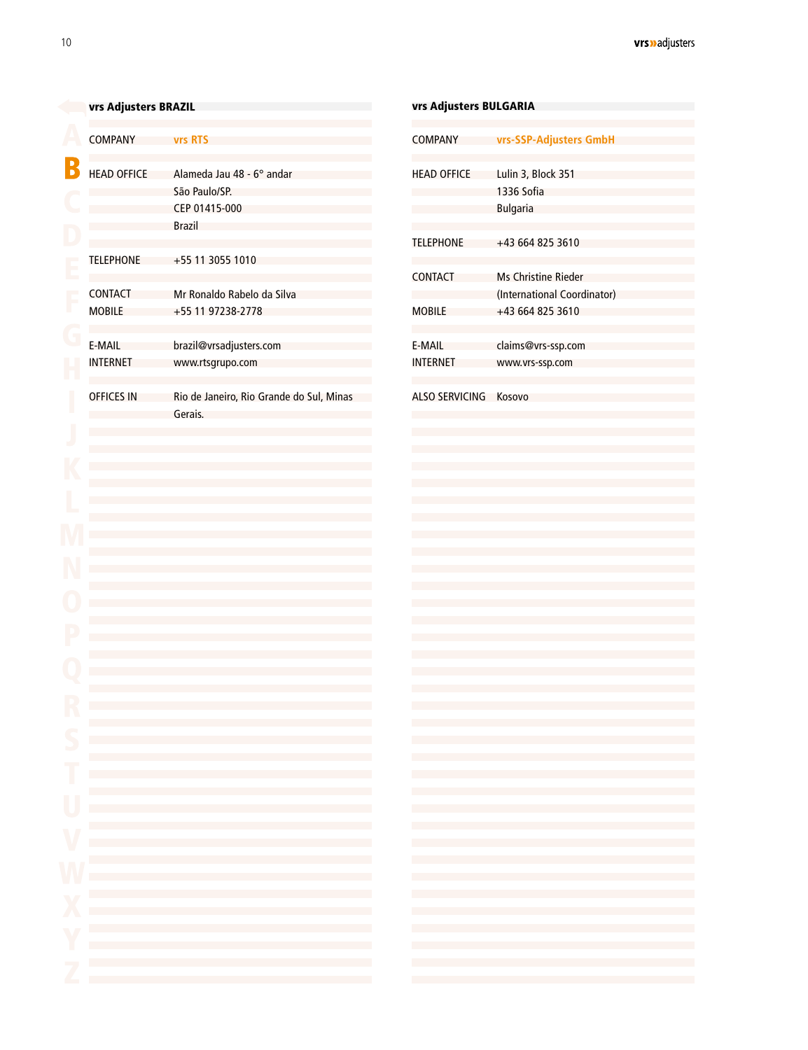<span id="page-8-0"></span>

|                          | vrs Adjusters BRAZIL            |                                                                                                                                                                                        | vrs Adjusters BULGARIA                                                           |                                           |
|--------------------------|---------------------------------|----------------------------------------------------------------------------------------------------------------------------------------------------------------------------------------|----------------------------------------------------------------------------------|-------------------------------------------|
|                          | <b>COMPANY</b>                  | <b>vrs RTS</b>                                                                                                                                                                         | <b>COMPANY</b>                                                                   | vrs-SSP-                                  |
|                          | <b>HEAD OFFICE</b>              | Alameda Jau 48 - 6° andar<br>São Paulo/SP.<br>CEP 01415-000<br><b>Brazil</b>                                                                                                           | <b>HEAD OFFICE</b>                                                               | Lulin 3, E<br>1336 Sof<br><b>Bulgaria</b> |
|                          | <b>TELEPHONE</b>                | +55 11 3055 1010                                                                                                                                                                       | <b>TELEPHONE</b>                                                                 | $+43664$                                  |
|                          |                                 | Mr Ronaldo Rabelo da Silva                                                                                                                                                             | <b>CONTACT</b>                                                                   | <b>Ms Chris</b>                           |
|                          | <b>CONTACT</b><br><b>MOBILE</b> | +55 11 97238-2778                                                                                                                                                                      | <b>MOBILE</b>                                                                    | (Internat<br>$+43664$                     |
|                          | E-MAIL<br><b>INTERNET</b>       | brazil@vrsadjusters.com<br>www.rtsgrupo.com                                                                                                                                            | E-MAIL<br><b>INTERNET</b>                                                        | claims@<br><b>WWW.VIS</b>                 |
|                          | <b>OFFICES IN</b>               | Rio de Janeiro, Rio Grande do Sul, Minas<br>Gerais.                                                                                                                                    | ALSO SERVICING                                                                   | Kosovo                                    |
|                          |                                 |                                                                                                                                                                                        |                                                                                  |                                           |
|                          |                                 |                                                                                                                                                                                        |                                                                                  |                                           |
|                          |                                 |                                                                                                                                                                                        |                                                                                  |                                           |
|                          |                                 |                                                                                                                                                                                        |                                                                                  |                                           |
|                          |                                 |                                                                                                                                                                                        |                                                                                  |                                           |
|                          |                                 |                                                                                                                                                                                        |                                                                                  |                                           |
|                          |                                 |                                                                                                                                                                                        |                                                                                  |                                           |
|                          |                                 |                                                                                                                                                                                        |                                                                                  |                                           |
|                          |                                 |                                                                                                                                                                                        |                                                                                  |                                           |
| S                        |                                 | and the state of the state of the state of the state of the state of the state of the                                                                                                  | and the control of the control of                                                |                                           |
|                          |                                 | the control of the control of the control of the control of the control of the control of<br>the control of the control of the control of the control of the control of the control of | the control of the control of the con-<br>the control of the control of the con- |                                           |
| U                        |                                 | the control of the control of the control of the control of the control of the control of                                                                                              | the control of the control of the con-                                           |                                           |
|                          |                                 | the control of the control of the control of the control of the control of the control of<br>the control of the control of the control of the control of the control of the control of | the control of the control of the<br>the control of the control of the           |                                           |
|                          |                                 | the control of the control of the control of the control of the control of the control of<br>the control of the control of the control of the control of the control of the control of | the control of the control of the<br>the control of the control of the           |                                           |
|                          |                                 | the control of the control of the control of the control of the control of the control of<br>the control of the control of the control of the control of the control of the control of | the control of the control of the<br>the control of the control of the           |                                           |
|                          |                                 | the control of the control of the control of the control of the control of the control of<br>the control of the control of the control of the control of the control of the control of | the control of the control of the con-<br>the control of the control of the      |                                           |
|                          |                                 | the control of the control of the control of the control of the control of the control of                                                                                              | and the control of the control of<br>and the state of the state of the state     |                                           |
| $\overline{\phantom{a}}$ |                                 | the control of the control of the control of the control of the control of the control of                                                                                              |                                                                                  |                                           |

| VIS MUJUSLEIS DULUMNIM          |                                                                                                                                                                                                                                                                                                                                                                                                                                                                                                                                                                                                                                                                                                                                                                                                                                                                                                                                                                                                                                                                                                                                                                                                                                                                                                                                                                                                                                                                                                                                                                                                                                                                                                                                                                                                                                                                                                                                                                                                                                                                                                                                                                                                                                                                                                                                                                                                                                                                                                                                                                                                                                                                                                                                                                                                                                                                                                                                                                                                                                                                                                                                                                                                                                                                                                                                                                                                                                                                                                                                                                                                                                                                                                                    |  |
|---------------------------------|--------------------------------------------------------------------------------------------------------------------------------------------------------------------------------------------------------------------------------------------------------------------------------------------------------------------------------------------------------------------------------------------------------------------------------------------------------------------------------------------------------------------------------------------------------------------------------------------------------------------------------------------------------------------------------------------------------------------------------------------------------------------------------------------------------------------------------------------------------------------------------------------------------------------------------------------------------------------------------------------------------------------------------------------------------------------------------------------------------------------------------------------------------------------------------------------------------------------------------------------------------------------------------------------------------------------------------------------------------------------------------------------------------------------------------------------------------------------------------------------------------------------------------------------------------------------------------------------------------------------------------------------------------------------------------------------------------------------------------------------------------------------------------------------------------------------------------------------------------------------------------------------------------------------------------------------------------------------------------------------------------------------------------------------------------------------------------------------------------------------------------------------------------------------------------------------------------------------------------------------------------------------------------------------------------------------------------------------------------------------------------------------------------------------------------------------------------------------------------------------------------------------------------------------------------------------------------------------------------------------------------------------------------------------------------------------------------------------------------------------------------------------------------------------------------------------------------------------------------------------------------------------------------------------------------------------------------------------------------------------------------------------------------------------------------------------------------------------------------------------------------------------------------------------------------------------------------------------------------------------------------------------------------------------------------------------------------------------------------------------------------------------------------------------------------------------------------------------------------------------------------------------------------------------------------------------------------------------------------------------------------------------------------------------------------------------------------------------|--|
| <b>COMPANY</b>                  | vrs-SSP-Adjusters GmbH                                                                                                                                                                                                                                                                                                                                                                                                                                                                                                                                                                                                                                                                                                                                                                                                                                                                                                                                                                                                                                                                                                                                                                                                                                                                                                                                                                                                                                                                                                                                                                                                                                                                                                                                                                                                                                                                                                                                                                                                                                                                                                                                                                                                                                                                                                                                                                                                                                                                                                                                                                                                                                                                                                                                                                                                                                                                                                                                                                                                                                                                                                                                                                                                                                                                                                                                                                                                                                                                                                                                                                                                                                                                                             |  |
| <b>HEAD OFFICE</b>              | Lulin 3, Block 351<br>1336 Sofia<br><b>Bulgaria</b>                                                                                                                                                                                                                                                                                                                                                                                                                                                                                                                                                                                                                                                                                                                                                                                                                                                                                                                                                                                                                                                                                                                                                                                                                                                                                                                                                                                                                                                                                                                                                                                                                                                                                                                                                                                                                                                                                                                                                                                                                                                                                                                                                                                                                                                                                                                                                                                                                                                                                                                                                                                                                                                                                                                                                                                                                                                                                                                                                                                                                                                                                                                                                                                                                                                                                                                                                                                                                                                                                                                                                                                                                                                                |  |
| <b>TELEPHONE</b>                | +43 664 825 3610                                                                                                                                                                                                                                                                                                                                                                                                                                                                                                                                                                                                                                                                                                                                                                                                                                                                                                                                                                                                                                                                                                                                                                                                                                                                                                                                                                                                                                                                                                                                                                                                                                                                                                                                                                                                                                                                                                                                                                                                                                                                                                                                                                                                                                                                                                                                                                                                                                                                                                                                                                                                                                                                                                                                                                                                                                                                                                                                                                                                                                                                                                                                                                                                                                                                                                                                                                                                                                                                                                                                                                                                                                                                                                   |  |
| <b>CONTACT</b><br><b>MOBILE</b> | <b>Ms Christine Rieder</b><br>(International Coordinator)<br>+43 664 825 3610                                                                                                                                                                                                                                                                                                                                                                                                                                                                                                                                                                                                                                                                                                                                                                                                                                                                                                                                                                                                                                                                                                                                                                                                                                                                                                                                                                                                                                                                                                                                                                                                                                                                                                                                                                                                                                                                                                                                                                                                                                                                                                                                                                                                                                                                                                                                                                                                                                                                                                                                                                                                                                                                                                                                                                                                                                                                                                                                                                                                                                                                                                                                                                                                                                                                                                                                                                                                                                                                                                                                                                                                                                      |  |
| E-MAIL<br><b>INTERNET</b>       | claims@vrs-ssp.com<br>www.vrs-ssp.com                                                                                                                                                                                                                                                                                                                                                                                                                                                                                                                                                                                                                                                                                                                                                                                                                                                                                                                                                                                                                                                                                                                                                                                                                                                                                                                                                                                                                                                                                                                                                                                                                                                                                                                                                                                                                                                                                                                                                                                                                                                                                                                                                                                                                                                                                                                                                                                                                                                                                                                                                                                                                                                                                                                                                                                                                                                                                                                                                                                                                                                                                                                                                                                                                                                                                                                                                                                                                                                                                                                                                                                                                                                                              |  |
| ALSO SERVICING Kosovo           |                                                                                                                                                                                                                                                                                                                                                                                                                                                                                                                                                                                                                                                                                                                                                                                                                                                                                                                                                                                                                                                                                                                                                                                                                                                                                                                                                                                                                                                                                                                                                                                                                                                                                                                                                                                                                                                                                                                                                                                                                                                                                                                                                                                                                                                                                                                                                                                                                                                                                                                                                                                                                                                                                                                                                                                                                                                                                                                                                                                                                                                                                                                                                                                                                                                                                                                                                                                                                                                                                                                                                                                                                                                                                                                    |  |
|                                 |                                                                                                                                                                                                                                                                                                                                                                                                                                                                                                                                                                                                                                                                                                                                                                                                                                                                                                                                                                                                                                                                                                                                                                                                                                                                                                                                                                                                                                                                                                                                                                                                                                                                                                                                                                                                                                                                                                                                                                                                                                                                                                                                                                                                                                                                                                                                                                                                                                                                                                                                                                                                                                                                                                                                                                                                                                                                                                                                                                                                                                                                                                                                                                                                                                                                                                                                                                                                                                                                                                                                                                                                                                                                                                                    |  |
|                                 | $\mathcal{L}^{\mathcal{L}}(\mathcal{L}^{\mathcal{L}}(\mathcal{L}^{\mathcal{L}}(\mathcal{L}^{\mathcal{L}}(\mathcal{L}^{\mathcal{L}}(\mathcal{L}^{\mathcal{L}}(\mathcal{L}^{\mathcal{L}}(\mathcal{L}^{\mathcal{L}}(\mathcal{L}^{\mathcal{L}}(\mathcal{L}^{\mathcal{L}}(\mathcal{L}^{\mathcal{L}}(\mathcal{L}^{\mathcal{L}}(\mathcal{L}^{\mathcal{L}}(\mathcal{L}^{\mathcal{L}}(\mathcal{L}^{\mathcal{L}}(\mathcal{L}^{\mathcal{L}}(\mathcal{L}^{\mathcal{L$<br>the control of the control of the control of the control of the control of the control of<br>$\mathcal{L}(\mathcal{L}(\mathcal{L}(\mathcal{L}(\mathcal{L}(\mathcal{L}(\mathcal{L}(\mathcal{L}(\mathcal{L}(\mathcal{L}(\mathcal{L}(\mathcal{L}(\mathcal{L}(\mathcal{L}(\mathcal{L}(\mathcal{L}(\mathcal{L}(\mathcal{L}(\mathcal{L}(\mathcal{L}(\mathcal{L}(\mathcal{L}(\mathcal{L}(\mathcal{L}(\mathcal{L}(\mathcal{L}(\mathcal{L}(\mathcal{L}(\mathcal{L}(\mathcal{L}(\mathcal{L}(\mathcal{L}(\mathcal{L}(\mathcal{L}(\mathcal{L}(\mathcal{L}(\mathcal{$                                                                                                                                                                                                                                                                                                                                                                                                                                                                                                                                                                                                                                                                                                                                                                                                                                                                                                                                                                                                                                                                                                                                                                                                                                                                                                                                                                                                                                                                                                                                                                                                                                                                                                                                                                                                                                                                                                                                                                                                                                                                                                                                                                                                                                                                                                                                                                                                                                                                                                                                                                                                                                                                                              |  |
|                                 | $\mathcal{L}(\mathcal{L}(\mathcal{L}(\mathcal{L}(\mathcal{L}(\mathcal{L}(\mathcal{L}(\mathcal{L}(\mathcal{L}(\mathcal{L}(\mathcal{L}(\mathcal{L}(\mathcal{L}(\mathcal{L}(\mathcal{L}(\mathcal{L}(\mathcal{L}(\mathcal{L}(\mathcal{L}(\mathcal{L}(\mathcal{L}(\mathcal{L}(\mathcal{L}(\mathcal{L}(\mathcal{L}(\mathcal{L}(\mathcal{L}(\mathcal{L}(\mathcal{L}(\mathcal{L}(\mathcal{L}(\mathcal{L}(\mathcal{L}(\mathcal{L}(\mathcal{L}(\mathcal{L}(\mathcal{$<br>$\mathcal{L}(\mathcal{L}(\mathcal{L}(\mathcal{L}(\mathcal{L}(\mathcal{L}(\mathcal{L}(\mathcal{L}(\mathcal{L}(\mathcal{L}(\mathcal{L}(\mathcal{L}(\mathcal{L}(\mathcal{L}(\mathcal{L}(\mathcal{L}(\mathcal{L}(\mathcal{L}(\mathcal{L}(\mathcal{L}(\mathcal{L}(\mathcal{L}(\mathcal{L}(\mathcal{L}(\mathcal{L}(\mathcal{L}(\mathcal{L}(\mathcal{L}(\mathcal{L}(\mathcal{L}(\mathcal{L}(\mathcal{L}(\mathcal{L}(\mathcal{L}(\mathcal{L}(\mathcal{L}(\mathcal{$<br>$\mathcal{L}(\mathcal{L}(\mathcal{L}(\mathcal{L}(\mathcal{L}(\mathcal{L}(\mathcal{L}(\mathcal{L}(\mathcal{L}(\mathcal{L}(\mathcal{L}(\mathcal{L}(\mathcal{L}(\mathcal{L}(\mathcal{L}(\mathcal{L}(\mathcal{L}(\mathcal{L}(\mathcal{L}(\mathcal{L}(\mathcal{L}(\mathcal{L}(\mathcal{L}(\mathcal{L}(\mathcal{L}(\mathcal{L}(\mathcal{L}(\mathcal{L}(\mathcal{L}(\mathcal{L}(\mathcal{L}(\mathcal{L}(\mathcal{L}(\mathcal{L}(\mathcal{L}(\mathcal{L}(\mathcal{$<br>$\mathcal{L}(\mathcal{L}(\mathcal{L}(\mathcal{L}(\mathcal{L}(\mathcal{L}(\mathcal{L}(\mathcal{L}(\mathcal{L}(\mathcal{L}(\mathcal{L}(\mathcal{L}(\mathcal{L}(\mathcal{L}(\mathcal{L}(\mathcal{L}(\mathcal{L}(\mathcal{L}(\mathcal{L}(\mathcal{L}(\mathcal{L}(\mathcal{L}(\mathcal{L}(\mathcal{L}(\mathcal{L}(\mathcal{L}(\mathcal{L}(\mathcal{L}(\mathcal{L}(\mathcal{L}(\mathcal{L}(\mathcal{L}(\mathcal{L}(\mathcal{L}(\mathcal{L}(\mathcal{L}(\mathcal{$<br>$\mathcal{L}(\mathcal{L}(\mathcal{L}(\mathcal{L}(\mathcal{L}(\mathcal{L}(\mathcal{L}(\mathcal{L}(\mathcal{L}(\mathcal{L}(\mathcal{L}(\mathcal{L}(\mathcal{L}(\mathcal{L}(\mathcal{L}(\mathcal{L}(\mathcal{L}(\mathcal{L}(\mathcal{L}(\mathcal{L}(\mathcal{L}(\mathcal{L}(\mathcal{L}(\mathcal{L}(\mathcal{L}(\mathcal{L}(\mathcal{L}(\mathcal{L}(\mathcal{L}(\mathcal{L}(\mathcal{L}(\mathcal{L}(\mathcal{L}(\mathcal{L}(\mathcal{L}(\mathcal{L}(\mathcal{$<br>$\mathcal{L}(\mathcal{L}(\mathcal{L}(\mathcal{L}(\mathcal{L}(\mathcal{L}(\mathcal{L}(\mathcal{L}(\mathcal{L}(\mathcal{L}(\mathcal{L}(\mathcal{L}(\mathcal{L}(\mathcal{L}(\mathcal{L}(\mathcal{L}(\mathcal{L}(\mathcal{L}(\mathcal{L}(\mathcal{L}(\mathcal{L}(\mathcal{L}(\mathcal{L}(\mathcal{L}(\mathcal{L}(\mathcal{L}(\mathcal{L}(\mathcal{L}(\mathcal{L}(\mathcal{L}(\mathcal{L}(\mathcal{L}(\mathcal{L}(\mathcal{L}(\mathcal{L}(\mathcal{L}(\mathcal{$<br>$\mathcal{L}(\mathcal{L}(\mathcal{L}(\mathcal{L}(\mathcal{L}(\mathcal{L}(\mathcal{L}(\mathcal{L}(\mathcal{L}(\mathcal{L}(\mathcal{L}(\mathcal{L}(\mathcal{L}(\mathcal{L}(\mathcal{L}(\mathcal{L}(\mathcal{L}(\mathcal{L}(\mathcal{L}(\mathcal{L}(\mathcal{L}(\mathcal{L}(\mathcal{L}(\mathcal{L}(\mathcal{L}(\mathcal{L}(\mathcal{L}(\mathcal{L}(\mathcal{L}(\mathcal{L}(\mathcal{L}(\mathcal{L}(\mathcal{L}(\mathcal{L}(\mathcal{L}(\mathcal{L}(\mathcal{$<br>$\mathcal{L}^{\mathcal{L}}(\mathcal{L}^{\mathcal{L}}(\mathcal{L}^{\mathcal{L}}(\mathcal{L}^{\mathcal{L}}(\mathcal{L}^{\mathcal{L}}(\mathcal{L}^{\mathcal{L}}(\mathcal{L}^{\mathcal{L}}(\mathcal{L}^{\mathcal{L}}(\mathcal{L}^{\mathcal{L}}(\mathcal{L}^{\mathcal{L}}(\mathcal{L}^{\mathcal{L}}(\mathcal{L}^{\mathcal{L}}(\mathcal{L}^{\mathcal{L}}(\mathcal{L}^{\mathcal{L}}(\mathcal{L}^{\mathcal{L}}(\mathcal{L}^{\mathcal{L}}(\mathcal{L}^{\mathcal{L$ |  |
|                                 |                                                                                                                                                                                                                                                                                                                                                                                                                                                                                                                                                                                                                                                                                                                                                                                                                                                                                                                                                                                                                                                                                                                                                                                                                                                                                                                                                                                                                                                                                                                                                                                                                                                                                                                                                                                                                                                                                                                                                                                                                                                                                                                                                                                                                                                                                                                                                                                                                                                                                                                                                                                                                                                                                                                                                                                                                                                                                                                                                                                                                                                                                                                                                                                                                                                                                                                                                                                                                                                                                                                                                                                                                                                                                                                    |  |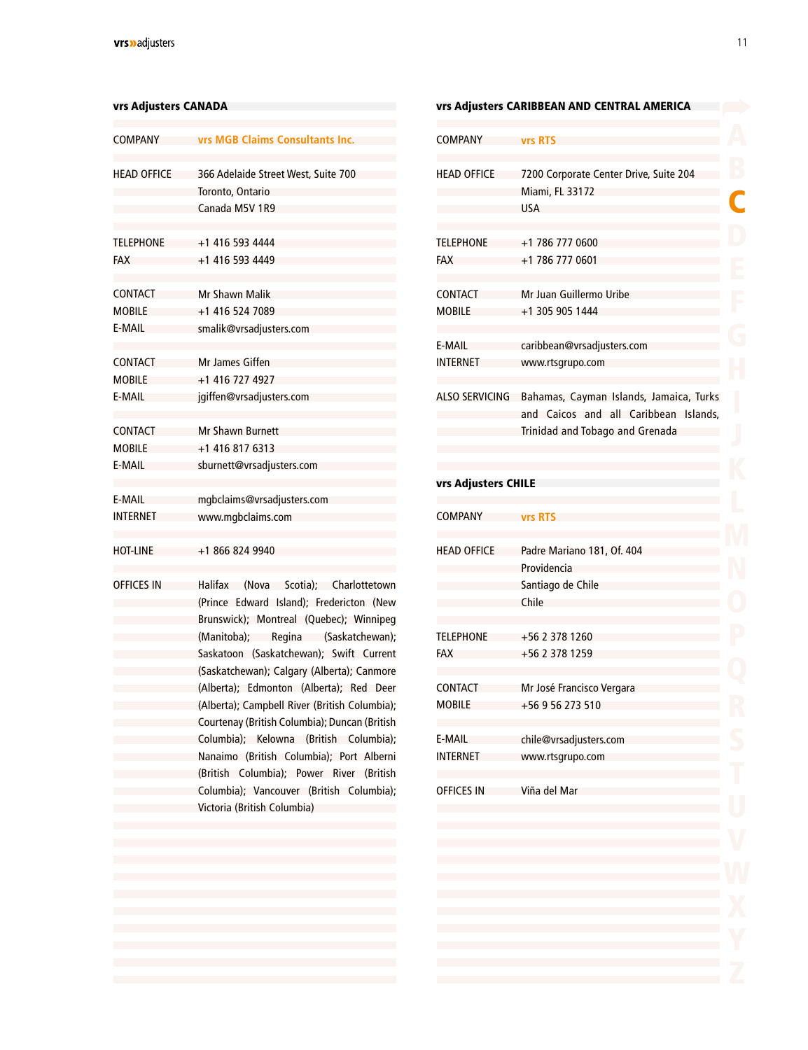| COMPANY            | <b>vrs MGB Claims Consultants Inc.</b>                  |
|--------------------|---------------------------------------------------------|
| <b>HEAD OFFICE</b> | 366 Adelaide Street West, Suite 700<br>Toronto, Ontario |
|                    | Canada M5V 1R9                                          |
|                    |                                                         |
| <b>TELEPHONE</b>   | +1 416 593 4444                                         |
| <b>FAX</b>         | +1 416 593 4449                                         |
|                    |                                                         |
| <b>CONTACT</b>     | Mr Shawn Malik                                          |
| MOBILE             | +1 416 524 7089                                         |
| E-MAIL             | smalik@vrsadjusters.com                                 |
|                    |                                                         |
| CONTACT            | Mr James Giffen                                         |
| MOBILE             | +1 416 727 4927                                         |
| E-MAIL             | jgiffen@vrsadjusters.com                                |
|                    |                                                         |
| CONTACT            | Mr Shawn Burnett                                        |
| MOBILE             | +1 416 817 6313                                         |
| E-MAIL             | sburnett@vrsadjusters.com                               |
|                    |                                                         |
| E-MAIL             | mgbclaims@vrsadjusters.com                              |
| INTERNET           | www.mgbclaims.com                                       |
|                    |                                                         |
| HOT-LINE           | +1 866 824 9940                                         |
|                    |                                                         |
| OFFICES IN         | Halifax (Nova Scotia); Charlottetown                    |
|                    | (Prince Edward Island); Fredericton (New                |
|                    | Brunswick); Montreal (Quebec); Winnipeg                 |
|                    | (Manitoba); Regina (Saskatchewan);                      |
|                    | Saskatoon (Saskatchewan); Swift Current                 |
|                    | (Saskatchewan); Calgary (Alberta); Canmore              |
|                    | (Alberta); Edmonton (Alberta); Red Deer                 |
|                    | (Alberta); Campbell River (British Columbia);           |
|                    | Courtenay (British Columbia); Duncan (British           |
|                    | Columbia); Kelowna (British Columbia);                  |
|                    | Nanaimo (British Columbia); Port Alberni                |
|                    | (British Columbia); Power River (British                |
|                    | Columbia); Vancouver (British Columbia);                |
|                    | Victoria (British Columbia)                             |
|                    |                                                         |
|                    |                                                         |

#### <span id="page-9-0"></span>vrs Adjusters CANADA vrs Adjusters CARIBBEAN AND CENTRAL AMERICA

| <b>COMPANY</b>                 | <b>vrs RTS</b>                                                                                                      |
|--------------------------------|---------------------------------------------------------------------------------------------------------------------|
| <b>HEAD OFFICE</b>             | 7200 Corporate Center Drive, Suite 204<br><b>Miami, FL 33172</b><br><b>USA</b>                                      |
| <b>TELEPHONE</b><br><b>FAX</b> | +1 786 777 0600<br>+1 786 777 0601                                                                                  |
| CONTACT<br><b>MOBILE</b>       | Mr Juan Guillermo Uribe<br>+1 305 905 1444                                                                          |
| E-MAIL<br><b>INTERNET</b>      | caribbean@vrsadjusters.com<br>www.rtsgrupo.com                                                                      |
| <b>ALSO SERVICING</b>          | Bahamas, Cayman Islands, Jamaica, Turks<br>and Caicos and all Caribbean Islands,<br>Trinidad and Tobago and Grenada |

#### vrs Adjusters CHILE

| <b>COMPANY</b>     | <b>vrs RTS</b>                                                          |
|--------------------|-------------------------------------------------------------------------|
| <b>HEAD OFFICE</b> | Padre Mariano 181, Of. 404<br>Providencia<br>Santiago de Chile<br>Chile |
| <b>TELEPHONE</b>   | +56 2 378 1260                                                          |
| FAX                | +56 2 378 1259                                                          |
| CONTACT            | Mr José Francisco Vergara                                               |
| MOBILE             | +56 9 56 273 510                                                        |
| E-MAIL             | chile@vrsadjusters.com                                                  |
| INTERNET           | www.rtsgrupo.com                                                        |
| <b>OFFICES IN</b>  | Viña del Mar                                                            |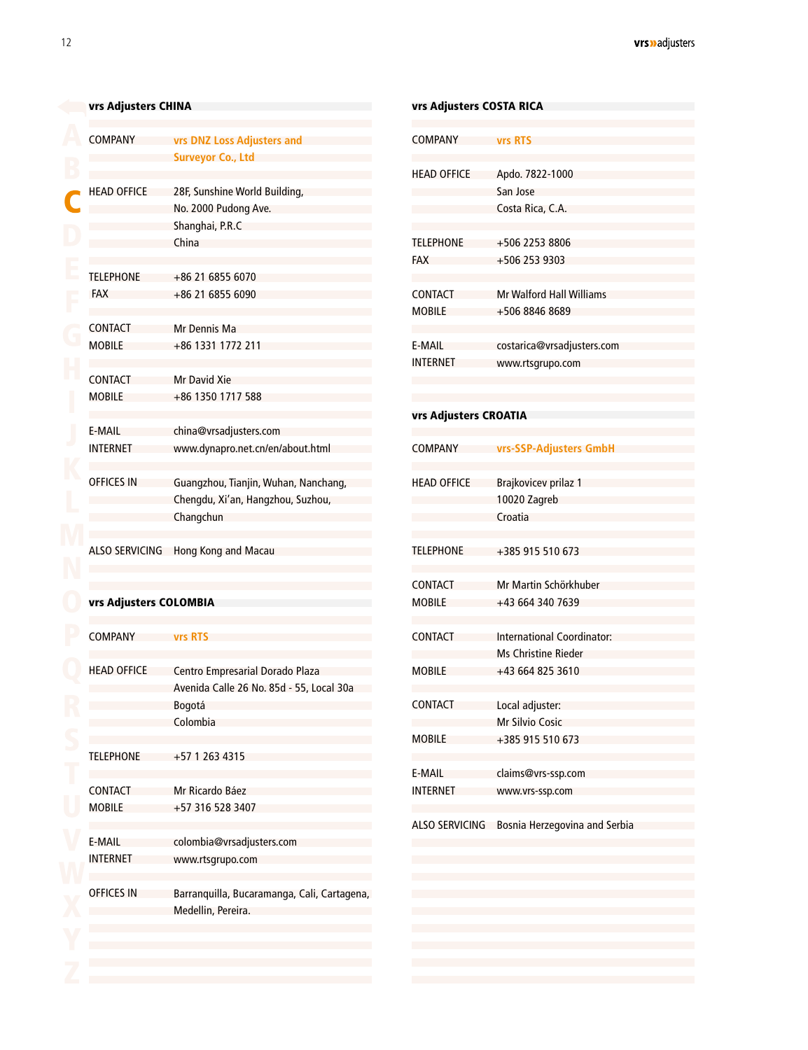<span id="page-10-0"></span>

| vrs Adjusters CHINA             |                                                                                                   |  |
|---------------------------------|---------------------------------------------------------------------------------------------------|--|
| <b>COMPANY</b>                  | vrs DNZ Loss Adjusters and<br><b>Surveyor Co., Ltd</b>                                            |  |
| <b>HEAD OFFICE</b>              | 28F, Sunshine World Building,<br>No. 2000 Pudong Ave.<br>Shanghai, P.R.C<br>China                 |  |
| <b>TELEPHONE</b><br><b>FAX</b>  | +86 21 6855 6070<br>+86 21 6855 6090                                                              |  |
| <b>CONTACT</b><br><b>MOBILE</b> | Mr Dennis Ma<br>+86 1331 1772 211                                                                 |  |
| <b>CONTACT</b><br><b>MOBILE</b> | <b>Mr David Xie</b><br>+86 1350 1717 588                                                          |  |
| E-MAIL<br><b>INTERNET</b>       | china@vrsadjusters.com<br>www.dynapro.net.cn/en/about.html                                        |  |
| <b>OFFICES IN</b>               | Guangzhou, Tianjin, Wuhan, Nanchang,<br>Chengdu, Xi'an, Hangzhou, Suzhou,<br>Changchun            |  |
|                                 | ALSO SERVICING Hong Kong and Macau                                                                |  |
| vrs Adjusters COLOMBIA          |                                                                                                   |  |
| <b>COMPANY</b>                  | vrs RTS                                                                                           |  |
| <b>HEAD OFFICE</b>              | Centro Empresarial Dorado Plaza<br>Avenida Calle 26 No. 85d - 55, Local 30a<br>Bogotá<br>Colombia |  |
| <b>TELEPHONE</b>                | +57 1 263 4315                                                                                    |  |
| <b>CONTACT</b><br><b>MOBILE</b> | Mr Ricardo Báez<br>+57 316 528 3407                                                               |  |

[colombia@vrsadjusters.com](mailto:colombia%40vrsadjusters.com?subject=) [www.rtsgrupo.com](http://www.rtsgrupo.com)

Medellin, Pereira.

Barranquilla, Bucaramanga, Cali, Cartagena,

E-MAIL INTERNET

OFFICES IN

| vrs Adjusters COSTA RICA |                                   |
|--------------------------|-----------------------------------|
| <b>COMPANY</b>           | <b>vrs RTS</b>                    |
|                          |                                   |
| <b>HEAD OFFICE</b>       | Apdo. 7822-1000                   |
|                          | San Jose                          |
|                          | Costa Rica, C.A.                  |
|                          |                                   |
| <b>TELEPHONE</b>         | +506 2253 8806                    |
| <b>FAX</b>               | +506 253 9303                     |
|                          |                                   |
| <b>CONTACT</b>           | <b>Mr Walford Hall Williams</b>   |
| <b>MOBILE</b>            | +506 8846 8689                    |
|                          |                                   |
| E-MAIL                   | costarica@vrsadjusters.com        |
| <b>INTERNET</b>          | www.rtsgrupo.com                  |
|                          |                                   |
| vrs Adjusters CROATIA    |                                   |
| COMPANY                  | vrs-SSP-Adjusters GmbH            |
|                          |                                   |
| <b>HEAD OFFICE</b>       | Brajkovicev prilaz 1              |
|                          | 10020 Zagreb                      |
|                          | Croatia                           |
|                          |                                   |
| <b>TELEPHONE</b>         | +385 915 510 673                  |
| <b>CONTACT</b>           | Mr Martin Schörkhuber             |
| <b>MOBILE</b>            | +43 664 340 7639                  |
|                          |                                   |
| <b>CONTACT</b>           | <b>International Coordinator:</b> |
|                          | <b>Ms Christine Rieder</b>        |
| <b>MOBILE</b>            | +43 664 825 3610                  |
|                          |                                   |
| <b>CONTACT</b>           | Local adjuster:                   |
|                          | <b>Mr Silvio Cosic</b>            |
| <b>MOBILE</b>            | +385 915 510 673                  |
| E-MAIL                   | claims@vrs-ssp.com                |
| <b>INTERNET</b>          | www.vrs-ssp.com                   |
|                          |                                   |
| <b>ALSO SERVICING</b>    | Bosnia Herzegovina and Serbia     |
|                          |                                   |
|                          |                                   |
|                          |                                   |
|                          |                                   |
|                          |                                   |
|                          |                                   |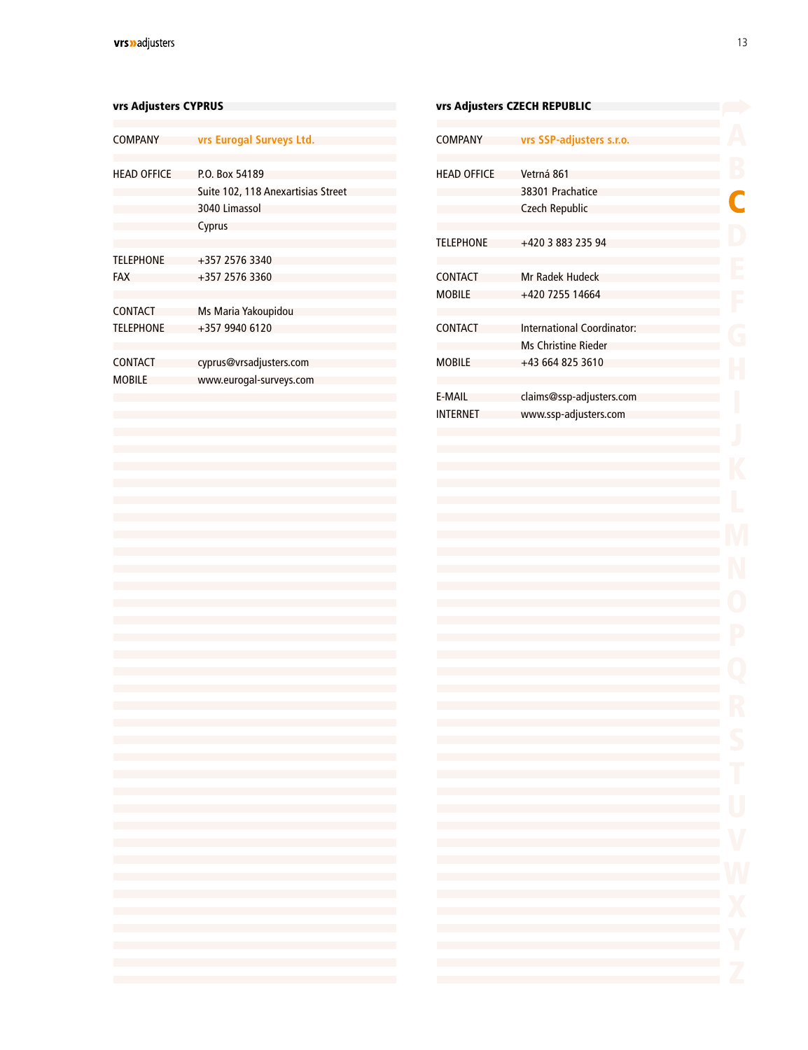#### <span id="page-11-0"></span>vrs Adjusters CYPRUS variation of the Public Control of the Public Control of the Public Control of the Public Co

| <b>COMPANY</b>                     | vrs Eurogal Surveys Ltd.                                                        |
|------------------------------------|---------------------------------------------------------------------------------|
| <b>HEAD OFFICE</b>                 | P.O. Box 54189<br>Suite 102, 118 Anexartisias Street<br>3040 Limassol<br>Cyprus |
| <b>TELEPHONE</b><br><b>FAX</b>     | +357 2576 3340<br>+357 2576 3360                                                |
| <b>CONTACT</b><br><b>TELEPHONE</b> | Ms Maria Yakoupidou<br>+357 9940 6120                                           |
| <b>CONTACT</b><br><b>MOBILE</b>    | cyprus@vrsadjusters.com<br>www.eurogal-surveys.com                              |
|                                    |                                                                                 |

|                    | vrs Adjusters CZECH REPUBLIC |   |
|--------------------|------------------------------|---|
| COMPANY            | vrs SSP-adjusters s.r.o.     |   |
|                    |                              |   |
| <b>HEAD OFFICE</b> | Vetrná 861                   |   |
|                    | 38301 Prachatice             | C |
|                    | <b>Czech Republic</b>        |   |
| <b>TELEPHONE</b>   | +420 3 883 235 94            |   |
| CONTACT            | Mr Radek Hudeck              |   |
| <b>MOBILE</b>      | +420 7255 14664              |   |
|                    |                              |   |
| CONTACT            | International Coordinator:   |   |
|                    | <b>Ms Christine Rieder</b>   |   |
| <b>MOBILE</b>      | +43 664 825 3610             |   |
| E-MAIL             | claims@ssp-adjusters.com     |   |
| INTERNET           | www.ssp-adjusters.com        |   |
|                    |                              |   |
|                    |                              |   |
|                    |                              |   |
|                    |                              |   |
|                    |                              |   |
|                    |                              |   |
|                    |                              |   |
|                    |                              |   |
|                    |                              |   |
|                    |                              |   |
|                    |                              |   |
|                    |                              |   |
|                    |                              |   |
|                    |                              |   |
|                    |                              |   |
|                    |                              |   |
|                    |                              |   |
|                    |                              |   |
|                    |                              |   |
|                    |                              |   |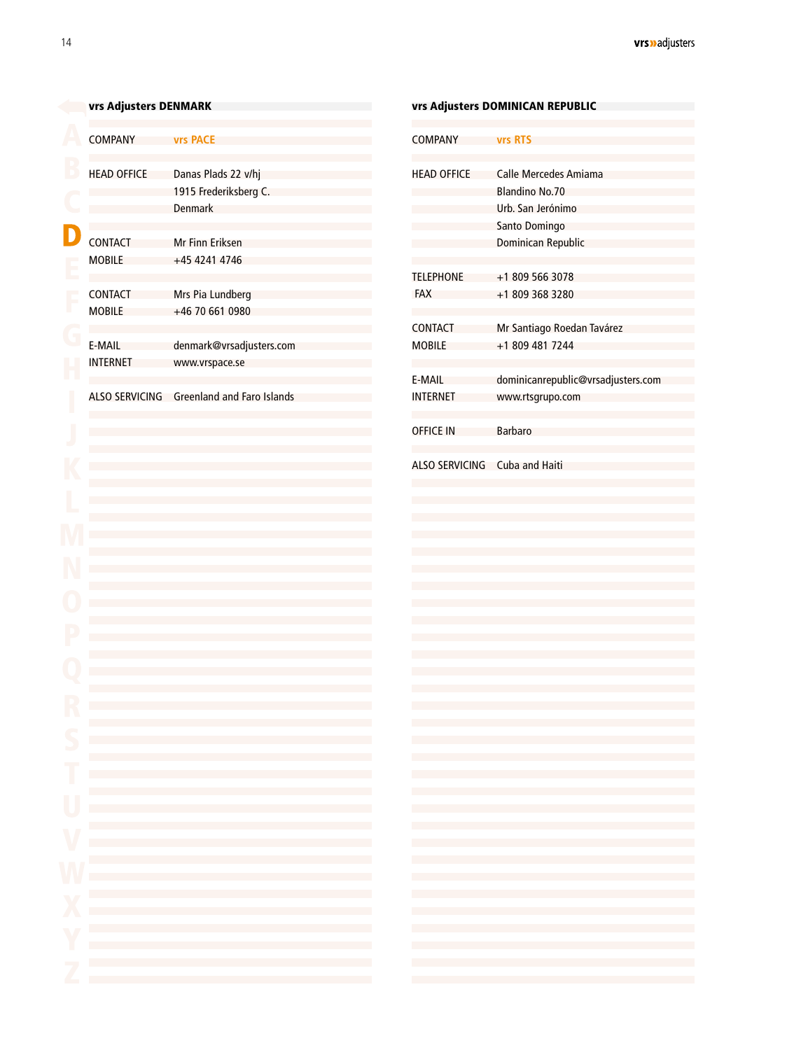<span id="page-12-0"></span>

| <b>COMPANY</b><br><b>vrs PACE</b><br><b>COMPANY</b><br><b>vrs RTS</b><br><b>HEAD OFFICE</b><br>Danas Plads 22 v/hj<br><b>HEAD OFFICE</b><br><b>Calle Mercedes Amiama</b><br>1915 Frederiksberg C.<br><b>Blandino No.70</b><br><b>Denmark</b><br>Urb. San Jerónimo<br>Santo Domingo<br><b>CONTACT</b><br><b>Mr Finn Eriksen</b><br>Dominican Republic<br><b>MOBILE</b><br>+45 4241 4746<br><b>TELEPHONE</b><br>+1 809 566 3078<br><b>CONTACT</b><br>Mrs Pia Lundberg<br><b>FAX</b><br>+1 809 368 3280<br><b>MOBILE</b><br>+46 70 661 0980<br><b>CONTACT</b><br>Mr Santiago Roedan Tavárez<br>E-MAIL<br><b>MOBILE</b><br>+1 809 481 7244<br>denmark@vrsadjusters.com<br><b>INTERNET</b><br>www.vrspace.se<br>E-MAIL<br><b>Greenland and Faro Islands</b><br><b>ALSO SERVICING</b><br><b>INTERNET</b><br>www.rtsgrupo.com<br><b>OFFICE IN</b><br><b>Barbaro</b><br><b>Cuba and Haiti</b><br><b>ALSO SERVICING</b><br>the control of the control of the control of the control of the control of the control of<br>the control of the control of the control of the control of the control of the control of<br>the control of the control of the control of the control of the control of the control of<br>the control of the control of the control of the control of the control of the control of<br>the control of the control of the control of the control of the control of the control of<br>the control of the control of the control of the control of the control of the control of<br>the control of the control of the control of the control of the control of the control of<br>and the control of the control of the control of the control of the control of the control of<br>the control of the control of the control of the control of the control of the control of<br>the control of the control of the control of the control of the control of the control of<br>the control of the control of the control of the control of the control of the control of<br>and the control of the control of the control of the control of the control of the control of the control of the<br>the control of the control of the control of the control of the control of the control of the control of the control of the control of the control of the control of the control of the control of the control of the control | vrs Adjusters DENMARK |  | <b>vrs Adjusters DOMINICAN REPUBLIC</b> |  |  |
|----------------------------------------------------------------------------------------------------------------------------------------------------------------------------------------------------------------------------------------------------------------------------------------------------------------------------------------------------------------------------------------------------------------------------------------------------------------------------------------------------------------------------------------------------------------------------------------------------------------------------------------------------------------------------------------------------------------------------------------------------------------------------------------------------------------------------------------------------------------------------------------------------------------------------------------------------------------------------------------------------------------------------------------------------------------------------------------------------------------------------------------------------------------------------------------------------------------------------------------------------------------------------------------------------------------------------------------------------------------------------------------------------------------------------------------------------------------------------------------------------------------------------------------------------------------------------------------------------------------------------------------------------------------------------------------------------------------------------------------------------------------------------------------------------------------------------------------------------------------------------------------------------------------------------------------------------------------------------------------------------------------------------------------------------------------------------------------------------------------------------------------------------------------------------------------------------------------------------------------------------------------------------------------------------------------------------------------|-----------------------|--|-----------------------------------------|--|--|
|                                                                                                                                                                                                                                                                                                                                                                                                                                                                                                                                                                                                                                                                                                                                                                                                                                                                                                                                                                                                                                                                                                                                                                                                                                                                                                                                                                                                                                                                                                                                                                                                                                                                                                                                                                                                                                                                                                                                                                                                                                                                                                                                                                                                                                                                                                                                        |                       |  |                                         |  |  |
| dominicanrepublic@vrsadjusters.com<br>the control of the control of the control of the control of the control of the control of<br>the control of the control of the control of the control of the control of the control of<br>the control of the control of the control of the control of the control of the control of<br>the control of the control of the control of the control of the control of the control of<br>the control of the control of the control of the control of the control of the control of<br>the control of the control of the control of the control of the control of the control of<br>the control of the control of the control of the control of the control of the control of<br>the control of the control of the control of the control of the control of the control of<br>the control of the control of the control of the control of the control of the control of<br>the control of the control of the control of the control of the control of the control of<br>the control of the control of the control of the control of the control of the control of<br>the control of the control of the control of the control of the control of the control of the control of the control of the control of the control of the control of the control of the control of the control of the control<br>the control of the control of the control of the control of the control of the control of                                                                                                                                                                                                                                                                                                                                                                                                                                                                                                                                                                                                                                                                                                                                                                                                                                                                                                        |                       |  |                                         |  |  |
|                                                                                                                                                                                                                                                                                                                                                                                                                                                                                                                                                                                                                                                                                                                                                                                                                                                                                                                                                                                                                                                                                                                                                                                                                                                                                                                                                                                                                                                                                                                                                                                                                                                                                                                                                                                                                                                                                                                                                                                                                                                                                                                                                                                                                                                                                                                                        |                       |  |                                         |  |  |
|                                                                                                                                                                                                                                                                                                                                                                                                                                                                                                                                                                                                                                                                                                                                                                                                                                                                                                                                                                                                                                                                                                                                                                                                                                                                                                                                                                                                                                                                                                                                                                                                                                                                                                                                                                                                                                                                                                                                                                                                                                                                                                                                                                                                                                                                                                                                        |                       |  |                                         |  |  |
|                                                                                                                                                                                                                                                                                                                                                                                                                                                                                                                                                                                                                                                                                                                                                                                                                                                                                                                                                                                                                                                                                                                                                                                                                                                                                                                                                                                                                                                                                                                                                                                                                                                                                                                                                                                                                                                                                                                                                                                                                                                                                                                                                                                                                                                                                                                                        |                       |  |                                         |  |  |
|                                                                                                                                                                                                                                                                                                                                                                                                                                                                                                                                                                                                                                                                                                                                                                                                                                                                                                                                                                                                                                                                                                                                                                                                                                                                                                                                                                                                                                                                                                                                                                                                                                                                                                                                                                                                                                                                                                                                                                                                                                                                                                                                                                                                                                                                                                                                        |                       |  |                                         |  |  |
|                                                                                                                                                                                                                                                                                                                                                                                                                                                                                                                                                                                                                                                                                                                                                                                                                                                                                                                                                                                                                                                                                                                                                                                                                                                                                                                                                                                                                                                                                                                                                                                                                                                                                                                                                                                                                                                                                                                                                                                                                                                                                                                                                                                                                                                                                                                                        |                       |  |                                         |  |  |
|                                                                                                                                                                                                                                                                                                                                                                                                                                                                                                                                                                                                                                                                                                                                                                                                                                                                                                                                                                                                                                                                                                                                                                                                                                                                                                                                                                                                                                                                                                                                                                                                                                                                                                                                                                                                                                                                                                                                                                                                                                                                                                                                                                                                                                                                                                                                        |                       |  |                                         |  |  |
|                                                                                                                                                                                                                                                                                                                                                                                                                                                                                                                                                                                                                                                                                                                                                                                                                                                                                                                                                                                                                                                                                                                                                                                                                                                                                                                                                                                                                                                                                                                                                                                                                                                                                                                                                                                                                                                                                                                                                                                                                                                                                                                                                                                                                                                                                                                                        |                       |  |                                         |  |  |
|                                                                                                                                                                                                                                                                                                                                                                                                                                                                                                                                                                                                                                                                                                                                                                                                                                                                                                                                                                                                                                                                                                                                                                                                                                                                                                                                                                                                                                                                                                                                                                                                                                                                                                                                                                                                                                                                                                                                                                                                                                                                                                                                                                                                                                                                                                                                        |                       |  |                                         |  |  |
|                                                                                                                                                                                                                                                                                                                                                                                                                                                                                                                                                                                                                                                                                                                                                                                                                                                                                                                                                                                                                                                                                                                                                                                                                                                                                                                                                                                                                                                                                                                                                                                                                                                                                                                                                                                                                                                                                                                                                                                                                                                                                                                                                                                                                                                                                                                                        |                       |  |                                         |  |  |
|                                                                                                                                                                                                                                                                                                                                                                                                                                                                                                                                                                                                                                                                                                                                                                                                                                                                                                                                                                                                                                                                                                                                                                                                                                                                                                                                                                                                                                                                                                                                                                                                                                                                                                                                                                                                                                                                                                                                                                                                                                                                                                                                                                                                                                                                                                                                        |                       |  |                                         |  |  |
|                                                                                                                                                                                                                                                                                                                                                                                                                                                                                                                                                                                                                                                                                                                                                                                                                                                                                                                                                                                                                                                                                                                                                                                                                                                                                                                                                                                                                                                                                                                                                                                                                                                                                                                                                                                                                                                                                                                                                                                                                                                                                                                                                                                                                                                                                                                                        |                       |  |                                         |  |  |
|                                                                                                                                                                                                                                                                                                                                                                                                                                                                                                                                                                                                                                                                                                                                                                                                                                                                                                                                                                                                                                                                                                                                                                                                                                                                                                                                                                                                                                                                                                                                                                                                                                                                                                                                                                                                                                                                                                                                                                                                                                                                                                                                                                                                                                                                                                                                        |                       |  |                                         |  |  |
|                                                                                                                                                                                                                                                                                                                                                                                                                                                                                                                                                                                                                                                                                                                                                                                                                                                                                                                                                                                                                                                                                                                                                                                                                                                                                                                                                                                                                                                                                                                                                                                                                                                                                                                                                                                                                                                                                                                                                                                                                                                                                                                                                                                                                                                                                                                                        |                       |  |                                         |  |  |
|                                                                                                                                                                                                                                                                                                                                                                                                                                                                                                                                                                                                                                                                                                                                                                                                                                                                                                                                                                                                                                                                                                                                                                                                                                                                                                                                                                                                                                                                                                                                                                                                                                                                                                                                                                                                                                                                                                                                                                                                                                                                                                                                                                                                                                                                                                                                        |                       |  |                                         |  |  |
|                                                                                                                                                                                                                                                                                                                                                                                                                                                                                                                                                                                                                                                                                                                                                                                                                                                                                                                                                                                                                                                                                                                                                                                                                                                                                                                                                                                                                                                                                                                                                                                                                                                                                                                                                                                                                                                                                                                                                                                                                                                                                                                                                                                                                                                                                                                                        |                       |  |                                         |  |  |
|                                                                                                                                                                                                                                                                                                                                                                                                                                                                                                                                                                                                                                                                                                                                                                                                                                                                                                                                                                                                                                                                                                                                                                                                                                                                                                                                                                                                                                                                                                                                                                                                                                                                                                                                                                                                                                                                                                                                                                                                                                                                                                                                                                                                                                                                                                                                        |                       |  |                                         |  |  |
|                                                                                                                                                                                                                                                                                                                                                                                                                                                                                                                                                                                                                                                                                                                                                                                                                                                                                                                                                                                                                                                                                                                                                                                                                                                                                                                                                                                                                                                                                                                                                                                                                                                                                                                                                                                                                                                                                                                                                                                                                                                                                                                                                                                                                                                                                                                                        |                       |  |                                         |  |  |
|                                                                                                                                                                                                                                                                                                                                                                                                                                                                                                                                                                                                                                                                                                                                                                                                                                                                                                                                                                                                                                                                                                                                                                                                                                                                                                                                                                                                                                                                                                                                                                                                                                                                                                                                                                                                                                                                                                                                                                                                                                                                                                                                                                                                                                                                                                                                        |                       |  |                                         |  |  |
|                                                                                                                                                                                                                                                                                                                                                                                                                                                                                                                                                                                                                                                                                                                                                                                                                                                                                                                                                                                                                                                                                                                                                                                                                                                                                                                                                                                                                                                                                                                                                                                                                                                                                                                                                                                                                                                                                                                                                                                                                                                                                                                                                                                                                                                                                                                                        |                       |  |                                         |  |  |
|                                                                                                                                                                                                                                                                                                                                                                                                                                                                                                                                                                                                                                                                                                                                                                                                                                                                                                                                                                                                                                                                                                                                                                                                                                                                                                                                                                                                                                                                                                                                                                                                                                                                                                                                                                                                                                                                                                                                                                                                                                                                                                                                                                                                                                                                                                                                        |                       |  |                                         |  |  |
|                                                                                                                                                                                                                                                                                                                                                                                                                                                                                                                                                                                                                                                                                                                                                                                                                                                                                                                                                                                                                                                                                                                                                                                                                                                                                                                                                                                                                                                                                                                                                                                                                                                                                                                                                                                                                                                                                                                                                                                                                                                                                                                                                                                                                                                                                                                                        |                       |  |                                         |  |  |
|                                                                                                                                                                                                                                                                                                                                                                                                                                                                                                                                                                                                                                                                                                                                                                                                                                                                                                                                                                                                                                                                                                                                                                                                                                                                                                                                                                                                                                                                                                                                                                                                                                                                                                                                                                                                                                                                                                                                                                                                                                                                                                                                                                                                                                                                                                                                        |                       |  |                                         |  |  |
|                                                                                                                                                                                                                                                                                                                                                                                                                                                                                                                                                                                                                                                                                                                                                                                                                                                                                                                                                                                                                                                                                                                                                                                                                                                                                                                                                                                                                                                                                                                                                                                                                                                                                                                                                                                                                                                                                                                                                                                                                                                                                                                                                                                                                                                                                                                                        |                       |  |                                         |  |  |
|                                                                                                                                                                                                                                                                                                                                                                                                                                                                                                                                                                                                                                                                                                                                                                                                                                                                                                                                                                                                                                                                                                                                                                                                                                                                                                                                                                                                                                                                                                                                                                                                                                                                                                                                                                                                                                                                                                                                                                                                                                                                                                                                                                                                                                                                                                                                        |                       |  |                                         |  |  |
|                                                                                                                                                                                                                                                                                                                                                                                                                                                                                                                                                                                                                                                                                                                                                                                                                                                                                                                                                                                                                                                                                                                                                                                                                                                                                                                                                                                                                                                                                                                                                                                                                                                                                                                                                                                                                                                                                                                                                                                                                                                                                                                                                                                                                                                                                                                                        |                       |  |                                         |  |  |
|                                                                                                                                                                                                                                                                                                                                                                                                                                                                                                                                                                                                                                                                                                                                                                                                                                                                                                                                                                                                                                                                                                                                                                                                                                                                                                                                                                                                                                                                                                                                                                                                                                                                                                                                                                                                                                                                                                                                                                                                                                                                                                                                                                                                                                                                                                                                        |                       |  |                                         |  |  |
|                                                                                                                                                                                                                                                                                                                                                                                                                                                                                                                                                                                                                                                                                                                                                                                                                                                                                                                                                                                                                                                                                                                                                                                                                                                                                                                                                                                                                                                                                                                                                                                                                                                                                                                                                                                                                                                                                                                                                                                                                                                                                                                                                                                                                                                                                                                                        |                       |  |                                         |  |  |
|                                                                                                                                                                                                                                                                                                                                                                                                                                                                                                                                                                                                                                                                                                                                                                                                                                                                                                                                                                                                                                                                                                                                                                                                                                                                                                                                                                                                                                                                                                                                                                                                                                                                                                                                                                                                                                                                                                                                                                                                                                                                                                                                                                                                                                                                                                                                        |                       |  |                                         |  |  |
|                                                                                                                                                                                                                                                                                                                                                                                                                                                                                                                                                                                                                                                                                                                                                                                                                                                                                                                                                                                                                                                                                                                                                                                                                                                                                                                                                                                                                                                                                                                                                                                                                                                                                                                                                                                                                                                                                                                                                                                                                                                                                                                                                                                                                                                                                                                                        |                       |  |                                         |  |  |
|                                                                                                                                                                                                                                                                                                                                                                                                                                                                                                                                                                                                                                                                                                                                                                                                                                                                                                                                                                                                                                                                                                                                                                                                                                                                                                                                                                                                                                                                                                                                                                                                                                                                                                                                                                                                                                                                                                                                                                                                                                                                                                                                                                                                                                                                                                                                        |                       |  |                                         |  |  |
|                                                                                                                                                                                                                                                                                                                                                                                                                                                                                                                                                                                                                                                                                                                                                                                                                                                                                                                                                                                                                                                                                                                                                                                                                                                                                                                                                                                                                                                                                                                                                                                                                                                                                                                                                                                                                                                                                                                                                                                                                                                                                                                                                                                                                                                                                                                                        |                       |  |                                         |  |  |
|                                                                                                                                                                                                                                                                                                                                                                                                                                                                                                                                                                                                                                                                                                                                                                                                                                                                                                                                                                                                                                                                                                                                                                                                                                                                                                                                                                                                                                                                                                                                                                                                                                                                                                                                                                                                                                                                                                                                                                                                                                                                                                                                                                                                                                                                                                                                        |                       |  |                                         |  |  |
|                                                                                                                                                                                                                                                                                                                                                                                                                                                                                                                                                                                                                                                                                                                                                                                                                                                                                                                                                                                                                                                                                                                                                                                                                                                                                                                                                                                                                                                                                                                                                                                                                                                                                                                                                                                                                                                                                                                                                                                                                                                                                                                                                                                                                                                                                                                                        |                       |  |                                         |  |  |
|                                                                                                                                                                                                                                                                                                                                                                                                                                                                                                                                                                                                                                                                                                                                                                                                                                                                                                                                                                                                                                                                                                                                                                                                                                                                                                                                                                                                                                                                                                                                                                                                                                                                                                                                                                                                                                                                                                                                                                                                                                                                                                                                                                                                                                                                                                                                        |                       |  |                                         |  |  |
|                                                                                                                                                                                                                                                                                                                                                                                                                                                                                                                                                                                                                                                                                                                                                                                                                                                                                                                                                                                                                                                                                                                                                                                                                                                                                                                                                                                                                                                                                                                                                                                                                                                                                                                                                                                                                                                                                                                                                                                                                                                                                                                                                                                                                                                                                                                                        |                       |  |                                         |  |  |
|                                                                                                                                                                                                                                                                                                                                                                                                                                                                                                                                                                                                                                                                                                                                                                                                                                                                                                                                                                                                                                                                                                                                                                                                                                                                                                                                                                                                                                                                                                                                                                                                                                                                                                                                                                                                                                                                                                                                                                                                                                                                                                                                                                                                                                                                                                                                        |                       |  |                                         |  |  |
|                                                                                                                                                                                                                                                                                                                                                                                                                                                                                                                                                                                                                                                                                                                                                                                                                                                                                                                                                                                                                                                                                                                                                                                                                                                                                                                                                                                                                                                                                                                                                                                                                                                                                                                                                                                                                                                                                                                                                                                                                                                                                                                                                                                                                                                                                                                                        |                       |  |                                         |  |  |
|                                                                                                                                                                                                                                                                                                                                                                                                                                                                                                                                                                                                                                                                                                                                                                                                                                                                                                                                                                                                                                                                                                                                                                                                                                                                                                                                                                                                                                                                                                                                                                                                                                                                                                                                                                                                                                                                                                                                                                                                                                                                                                                                                                                                                                                                                                                                        |                       |  |                                         |  |  |
|                                                                                                                                                                                                                                                                                                                                                                                                                                                                                                                                                                                                                                                                                                                                                                                                                                                                                                                                                                                                                                                                                                                                                                                                                                                                                                                                                                                                                                                                                                                                                                                                                                                                                                                                                                                                                                                                                                                                                                                                                                                                                                                                                                                                                                                                                                                                        |                       |  |                                         |  |  |
|                                                                                                                                                                                                                                                                                                                                                                                                                                                                                                                                                                                                                                                                                                                                                                                                                                                                                                                                                                                                                                                                                                                                                                                                                                                                                                                                                                                                                                                                                                                                                                                                                                                                                                                                                                                                                                                                                                                                                                                                                                                                                                                                                                                                                                                                                                                                        |                       |  |                                         |  |  |
|                                                                                                                                                                                                                                                                                                                                                                                                                                                                                                                                                                                                                                                                                                                                                                                                                                                                                                                                                                                                                                                                                                                                                                                                                                                                                                                                                                                                                                                                                                                                                                                                                                                                                                                                                                                                                                                                                                                                                                                                                                                                                                                                                                                                                                                                                                                                        |                       |  |                                         |  |  |
|                                                                                                                                                                                                                                                                                                                                                                                                                                                                                                                                                                                                                                                                                                                                                                                                                                                                                                                                                                                                                                                                                                                                                                                                                                                                                                                                                                                                                                                                                                                                                                                                                                                                                                                                                                                                                                                                                                                                                                                                                                                                                                                                                                                                                                                                                                                                        |                       |  |                                         |  |  |
|                                                                                                                                                                                                                                                                                                                                                                                                                                                                                                                                                                                                                                                                                                                                                                                                                                                                                                                                                                                                                                                                                                                                                                                                                                                                                                                                                                                                                                                                                                                                                                                                                                                                                                                                                                                                                                                                                                                                                                                                                                                                                                                                                                                                                                                                                                                                        |                       |  |                                         |  |  |
|                                                                                                                                                                                                                                                                                                                                                                                                                                                                                                                                                                                                                                                                                                                                                                                                                                                                                                                                                                                                                                                                                                                                                                                                                                                                                                                                                                                                                                                                                                                                                                                                                                                                                                                                                                                                                                                                                                                                                                                                                                                                                                                                                                                                                                                                                                                                        |                       |  |                                         |  |  |
|                                                                                                                                                                                                                                                                                                                                                                                                                                                                                                                                                                                                                                                                                                                                                                                                                                                                                                                                                                                                                                                                                                                                                                                                                                                                                                                                                                                                                                                                                                                                                                                                                                                                                                                                                                                                                                                                                                                                                                                                                                                                                                                                                                                                                                                                                                                                        |                       |  |                                         |  |  |
|                                                                                                                                                                                                                                                                                                                                                                                                                                                                                                                                                                                                                                                                                                                                                                                                                                                                                                                                                                                                                                                                                                                                                                                                                                                                                                                                                                                                                                                                                                                                                                                                                                                                                                                                                                                                                                                                                                                                                                                                                                                                                                                                                                                                                                                                                                                                        |                       |  |                                         |  |  |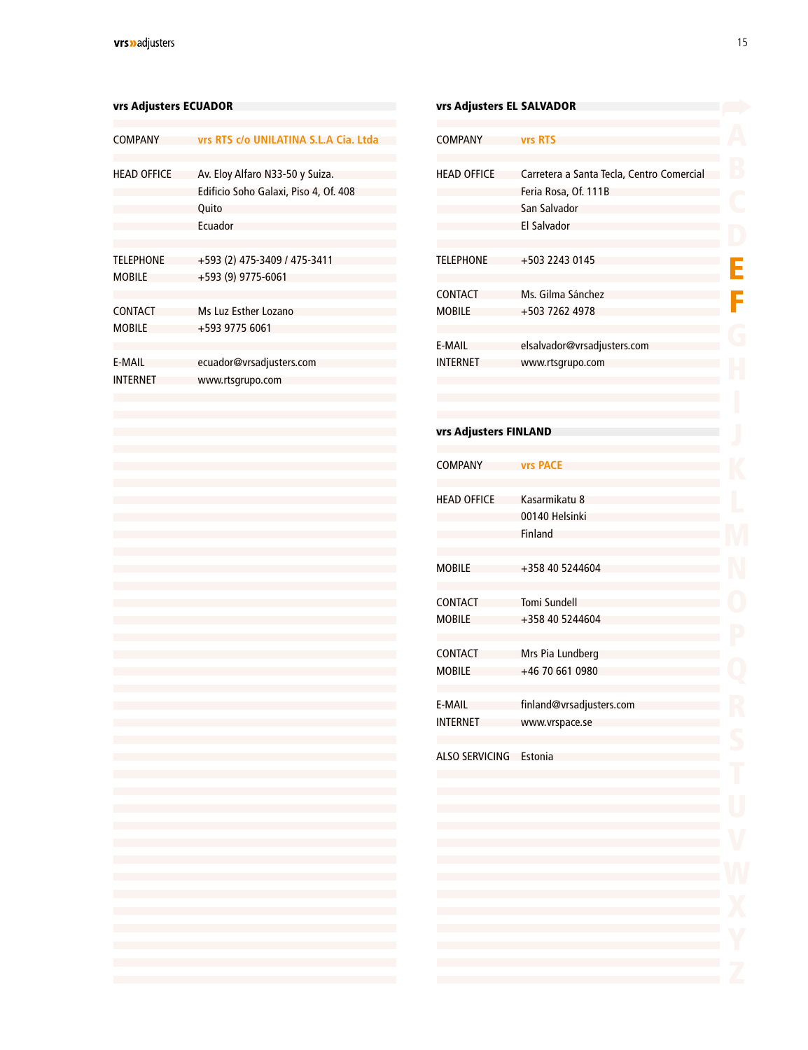#### <span id="page-13-0"></span>vrs Adjusters ECUADOR

| <b>COMPANY</b>                     | vrs RTS c/o UNILATINA S.L.A Cia. Ltda                                                        |
|------------------------------------|----------------------------------------------------------------------------------------------|
| <b>HEAD OFFICE</b>                 | Av. Eloy Alfaro N33-50 y Suiza.<br>Edificio Soho Galaxi, Piso 4, Of. 408<br>Quito<br>Fruador |
| <b>TFI FPHONF</b><br><b>MOBILE</b> | +593 (2) 475-3409 / 475-3411<br>+593 (9) 9775-6061                                           |
| CONTACT<br><b>MOBILE</b>           | Ms Luz Esther Lozano<br>+593 9775 6061                                                       |
| F-MAII<br>INTERNET                 | ecuador@vrsadjusters.com<br>www.rtsgrupo.com                                                 |
|                                    |                                                                                              |

### vrs Adjusters EL SALVADOR **COMPANY vrs RTS** HEAD OFFICE Carretera a Santa Tecla, Centro Comercial Feria Rosa, Of. 111B San Salvador El Salvador TELEPHONE +503 2243 0145 Ē **CONTACT** Ms. Gilma Sánchez F +503 7262 4978 MOBILE E-MAIL [elsalvador@vrsadjusters.com](mailto:elsalvador%40vrsadjusters.com?subject=) INTERNET [www.rtsgrupo.com](http://www.rtsgrupo.com) vrs Adjusters FINLANDCOMPANY **vrs PACE** HEAD OFFICE Kasarmikatu 8 00140 Helsinki Finland MOBILE +358 40 5244604 **CONTACT** Tomi Sundell MOBILE +358 40 5244604 Mrs Pia Lundberg CONTACT MOBILE +46 70 661 0980 E-MAIL [finland@vrsadjusters.com](mailto:finland%40vrsadjusters.com?subject=) INTERNET [www.vrspace.se](http://www.vrspace.se) ALSO SERVICING Estonia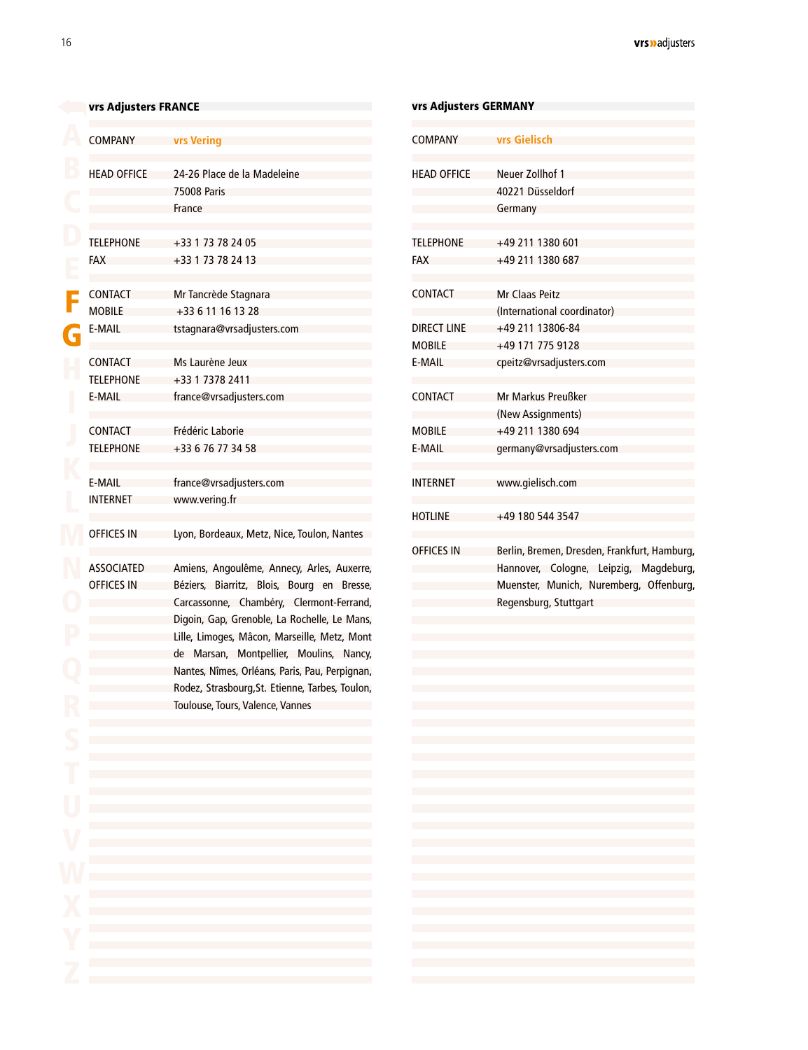#### <span id="page-14-0"></span>[v](#page-2-0)rs Adjusters FRANCE

| <b>COMPANY</b>     | <b>vrs Vering</b>                                                                                                                                                                                                                 |
|--------------------|-----------------------------------------------------------------------------------------------------------------------------------------------------------------------------------------------------------------------------------|
| <b>HEAD OFFICE</b> | 24-26 Place de la Madeleine                                                                                                                                                                                                       |
|                    | <b>75008 Paris</b>                                                                                                                                                                                                                |
|                    | France                                                                                                                                                                                                                            |
| <b>TELEPHONE</b>   | +33 1 73 78 24 05                                                                                                                                                                                                                 |
| <b>FAX</b>         | +33 1 73 78 24 13                                                                                                                                                                                                                 |
|                    |                                                                                                                                                                                                                                   |
| <b>CONTACT</b>     | Mr Tancrède Stagnara                                                                                                                                                                                                              |
| <b>MOBILE</b>      | +33 6 11 16 13 28                                                                                                                                                                                                                 |
| E-MAIL             | tstagnara@vrsadjusters.com                                                                                                                                                                                                        |
| <b>CONTACT</b>     | Ms Laurène Jeux                                                                                                                                                                                                                   |
| <b>TELEPHONE</b>   | +33 1 7378 2411                                                                                                                                                                                                                   |
| E-MAIL             |                                                                                                                                                                                                                                   |
|                    | france@vrsadjusters.com                                                                                                                                                                                                           |
| <b>CONTACT</b>     | Frédéric Laborie                                                                                                                                                                                                                  |
| <b>TELEPHONE</b>   | +33 6 76 77 34 58                                                                                                                                                                                                                 |
|                    |                                                                                                                                                                                                                                   |
| E-MAIL             | france@vrsadjusters.com                                                                                                                                                                                                           |
| <b>INTERNET</b>    | www.vering.fr                                                                                                                                                                                                                     |
| <b>OFFICES IN</b>  | Lyon, Bordeaux, Metz, Nice, Toulon, Nantes                                                                                                                                                                                        |
| <b>ASSOCIATED</b>  | Amiens, Angoulême, Annecy, Arles, Auxerre,                                                                                                                                                                                        |
| <b>OFFICES IN</b>  | Béziers, Biarritz, Blois, Bourg en Bresse,                                                                                                                                                                                        |
|                    | Carcassonne, Chambéry, Clermont-Ferrand,                                                                                                                                                                                          |
|                    | Digoin, Gap, Grenoble, La Rochelle, Le Mans,                                                                                                                                                                                      |
|                    | Lille, Limoges, Mâcon, Marseille, Metz, Mont                                                                                                                                                                                      |
|                    | de Marsan, Montpellier, Moulins, Nancy,                                                                                                                                                                                           |
|                    | Nantes, Nîmes, Orléans, Paris, Pau, Perpignan,                                                                                                                                                                                    |
|                    | Rodez, Strasbourg, St. Etienne, Tarbes, Toulon,                                                                                                                                                                                   |
|                    | Toulouse, Tours, Valence, Vannes                                                                                                                                                                                                  |
|                    |                                                                                                                                                                                                                                   |
|                    |                                                                                                                                                                                                                                   |
|                    |                                                                                                                                                                                                                                   |
|                    |                                                                                                                                                                                                                                   |
|                    | the contract of the contract of the contract of the contract of the contract of the contract of the contract of                                                                                                                   |
|                    | the control of the control of the control of the control of the control of the control of the control of the control of                                                                                                           |
|                    | a se de la construcción de la construcción de la construcción de la construcción de la construcción de la const<br>A la construcción de la construcción de la construcción de la construcción de la construcción de la construcci |
|                    |                                                                                                                                                                                                                                   |
|                    | the control of the control of the control of the control of the control of the control of                                                                                                                                         |
|                    | the contract of the contract of the contract of the contract of the contract of the contract of the contract of                                                                                                                   |
|                    | the contract of the contract of the contract of the contract of the contract of the contract of the contract of                                                                                                                   |

| vrs Adjusters GERMANY          |                                                                                                                                                            |  |
|--------------------------------|------------------------------------------------------------------------------------------------------------------------------------------------------------|--|
| COMPANY                        | vrs Gielisch                                                                                                                                               |  |
| <b>HEAD OFFICE</b>             | Neuer Zollhof 1<br>40221 Düsseldorf<br>Germany                                                                                                             |  |
| <b>TELEPHONE</b><br><b>FAX</b> | +49 211 1380 601<br>+49 211 1380 687                                                                                                                       |  |
| <b>CONTACT</b>                 | Mr Claas Peitz<br>(International coordinator)                                                                                                              |  |
| <b>DIRECT LINE</b>             | +49 211 13806-84                                                                                                                                           |  |
| <b>MOBILE</b>                  | +49 171 775 9128                                                                                                                                           |  |
| F-MAII                         | cpeitz@vrsadjusters.com                                                                                                                                    |  |
| <b>CONTACT</b>                 | Mr Markus Preußker<br>(New Assignments)                                                                                                                    |  |
| <b>MOBILE</b>                  | +49 211 1380 694                                                                                                                                           |  |
| F-MAII                         | germany@vrsadjusters.com                                                                                                                                   |  |
| <b>INTERNET</b>                | www.gielisch.com                                                                                                                                           |  |
| <b>HOTLINE</b>                 | +49 180 544 3547                                                                                                                                           |  |
| <b>OFFICES IN</b>              | Berlin, Bremen, Dresden, Frankfurt, Hamburg,<br>Hannover, Cologne, Leipzig, Magdeburg,<br>Muenster, Munich, Nuremberg, Offenburg,<br>Regensburg, Stuttgart |  |

 $\overline{\phantom{a}}$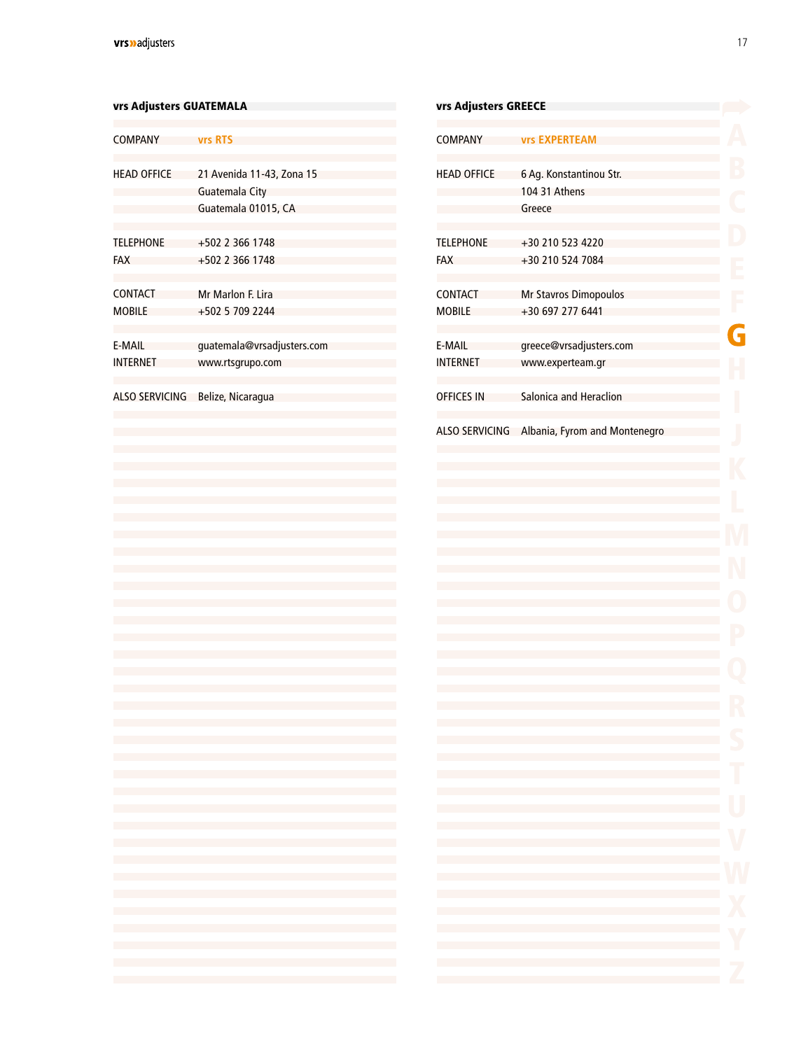### <span id="page-15-0"></span>COMPANY **vrs RTS** HEAD OFFICE TELEPHONE FAX +502 2 366 1748 CONTACT Mr Marlon F. Lira **MOBILE** E-MAIL INTERNET ALSO SERVICING Belize, Nicaragua 21 Avenida 11-43, Zona 15 Guatemala City Guatemala 01015, CA +502 2 366 1748 +502 5 709 2244 [guatemala@vrsadjusters.com](mailto:guatemala%40vrsadjusters.com?subject=) [www.rtsgrupo.com](http://www.rtsgrupo.com) vrs Adjusters GUATEMALA

| the control of the control of the control of the control of the control of the control of the control of the control of the control of the control of the control of the control of the control of the control of the control<br>the control of the control of the control of the control of the control of the control of the control of the control of the control of the control of the control of the control of the control of the control of the control                                                                                                                                                                                                                                                                                                                                                                                                                                                                   |
|----------------------------------------------------------------------------------------------------------------------------------------------------------------------------------------------------------------------------------------------------------------------------------------------------------------------------------------------------------------------------------------------------------------------------------------------------------------------------------------------------------------------------------------------------------------------------------------------------------------------------------------------------------------------------------------------------------------------------------------------------------------------------------------------------------------------------------------------------------------------------------------------------------------------------------|
| the control of the control of the control of the control of the control of the control of the control of the control of the control of the control of the control of the control of the control of the control of the control                                                                                                                                                                                                                                                                                                                                                                                                                                                                                                                                                                                                                                                                                                    |
|                                                                                                                                                                                                                                                                                                                                                                                                                                                                                                                                                                                                                                                                                                                                                                                                                                                                                                                                  |
|                                                                                                                                                                                                                                                                                                                                                                                                                                                                                                                                                                                                                                                                                                                                                                                                                                                                                                                                  |
| the control of the control of the control of the control of the control of the control of the control of the control of the control of the control of the control of the control of the control of the control of the control<br>the control of the control of the control of the control of the control of the control of the control of the control of the control of the control of the control of the control of the control of the control of the control<br>the control of the control of the control of the control of the control of the control of the control of the control of the control of the control of the control of the control of the control of the control of the control<br>the control of the control of the control of the control of the control of the control of the control of the control of the control of the control of the control of the control of the control of the control of the control |
| the control of the control of the control of the control of the control of the control of<br>the contract of the contract of the contract of the contract of the contract of the contract of the contract of                                                                                                                                                                                                                                                                                                                                                                                                                                                                                                                                                                                                                                                                                                                     |
|                                                                                                                                                                                                                                                                                                                                                                                                                                                                                                                                                                                                                                                                                                                                                                                                                                                                                                                                  |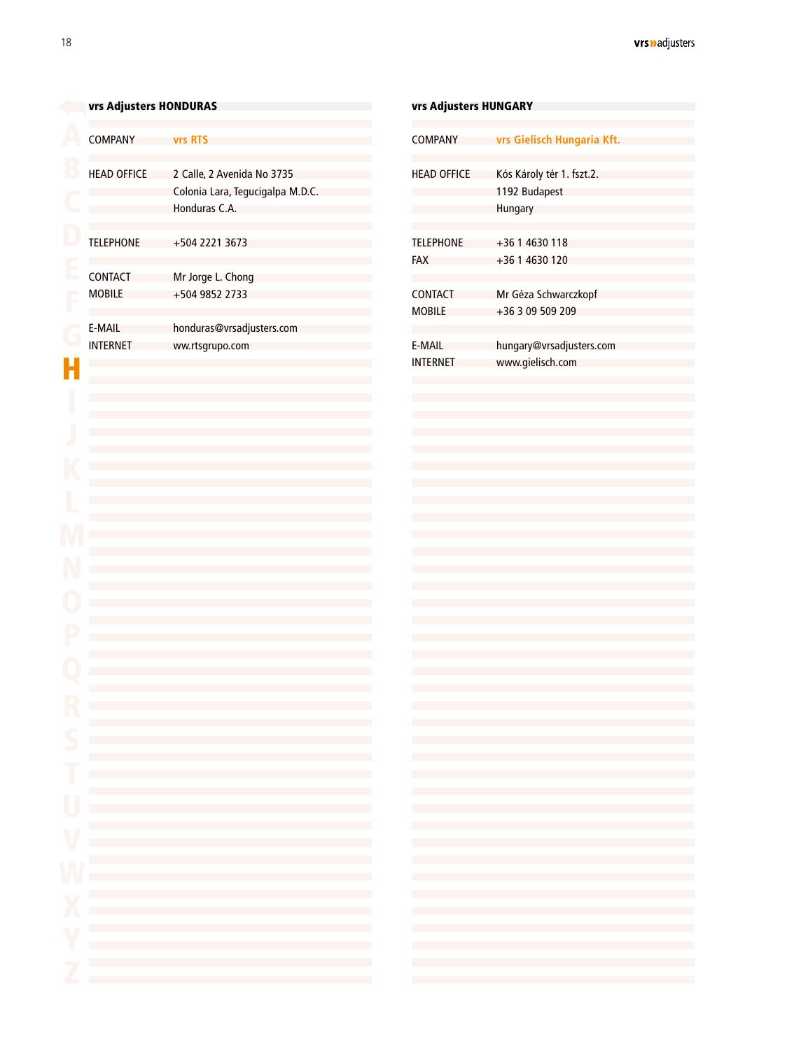<span id="page-16-0"></span>

| vrs Adjusters HONDURAS |                                                                                                                                                                                                                                                                                                                                                                                                                                                                | vrs Adjusters HUNGARY                                                               |                                |
|------------------------|----------------------------------------------------------------------------------------------------------------------------------------------------------------------------------------------------------------------------------------------------------------------------------------------------------------------------------------------------------------------------------------------------------------------------------------------------------------|-------------------------------------------------------------------------------------|--------------------------------|
| <b>COMPANY</b>         | <b>vrs RTS</b>                                                                                                                                                                                                                                                                                                                                                                                                                                                 | <b>COMPANY</b>                                                                      | <b>vrs</b> Giel                |
| <b>HEAD OFFICE</b>     | 2 Calle, 2 Avenida No 3735<br>Colonia Lara, Tegucigalpa M.D.C.<br>Honduras C.A.                                                                                                                                                                                                                                                                                                                                                                                | <b>HEAD OFFICE</b>                                                                  | Kós Káro<br>1192 Bu<br>Hungary |
| <b>TELEPHONE</b>       | +504 2221 3673                                                                                                                                                                                                                                                                                                                                                                                                                                                 | <b>TELEPHONE</b>                                                                    | $+3614$                        |
| <b>CONTACT</b>         | Mr Jorge L. Chong                                                                                                                                                                                                                                                                                                                                                                                                                                              | <b>FAX</b>                                                                          | $+3614$                        |
| <b>MOBILE</b>          | +504 9852 2733                                                                                                                                                                                                                                                                                                                                                                                                                                                 | <b>CONTACT</b><br><b>MOBILE</b>                                                     | Mr Géza<br>$+3630$             |
| E-MAIL                 | honduras@vrsadjusters.com                                                                                                                                                                                                                                                                                                                                                                                                                                      |                                                                                     |                                |
| <b>INTERNET</b>        | ww.rtsgrupo.com                                                                                                                                                                                                                                                                                                                                                                                                                                                | E-MAIL<br><b>INTERNET</b>                                                           | hungary<br>www.gi              |
|                        |                                                                                                                                                                                                                                                                                                                                                                                                                                                                |                                                                                     |                                |
|                        |                                                                                                                                                                                                                                                                                                                                                                                                                                                                |                                                                                     |                                |
|                        |                                                                                                                                                                                                                                                                                                                                                                                                                                                                |                                                                                     |                                |
|                        |                                                                                                                                                                                                                                                                                                                                                                                                                                                                |                                                                                     |                                |
|                        |                                                                                                                                                                                                                                                                                                                                                                                                                                                                |                                                                                     |                                |
|                        |                                                                                                                                                                                                                                                                                                                                                                                                                                                                |                                                                                     |                                |
|                        |                                                                                                                                                                                                                                                                                                                                                                                                                                                                |                                                                                     |                                |
|                        |                                                                                                                                                                                                                                                                                                                                                                                                                                                                |                                                                                     |                                |
|                        |                                                                                                                                                                                                                                                                                                                                                                                                                                                                |                                                                                     |                                |
|                        |                                                                                                                                                                                                                                                                                                                                                                                                                                                                |                                                                                     |                                |
|                        | the control of the control of the control of the control of the control of the control of<br>the control of the control of the control of the control of the control of the control of                                                                                                                                                                                                                                                                         | the control of the control of the control of<br>and the control of the control of   |                                |
|                        | the control of the control of the control of the control of the control of the control of the control of the control of the control of the control of the control of the control of the control of the control of the control<br>the control of the control of the control of the control of the control of the control of the control of the control of the control of the control of the control of the control of the control of the control of the control | and the control of the control of<br>and the control of the control of              |                                |
|                        | and the control of the control of the control of the control of the control of the control of                                                                                                                                                                                                                                                                                                                                                                  | and the state of the state of the                                                   |                                |
|                        | the control of the control of the control of the control of the control of the control of<br>and the control of the control of the control of the control of the control of the control of                                                                                                                                                                                                                                                                     |                                                                                     |                                |
|                        | and the state of the state of the state of the state of the state of the state of the<br>and the control of the control of the control of the control of the control of the control of the control of the                                                                                                                                                                                                                                                      |                                                                                     |                                |
|                        | the control of the control of the control of the control of the control of the control of<br>and the control of the control of the control of the control of the control of the control of the control of the                                                                                                                                                                                                                                                  | the control of the control of the control of<br>the contract of the contract of the |                                |
|                        | the control of the control of the control of the control of the control of the control of<br>and the control of the control of the control of the control of the control of the control of                                                                                                                                                                                                                                                                     |                                                                                     |                                |
|                        | the control of the control of the control of the control of the control of the control of                                                                                                                                                                                                                                                                                                                                                                      |                                                                                     |                                |
|                        |                                                                                                                                                                                                                                                                                                                                                                                                                                                                |                                                                                     |                                |

| vrs Adjusters HUNGARY     |                                                                                                                                                                                                                                                                                                                                                                                                                                                                                                                                                                                                                                                                                                                                                                                                                                                                                                                                                                                                                                                                                                                                                                                                                                                                                                                                                                                           |  |  |  |
|---------------------------|-------------------------------------------------------------------------------------------------------------------------------------------------------------------------------------------------------------------------------------------------------------------------------------------------------------------------------------------------------------------------------------------------------------------------------------------------------------------------------------------------------------------------------------------------------------------------------------------------------------------------------------------------------------------------------------------------------------------------------------------------------------------------------------------------------------------------------------------------------------------------------------------------------------------------------------------------------------------------------------------------------------------------------------------------------------------------------------------------------------------------------------------------------------------------------------------------------------------------------------------------------------------------------------------------------------------------------------------------------------------------------------------|--|--|--|
| COMPANY                   | vrs Gielisch Hungaria Kft.                                                                                                                                                                                                                                                                                                                                                                                                                                                                                                                                                                                                                                                                                                                                                                                                                                                                                                                                                                                                                                                                                                                                                                                                                                                                                                                                                                |  |  |  |
| <b>HEAD OFFICE</b>        | Kós Károly tér 1. fszt.2.<br>1192 Budapest<br>Hungary                                                                                                                                                                                                                                                                                                                                                                                                                                                                                                                                                                                                                                                                                                                                                                                                                                                                                                                                                                                                                                                                                                                                                                                                                                                                                                                                     |  |  |  |
| <b>TELEPHONE</b><br>FAX   | +36 1 4630 118<br>+36 1 4630 120                                                                                                                                                                                                                                                                                                                                                                                                                                                                                                                                                                                                                                                                                                                                                                                                                                                                                                                                                                                                                                                                                                                                                                                                                                                                                                                                                          |  |  |  |
| CONTACT<br>MOBILE         | Mr Géza Schwarczkopf<br>+36 3 09 509 209                                                                                                                                                                                                                                                                                                                                                                                                                                                                                                                                                                                                                                                                                                                                                                                                                                                                                                                                                                                                                                                                                                                                                                                                                                                                                                                                                  |  |  |  |
| E-MAIL<br><b>INTERNET</b> | hungary@vrsadjusters.com<br>www.gielisch.com                                                                                                                                                                                                                                                                                                                                                                                                                                                                                                                                                                                                                                                                                                                                                                                                                                                                                                                                                                                                                                                                                                                                                                                                                                                                                                                                              |  |  |  |
|                           |                                                                                                                                                                                                                                                                                                                                                                                                                                                                                                                                                                                                                                                                                                                                                                                                                                                                                                                                                                                                                                                                                                                                                                                                                                                                                                                                                                                           |  |  |  |
|                           |                                                                                                                                                                                                                                                                                                                                                                                                                                                                                                                                                                                                                                                                                                                                                                                                                                                                                                                                                                                                                                                                                                                                                                                                                                                                                                                                                                                           |  |  |  |
|                           |                                                                                                                                                                                                                                                                                                                                                                                                                                                                                                                                                                                                                                                                                                                                                                                                                                                                                                                                                                                                                                                                                                                                                                                                                                                                                                                                                                                           |  |  |  |
|                           |                                                                                                                                                                                                                                                                                                                                                                                                                                                                                                                                                                                                                                                                                                                                                                                                                                                                                                                                                                                                                                                                                                                                                                                                                                                                                                                                                                                           |  |  |  |
|                           |                                                                                                                                                                                                                                                                                                                                                                                                                                                                                                                                                                                                                                                                                                                                                                                                                                                                                                                                                                                                                                                                                                                                                                                                                                                                                                                                                                                           |  |  |  |
|                           |                                                                                                                                                                                                                                                                                                                                                                                                                                                                                                                                                                                                                                                                                                                                                                                                                                                                                                                                                                                                                                                                                                                                                                                                                                                                                                                                                                                           |  |  |  |
|                           |                                                                                                                                                                                                                                                                                                                                                                                                                                                                                                                                                                                                                                                                                                                                                                                                                                                                                                                                                                                                                                                                                                                                                                                                                                                                                                                                                                                           |  |  |  |
|                           | the control of the control of the control of the control of the control of the control of<br>$\mathcal{L}(\mathcal{L}(\mathcal{L}(\mathcal{L}(\mathcal{L}(\mathcal{L}(\mathcal{L}(\mathcal{L}(\mathcal{L}(\mathcal{L}(\mathcal{L}(\mathcal{L}(\mathcal{L}(\mathcal{L}(\mathcal{L}(\mathcal{L}(\mathcal{L}(\mathcal{L}(\mathcal{L}(\mathcal{L}(\mathcal{L}(\mathcal{L}(\mathcal{L}(\mathcal{L}(\mathcal{L}(\mathcal{L}(\mathcal{L}(\mathcal{L}(\mathcal{L}(\mathcal{L}(\mathcal{L}(\mathcal{L}(\mathcal{L}(\mathcal{L}(\mathcal{L}(\mathcal{L}(\mathcal{$<br>$\mathcal{L}(\mathcal{L}(\mathcal{L}(\mathcal{L}(\mathcal{L}(\mathcal{L}(\mathcal{L}(\mathcal{L}(\mathcal{L}(\mathcal{L}(\mathcal{L}(\mathcal{L}(\mathcal{L}(\mathcal{L}(\mathcal{L}(\mathcal{L}(\mathcal{L}(\mathcal{L}(\mathcal{L}(\mathcal{L}(\mathcal{L}(\mathcal{L}(\mathcal{L}(\mathcal{L}(\mathcal{L}(\mathcal{L}(\mathcal{L}(\mathcal{L}(\mathcal{L}(\mathcal{L}(\mathcal{L}(\mathcal{L}(\mathcal{L}(\mathcal{L}(\mathcal{L}(\mathcal{L}(\mathcal{$                                                                                                                                                                                                                                                                                                                                                                   |  |  |  |
|                           | $\mathcal{L}(\mathcal{L}(\mathcal{L}(\mathcal{L}(\mathcal{L}(\mathcal{L}(\mathcal{L}(\mathcal{L}(\mathcal{L}(\mathcal{L}(\mathcal{L}(\mathcal{L}(\mathcal{L}(\mathcal{L}(\mathcal{L}(\mathcal{L}(\mathcal{L}(\mathcal{L}(\mathcal{L}(\mathcal{L}(\mathcal{L}(\mathcal{L}(\mathcal{L}(\mathcal{L}(\mathcal{L}(\mathcal{L}(\mathcal{L}(\mathcal{L}(\mathcal{L}(\mathcal{L}(\mathcal{L}(\mathcal{L}(\mathcal{L}(\mathcal{L}(\mathcal{L}(\mathcal{L}(\mathcal{$<br>$\mathcal{L}(\mathcal{L}(\mathcal{L}(\mathcal{L}(\mathcal{L}(\mathcal{L}(\mathcal{L}(\mathcal{L}(\mathcal{L}(\mathcal{L}(\mathcal{L}(\mathcal{L}(\mathcal{L}(\mathcal{L}(\mathcal{L}(\mathcal{L}(\mathcal{L}(\mathcal{L}(\mathcal{L}(\mathcal{L}(\mathcal{L}(\mathcal{L}(\mathcal{L}(\mathcal{L}(\mathcal{L}(\mathcal{L}(\mathcal{L}(\mathcal{L}(\mathcal{L}(\mathcal{L}(\mathcal{L}(\mathcal{L}(\mathcal{L}(\mathcal{L}(\mathcal{L}(\mathcal{L}(\mathcal{$<br>$\mathcal{L}(\mathcal{L}(\mathcal{L}(\mathcal{L}(\mathcal{L}(\mathcal{L}(\mathcal{L}(\mathcal{L}(\mathcal{L}(\mathcal{L}(\mathcal{L}(\mathcal{L}(\mathcal{L}(\mathcal{L}(\mathcal{L}(\mathcal{L}(\mathcal{L}(\mathcal{L}(\mathcal{L}(\mathcal{L}(\mathcal{L}(\mathcal{L}(\mathcal{L}(\mathcal{L}(\mathcal{L}(\mathcal{L}(\mathcal{L}(\mathcal{L}(\mathcal{L}(\mathcal{L}(\mathcal{L}(\mathcal{L}(\mathcal{L}(\mathcal{L}(\mathcal{L}(\mathcal{L}(\mathcal{$ |  |  |  |
|                           | and the control of the control of the control of the control of the control of the control of<br>the control of the control of the control of the control of the control of the control of                                                                                                                                                                                                                                                                                                                                                                                                                                                                                                                                                                                                                                                                                                                                                                                                                                                                                                                                                                                                                                                                                                                                                                                                |  |  |  |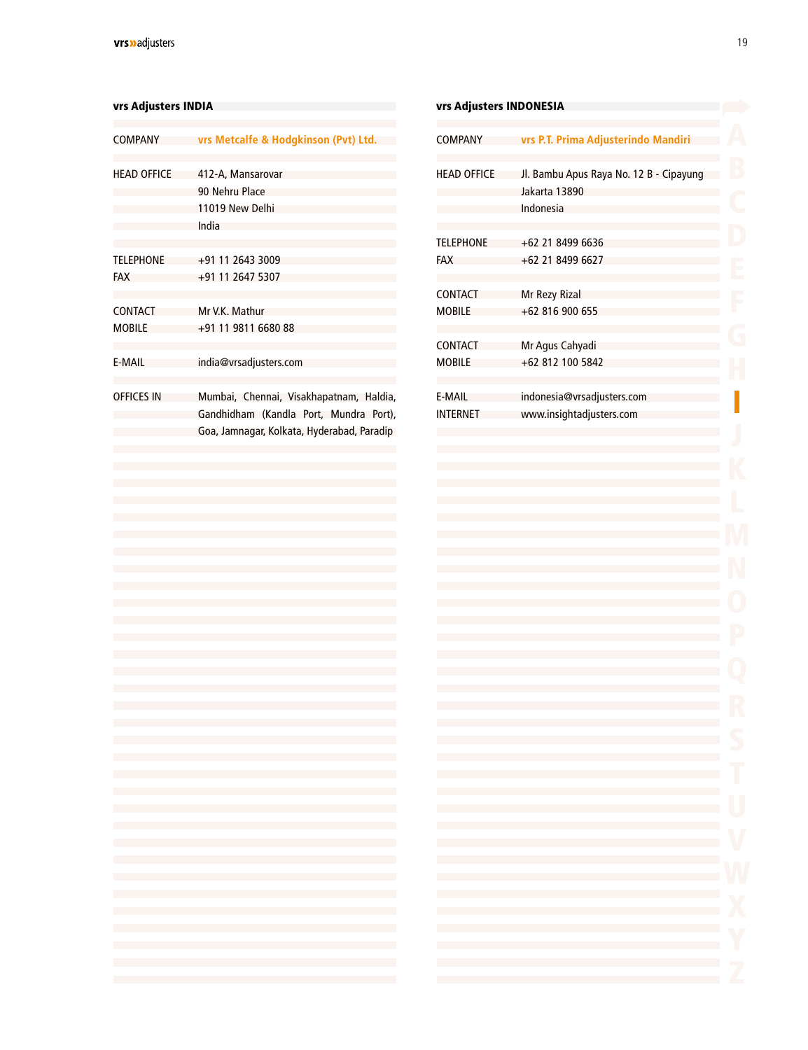#### <span id="page-17-0"></span>vrs Adjusters INDIA

| COMPANY                        | vrs Metcalfe & Hodgkinson (Pvt) Ltd.                                                                                            |
|--------------------------------|---------------------------------------------------------------------------------------------------------------------------------|
| <b>HEAD OFFICE</b>             | 412-A, Mansarovar<br>90 Nehru Place<br>11019 New Delhi<br>India                                                                 |
| <b>TELEPHONE</b><br><b>FAX</b> | +91 11 2643 3009<br>+91 11 2647 5307                                                                                            |
| CONTACT<br><b>MOBILE</b>       | Mr V.K. Mathur<br>$+91$ 11 9811 6680 88                                                                                         |
| F-MAII                         | india@vrsadjusters.com                                                                                                          |
| <b>OFFICES IN</b>              | Mumbai, Chennai, Visakhapatnam, Haldia,<br>Gandhidham (Kandla Port, Mundra Port),<br>Goa, Jamnagar, Kolkata, Hyderabad, Paradip |

| vrs Adjusters INDONESIA |                                                                                                                                                                                                                               |  |
|-------------------------|-------------------------------------------------------------------------------------------------------------------------------------------------------------------------------------------------------------------------------|--|
| <b>COMPANY</b>          | vrs P.T. Prima Adjusterindo Mandiri                                                                                                                                                                                           |  |
| <b>HEAD OFFICE</b>      | Jl. Bambu Apus Raya No. 12 B - Cipayung<br>Jakarta 13890                                                                                                                                                                      |  |
|                         | Indonesia                                                                                                                                                                                                                     |  |
| <b>TELEPHONE</b>        | +62 21 8499 6636                                                                                                                                                                                                              |  |
| <b>FAX</b>              | +62 21 8499 6627                                                                                                                                                                                                              |  |
| <b>CONTACT</b>          | Mr Rezy Rizal                                                                                                                                                                                                                 |  |
| <b>MOBILE</b>           | +62 816 900 655                                                                                                                                                                                                               |  |
| CONTACT                 | Mr Agus Cahyadi                                                                                                                                                                                                               |  |
| <b>MOBILE</b>           | +62 812 100 5842                                                                                                                                                                                                              |  |
| <b>E-MAIL</b>           | indonesia@vrsadjusters.com                                                                                                                                                                                                    |  |
| <b>INTERNET</b>         | www.insightadjusters.com                                                                                                                                                                                                      |  |
|                         |                                                                                                                                                                                                                               |  |
|                         |                                                                                                                                                                                                                               |  |
|                         |                                                                                                                                                                                                                               |  |
|                         |                                                                                                                                                                                                                               |  |
|                         |                                                                                                                                                                                                                               |  |
|                         |                                                                                                                                                                                                                               |  |
|                         |                                                                                                                                                                                                                               |  |
|                         |                                                                                                                                                                                                                               |  |
|                         |                                                                                                                                                                                                                               |  |
|                         |                                                                                                                                                                                                                               |  |
|                         |                                                                                                                                                                                                                               |  |
|                         |                                                                                                                                                                                                                               |  |
|                         | and the control of the control of the control of the control of the control of the control of                                                                                                                                 |  |
|                         | and the control of the control of the control of the control of the control of the control of                                                                                                                                 |  |
|                         | and the control of the control of the control of the control of the control of the control of the control of the<br>and the state of the state of the state of the state of the state of the state of                         |  |
|                         |                                                                                                                                                                                                                               |  |
|                         |                                                                                                                                                                                                                               |  |
|                         |                                                                                                                                                                                                                               |  |
|                         | the contract of the contract of the contract of the contract of the contract of the contract of the contract of                                                                                                               |  |
|                         | the control of the control of the control of the control of the control of the control of the control of the control of the control of the control of the control of the control of the control of the control of the control |  |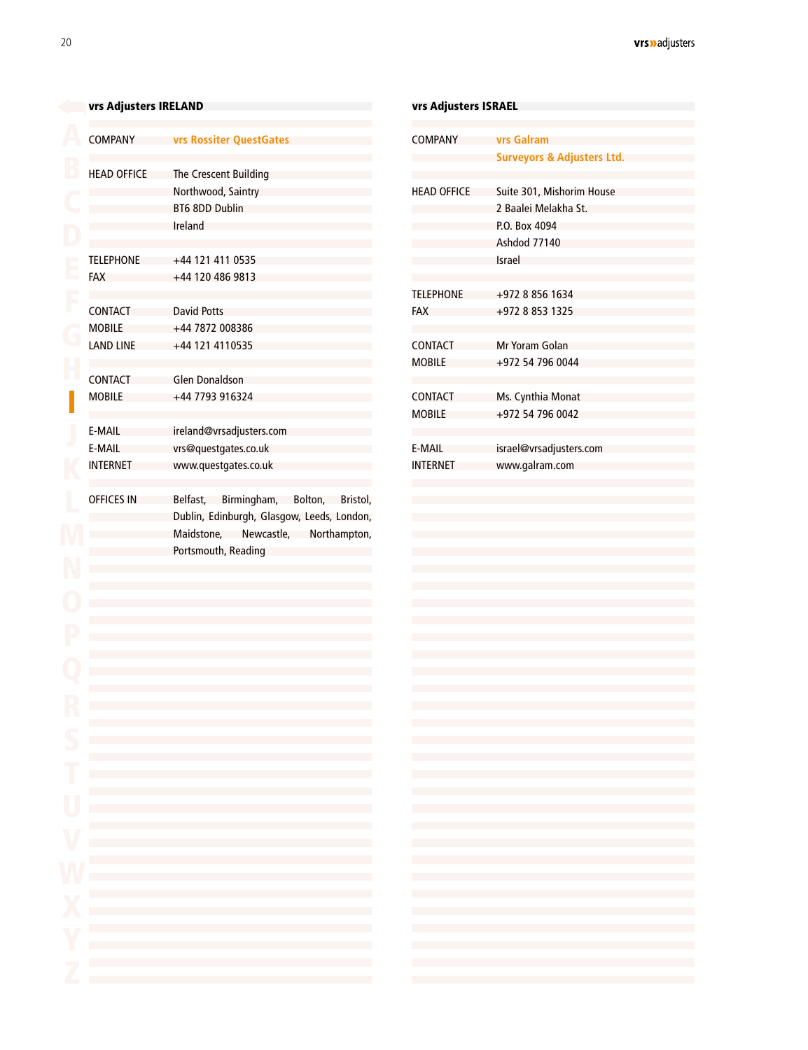<span id="page-18-0"></span>

|                        | vrs Adjusters IRELAND           |                                                                                                                                                                                                                                                                                                                                                                                                                                                                                                                                                                                                                                                                                                                                                                                                                                                                                                                                                                                                                                                                                                                                                                                                                                                                                                                                                                                                                                    | vrs Adjusters ISRAEL                                                                                                                                                                                                                                                                                                                                |              |
|------------------------|---------------------------------|------------------------------------------------------------------------------------------------------------------------------------------------------------------------------------------------------------------------------------------------------------------------------------------------------------------------------------------------------------------------------------------------------------------------------------------------------------------------------------------------------------------------------------------------------------------------------------------------------------------------------------------------------------------------------------------------------------------------------------------------------------------------------------------------------------------------------------------------------------------------------------------------------------------------------------------------------------------------------------------------------------------------------------------------------------------------------------------------------------------------------------------------------------------------------------------------------------------------------------------------------------------------------------------------------------------------------------------------------------------------------------------------------------------------------------|-----------------------------------------------------------------------------------------------------------------------------------------------------------------------------------------------------------------------------------------------------------------------------------------------------------------------------------------------------|--------------|
|                        | <b>COMPANY</b>                  | vrs Rossiter QuestGates                                                                                                                                                                                                                                                                                                                                                                                                                                                                                                                                                                                                                                                                                                                                                                                                                                                                                                                                                                                                                                                                                                                                                                                                                                                                                                                                                                                                            | <b>COMPANY</b>                                                                                                                                                                                                                                                                                                                                      | vrs (        |
|                        |                                 |                                                                                                                                                                                                                                                                                                                                                                                                                                                                                                                                                                                                                                                                                                                                                                                                                                                                                                                                                                                                                                                                                                                                                                                                                                                                                                                                                                                                                                    |                                                                                                                                                                                                                                                                                                                                                     | Surv         |
|                        | <b>HEAD OFFICE</b>              | The Crescent Building                                                                                                                                                                                                                                                                                                                                                                                                                                                                                                                                                                                                                                                                                                                                                                                                                                                                                                                                                                                                                                                                                                                                                                                                                                                                                                                                                                                                              |                                                                                                                                                                                                                                                                                                                                                     |              |
|                        |                                 | Northwood, Saintry                                                                                                                                                                                                                                                                                                                                                                                                                                                                                                                                                                                                                                                                                                                                                                                                                                                                                                                                                                                                                                                                                                                                                                                                                                                                                                                                                                                                                 | <b>HEAD OFFICE</b>                                                                                                                                                                                                                                                                                                                                  | Suite        |
|                        |                                 | BT6 8DD Dublin                                                                                                                                                                                                                                                                                                                                                                                                                                                                                                                                                                                                                                                                                                                                                                                                                                                                                                                                                                                                                                                                                                                                                                                                                                                                                                                                                                                                                     |                                                                                                                                                                                                                                                                                                                                                     | 2 Bai        |
|                        |                                 | Ireland                                                                                                                                                                                                                                                                                                                                                                                                                                                                                                                                                                                                                                                                                                                                                                                                                                                                                                                                                                                                                                                                                                                                                                                                                                                                                                                                                                                                                            |                                                                                                                                                                                                                                                                                                                                                     | P.O.<br>Asho |
|                        | <b>TELEPHONE</b>                | +44 121 411 0535                                                                                                                                                                                                                                                                                                                                                                                                                                                                                                                                                                                                                                                                                                                                                                                                                                                                                                                                                                                                                                                                                                                                                                                                                                                                                                                                                                                                                   |                                                                                                                                                                                                                                                                                                                                                     | Israe        |
|                        | <b>FAX</b>                      | +44 120 486 9813                                                                                                                                                                                                                                                                                                                                                                                                                                                                                                                                                                                                                                                                                                                                                                                                                                                                                                                                                                                                                                                                                                                                                                                                                                                                                                                                                                                                                   |                                                                                                                                                                                                                                                                                                                                                     |              |
|                        |                                 |                                                                                                                                                                                                                                                                                                                                                                                                                                                                                                                                                                                                                                                                                                                                                                                                                                                                                                                                                                                                                                                                                                                                                                                                                                                                                                                                                                                                                                    | <b>TELEPHONE</b>                                                                                                                                                                                                                                                                                                                                    | $+972$       |
|                        | <b>CONTACT</b>                  | <b>David Potts</b>                                                                                                                                                                                                                                                                                                                                                                                                                                                                                                                                                                                                                                                                                                                                                                                                                                                                                                                                                                                                                                                                                                                                                                                                                                                                                                                                                                                                                 | <b>FAX</b>                                                                                                                                                                                                                                                                                                                                          | $+972$       |
|                        | <b>MOBILE</b>                   | +44 7872 008386                                                                                                                                                                                                                                                                                                                                                                                                                                                                                                                                                                                                                                                                                                                                                                                                                                                                                                                                                                                                                                                                                                                                                                                                                                                                                                                                                                                                                    |                                                                                                                                                                                                                                                                                                                                                     |              |
|                        | <b>LAND LINE</b>                | +44 121 4110535                                                                                                                                                                                                                                                                                                                                                                                                                                                                                                                                                                                                                                                                                                                                                                                                                                                                                                                                                                                                                                                                                                                                                                                                                                                                                                                                                                                                                    | <b>CONTACT</b>                                                                                                                                                                                                                                                                                                                                      | Mr Y         |
|                        | <b>CONTACT</b>                  | <b>Glen Donaldson</b>                                                                                                                                                                                                                                                                                                                                                                                                                                                                                                                                                                                                                                                                                                                                                                                                                                                                                                                                                                                                                                                                                                                                                                                                                                                                                                                                                                                                              | <b>MOBILE</b>                                                                                                                                                                                                                                                                                                                                       | $+972$       |
|                        | <b>MOBILE</b>                   | +44 7793 916324                                                                                                                                                                                                                                                                                                                                                                                                                                                                                                                                                                                                                                                                                                                                                                                                                                                                                                                                                                                                                                                                                                                                                                                                                                                                                                                                                                                                                    | <b>CONTACT</b>                                                                                                                                                                                                                                                                                                                                      | Ms.          |
|                        |                                 |                                                                                                                                                                                                                                                                                                                                                                                                                                                                                                                                                                                                                                                                                                                                                                                                                                                                                                                                                                                                                                                                                                                                                                                                                                                                                                                                                                                                                                    | <b>MOBILE</b>                                                                                                                                                                                                                                                                                                                                       | $+972$       |
|                        | E-MAIL                          | ireland@vrsadjusters.com                                                                                                                                                                                                                                                                                                                                                                                                                                                                                                                                                                                                                                                                                                                                                                                                                                                                                                                                                                                                                                                                                                                                                                                                                                                                                                                                                                                                           |                                                                                                                                                                                                                                                                                                                                                     |              |
|                        | E-MAIL                          | vrs@questgates.co.uk                                                                                                                                                                                                                                                                                                                                                                                                                                                                                                                                                                                                                                                                                                                                                                                                                                                                                                                                                                                                                                                                                                                                                                                                                                                                                                                                                                                                               | E-MAIL                                                                                                                                                                                                                                                                                                                                              | israe        |
|                        | <b>INTERNET</b>                 | www.questgates.co.uk                                                                                                                                                                                                                                                                                                                                                                                                                                                                                                                                                                                                                                                                                                                                                                                                                                                                                                                                                                                                                                                                                                                                                                                                                                                                                                                                                                                                               | <b>INTERNET</b>                                                                                                                                                                                                                                                                                                                                     | <b>WWW</b>   |
| T<br>U<br>$\mathbf{V}$ | <b>OFFICES IN</b>               | Belfast, Birmingham, Bolton, Bristol,<br>Dublin, Edinburgh, Glasgow, Leeds, London,<br>Maidstone, Newcastle, Northampton,<br>Portsmouth, Reading<br>the control of the control of the control of the control of the control of the control of the control of the control of the control of the control of the control of the control of the control of the control of the control<br>the control of the control of the control of the control of the control of the control of the control of the control of the control of the control of the control of the control of the control of the control of the control<br>the control of the control of the control of the control of the control of the control of the control of the control of the control of the control of the control of the control of the control of the control of the control<br>and the control of the control of the control of the control of the control of the control of the control of the<br>the control of the control of the control of the control of the control of the control of the control of the control of the control of the control of the control of the control of the control of the control of the control<br>and the control of the control of the control of the control of the control of the control of the control of the<br>and the state of the state of the state of the state of the state of the state of the state of the | the control of the control of the<br>the contract of the contract of the contract of<br>the contract of the contract of the contract of<br>the contract of the contract of the contract of<br>the contract of the contract of the contract of<br>the contract of the contract of the contract of<br>the contract of the contract of the contract of |              |
|                        |                                 | the control of the control of the control of the control of the control of the control of                                                                                                                                                                                                                                                                                                                                                                                                                                                                                                                                                                                                                                                                                                                                                                                                                                                                                                                                                                                                                                                                                                                                                                                                                                                                                                                                          | the contract of the contract of the contract of<br>the contract of the contract of the contract of                                                                                                                                                                                                                                                  |              |
|                        | the contract of the contract of | and the state of the state of the state of the state of the state of the state of                                                                                                                                                                                                                                                                                                                                                                                                                                                                                                                                                                                                                                                                                                                                                                                                                                                                                                                                                                                                                                                                                                                                                                                                                                                                                                                                                  | the contract of the contract of the contract of                                                                                                                                                                                                                                                                                                     |              |
| $\sqrt{}$              | the control of the control of   | the control of the control of the control of the control of the control of                                                                                                                                                                                                                                                                                                                                                                                                                                                                                                                                                                                                                                                                                                                                                                                                                                                                                                                                                                                                                                                                                                                                                                                                                                                                                                                                                         | the contract of the contract of the contract of                                                                                                                                                                                                                                                                                                     |              |
|                        |                                 |                                                                                                                                                                                                                                                                                                                                                                                                                                                                                                                                                                                                                                                                                                                                                                                                                                                                                                                                                                                                                                                                                                                                                                                                                                                                                                                                                                                                                                    |                                                                                                                                                                                                                                                                                                                                                     |              |

| vrs Adjusters ISRAEL            |                                                                                                     |  |  |
|---------------------------------|-----------------------------------------------------------------------------------------------------|--|--|
| <b>COMPANY</b>                  | vrs Galram<br><b>Surveyors &amp; Adjusters Ltd.</b>                                                 |  |  |
| <b>HEAD OFFICE</b>              | Suite 301, Mishorim House<br>2 Baalei Melakha St.<br>P.O. Box 4094<br><b>Ashdod 77140</b><br>Israel |  |  |
| <b>TELEPHONE</b><br>FAX         | +972 8 856 1634<br>+972 8 853 1325                                                                  |  |  |
| CONTACT<br><b>MOBILE</b>        | Mr Yoram Golan<br>+972 54 796 0044                                                                  |  |  |
| <b>CONTACT</b><br><b>MOBILE</b> | Ms. Cynthia Monat<br>+972 54 796 0042                                                               |  |  |
| E-MAIL<br><b>INTERNET</b>       | israel@vrsadjusters.com<br>www.galram.com                                                           |  |  |
|                                 |                                                                                                     |  |  |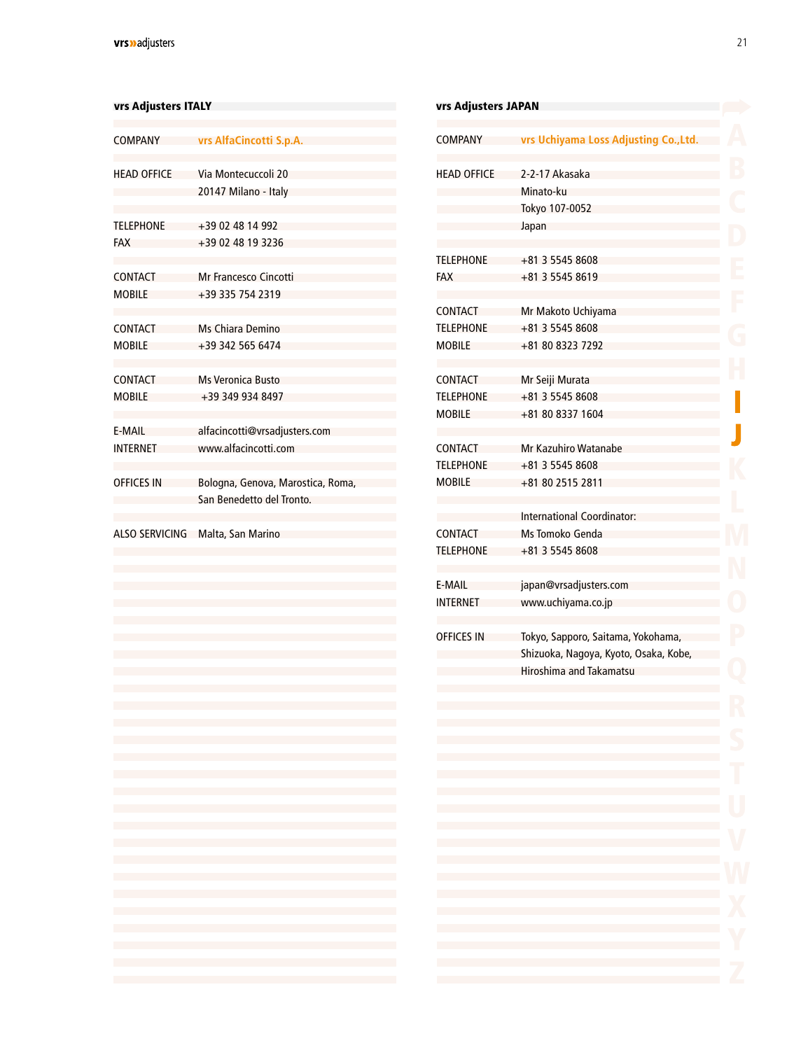#### <span id="page-19-0"></span>vrs Adjusters ITALY

| <b>COMPANY</b>                  | vrs AlfaCincotti S.p.A.                                                                                                                                                                                                                                                                                                                                                                                                                                                                                                                            |
|---------------------------------|----------------------------------------------------------------------------------------------------------------------------------------------------------------------------------------------------------------------------------------------------------------------------------------------------------------------------------------------------------------------------------------------------------------------------------------------------------------------------------------------------------------------------------------------------|
| <b>HEAD OFFICE</b>              | Via Montecuccoli 20<br>20147 Milano - Italy                                                                                                                                                                                                                                                                                                                                                                                                                                                                                                        |
| <b>TELEPHONE</b><br><b>FAX</b>  | +39 02 48 14 992<br>+39 02 48 19 3236                                                                                                                                                                                                                                                                                                                                                                                                                                                                                                              |
| <b>CONTACT</b><br><b>MOBILE</b> | <b>Mr Francesco Cincotti</b><br>+39 335 754 2319                                                                                                                                                                                                                                                                                                                                                                                                                                                                                                   |
| <b>CONTACT</b><br><b>MOBILE</b> | Ms Chiara Demino<br>+39 342 565 6474                                                                                                                                                                                                                                                                                                                                                                                                                                                                                                               |
| <b>CONTACT</b><br><b>MOBILE</b> | <b>Ms Veronica Busto</b><br>+39 349 934 8497                                                                                                                                                                                                                                                                                                                                                                                                                                                                                                       |
| E-MAIL<br><b>INTERNET</b>       | alfacincotti@vrsadjusters.com<br>www.alfacincotti.com                                                                                                                                                                                                                                                                                                                                                                                                                                                                                              |
| <b>OFFICES IN</b>               | Bologna, Genova, Marostica, Roma,<br>San Benedetto del Tronto.                                                                                                                                                                                                                                                                                                                                                                                                                                                                                     |
|                                 | ALSO SERVICING Malta, San Marino                                                                                                                                                                                                                                                                                                                                                                                                                                                                                                                   |
|                                 |                                                                                                                                                                                                                                                                                                                                                                                                                                                                                                                                                    |
|                                 |                                                                                                                                                                                                                                                                                                                                                                                                                                                                                                                                                    |
|                                 |                                                                                                                                                                                                                                                                                                                                                                                                                                                                                                                                                    |
|                                 |                                                                                                                                                                                                                                                                                                                                                                                                                                                                                                                                                    |
|                                 |                                                                                                                                                                                                                                                                                                                                                                                                                                                                                                                                                    |
|                                 |                                                                                                                                                                                                                                                                                                                                                                                                                                                                                                                                                    |
|                                 |                                                                                                                                                                                                                                                                                                                                                                                                                                                                                                                                                    |
|                                 | $\mathcal{L}^{\mathcal{L}}(\mathcal{L}^{\mathcal{L}}(\mathcal{L}^{\mathcal{L}}(\mathcal{L}^{\mathcal{L}}(\mathcal{L}^{\mathcal{L}}(\mathcal{L}^{\mathcal{L}}(\mathcal{L}^{\mathcal{L}}(\mathcal{L}^{\mathcal{L}}(\mathcal{L}^{\mathcal{L}}(\mathcal{L}^{\mathcal{L}}(\mathcal{L}^{\mathcal{L}}(\mathcal{L}^{\mathcal{L}}(\mathcal{L}^{\mathcal{L}}(\mathcal{L}^{\mathcal{L}}(\mathcal{L}^{\mathcal{L}}(\mathcal{L}^{\mathcal{L}}(\mathcal{L}^{\mathcal{L$<br>and the state of the state of the state of the state of the state of the state of the |
|                                 | and the state of the state of the state of the state of the state of the state of the<br>and the state of the state of the state of the state of the state of the state of the                                                                                                                                                                                                                                                                                                                                                                     |
|                                 | and the state of the state of the state of the state of the state of the state of the<br>and the state of the state of the state of the state of the state of the state of the                                                                                                                                                                                                                                                                                                                                                                     |
|                                 |                                                                                                                                                                                                                                                                                                                                                                                                                                                                                                                                                    |
|                                 | and the state of the state of the state of the state of the state of the state of the                                                                                                                                                                                                                                                                                                                                                                                                                                                              |
|                                 | and the state of the state of the state of the state of the state of the state of the<br>and the state of the state of the state of the state of the state of the state of the                                                                                                                                                                                                                                                                                                                                                                     |

| vrs Adjusters JAPAN |                                                                                                                                                                                                                                                                                                                                                                                                                                                                                                                                                                   |
|---------------------|-------------------------------------------------------------------------------------------------------------------------------------------------------------------------------------------------------------------------------------------------------------------------------------------------------------------------------------------------------------------------------------------------------------------------------------------------------------------------------------------------------------------------------------------------------------------|
| COMPANY             | vrs Uchiyama Loss Adjusting Co., Ltd.                                                                                                                                                                                                                                                                                                                                                                                                                                                                                                                             |
| <b>HEAD OFFICE</b>  | 2-2-17 Akasaka                                                                                                                                                                                                                                                                                                                                                                                                                                                                                                                                                    |
|                     | Minato-ku                                                                                                                                                                                                                                                                                                                                                                                                                                                                                                                                                         |
|                     | Tokyo 107-0052                                                                                                                                                                                                                                                                                                                                                                                                                                                                                                                                                    |
|                     | Japan                                                                                                                                                                                                                                                                                                                                                                                                                                                                                                                                                             |
| <b>TELEPHONE</b>    | +81 3 5545 8608                                                                                                                                                                                                                                                                                                                                                                                                                                                                                                                                                   |
| <b>FAX</b>          | +81 3 5545 8619                                                                                                                                                                                                                                                                                                                                                                                                                                                                                                                                                   |
| <b>CONTACT</b>      |                                                                                                                                                                                                                                                                                                                                                                                                                                                                                                                                                                   |
|                     | Mr Makoto Uchiyama                                                                                                                                                                                                                                                                                                                                                                                                                                                                                                                                                |
| <b>TELEPHONE</b>    | +81 3 5545 8608                                                                                                                                                                                                                                                                                                                                                                                                                                                                                                                                                   |
| <b>MOBILE</b>       | +81 80 8323 7292                                                                                                                                                                                                                                                                                                                                                                                                                                                                                                                                                  |
| <b>CONTACT</b>      | Mr Seiji Murata                                                                                                                                                                                                                                                                                                                                                                                                                                                                                                                                                   |
| <b>TELEPHONE</b>    | +81 3 5545 8608                                                                                                                                                                                                                                                                                                                                                                                                                                                                                                                                                   |
| <b>MOBILE</b>       | +81 80 8337 1604                                                                                                                                                                                                                                                                                                                                                                                                                                                                                                                                                  |
| <b>CONTACT</b>      | Mr Kazuhiro Watanabe                                                                                                                                                                                                                                                                                                                                                                                                                                                                                                                                              |
| <b>TELEPHONE</b>    | +81 3 5545 8608                                                                                                                                                                                                                                                                                                                                                                                                                                                                                                                                                   |
| <b>MOBILE</b>       | +81 80 2515 2811                                                                                                                                                                                                                                                                                                                                                                                                                                                                                                                                                  |
|                     |                                                                                                                                                                                                                                                                                                                                                                                                                                                                                                                                                                   |
|                     | <b>International Coordinator:</b>                                                                                                                                                                                                                                                                                                                                                                                                                                                                                                                                 |
| <b>CONTACT</b>      | Ms Tomoko Genda                                                                                                                                                                                                                                                                                                                                                                                                                                                                                                                                                   |
| <b>TELEPHONE</b>    | +81 3 5545 8608                                                                                                                                                                                                                                                                                                                                                                                                                                                                                                                                                   |
| E-MAIL              | japan@vrsadjusters.com                                                                                                                                                                                                                                                                                                                                                                                                                                                                                                                                            |
| <b>INTERNET</b>     | www.uchiyama.co.jp                                                                                                                                                                                                                                                                                                                                                                                                                                                                                                                                                |
| <b>OFFICES IN</b>   | Tokyo, Sapporo, Saitama, Yokohama,                                                                                                                                                                                                                                                                                                                                                                                                                                                                                                                                |
|                     | Shizuoka, Nagoya, Kyoto, Osaka, Kobe,                                                                                                                                                                                                                                                                                                                                                                                                                                                                                                                             |
|                     | Hiroshima and Takamatsu                                                                                                                                                                                                                                                                                                                                                                                                                                                                                                                                           |
|                     |                                                                                                                                                                                                                                                                                                                                                                                                                                                                                                                                                                   |
|                     |                                                                                                                                                                                                                                                                                                                                                                                                                                                                                                                                                                   |
|                     | and the control of the control of the control of the control of the control of the control of the control of the                                                                                                                                                                                                                                                                                                                                                                                                                                                  |
|                     | the contract of the contract of the contract of the contract of the contract of the contract of the contract of                                                                                                                                                                                                                                                                                                                                                                                                                                                   |
|                     | and the control of the control of the control of the control of the control of the control of the control of the<br>and the state of the state of the state of the state of the state of the state of the state of                                                                                                                                                                                                                                                                                                                                                |
|                     |                                                                                                                                                                                                                                                                                                                                                                                                                                                                                                                                                                   |
|                     |                                                                                                                                                                                                                                                                                                                                                                                                                                                                                                                                                                   |
|                     | $\mathcal{L}(\mathcal{L}(\mathcal{L}(\mathcal{L}(\mathcal{L}(\mathcal{L}(\mathcal{L}(\mathcal{L}(\mathcal{L}(\mathcal{L}(\mathcal{L}(\mathcal{L}(\mathcal{L}(\mathcal{L}(\mathcal{L}(\mathcal{L}(\mathcal{L}(\mathcal{L}(\mathcal{L}(\mathcal{L}(\mathcal{L}(\mathcal{L}(\mathcal{L}(\mathcal{L}(\mathcal{L}(\mathcal{L}(\mathcal{L}(\mathcal{L}(\mathcal{L}(\mathcal{L}(\mathcal{L}(\mathcal{L}(\mathcal{L}(\mathcal{L}(\mathcal{L}(\mathcal{L}(\mathcal{$                                                                                                       |
|                     | $\mathcal{L}(\mathcal{L}(\mathcal{L}(\mathcal{L}(\mathcal{L}(\mathcal{L}(\mathcal{L}(\mathcal{L}(\mathcal{L}(\mathcal{L}(\mathcal{L}(\mathcal{L}(\mathcal{L}(\mathcal{L}(\mathcal{L}(\mathcal{L}(\mathcal{L}(\mathcal{L}(\mathcal{L}(\mathcal{L}(\mathcal{L}(\mathcal{L}(\mathcal{L}(\mathcal{L}(\mathcal{L}(\mathcal{L}(\mathcal{L}(\mathcal{L}(\mathcal{L}(\mathcal{L}(\mathcal{L}(\mathcal{L}(\mathcal{L}(\mathcal{L}(\mathcal{L}(\mathcal{L}(\mathcal{$<br>and the state of the state of the state of the state of the state of the state of the state of the |
|                     |                                                                                                                                                                                                                                                                                                                                                                                                                                                                                                                                                                   |
|                     |                                                                                                                                                                                                                                                                                                                                                                                                                                                                                                                                                                   |
|                     | and the control of the control of the control of the control of the control of the control of the control of the<br>the contract of the contract of the contract of the contract of the contract of the contract of                                                                                                                                                                                                                                                                                                                                               |
|                     |                                                                                                                                                                                                                                                                                                                                                                                                                                                                                                                                                                   |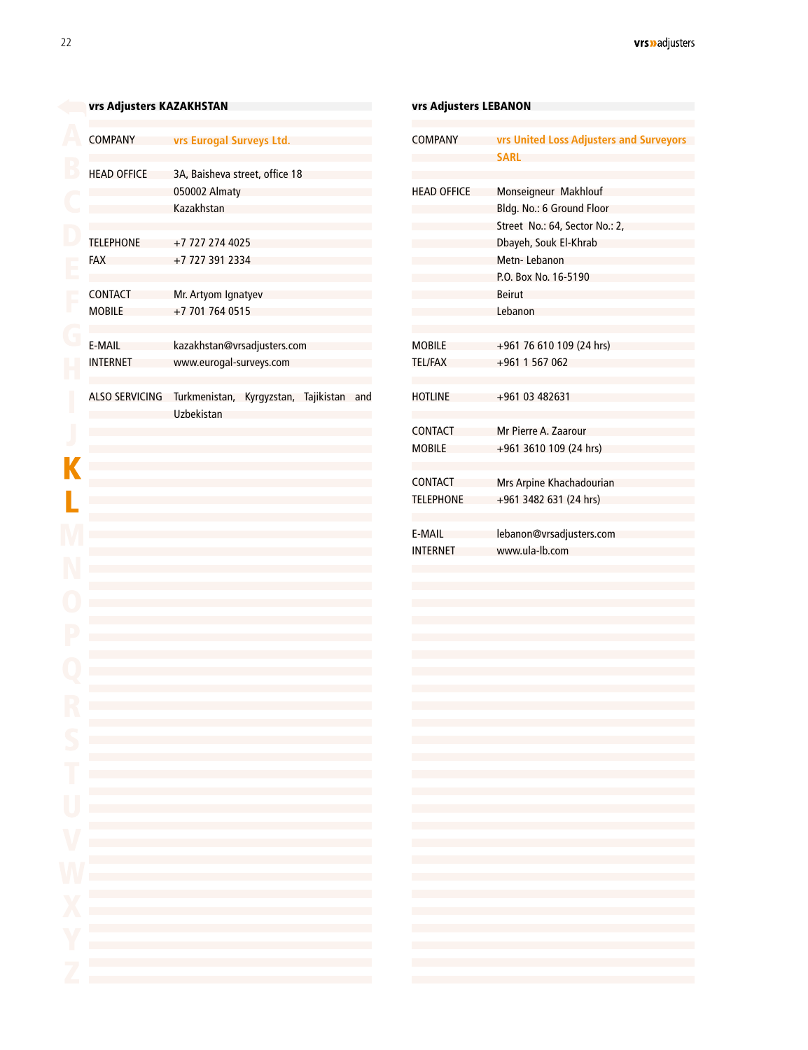### <span id="page-20-0"></span>[v](#page-2-0)rs Adjusters KAZAKHSTAN

| COMPANY                         | vrs Eurogal Surveys Ltd.                                      |
|---------------------------------|---------------------------------------------------------------|
| <b>HEAD OFFICE</b>              | 3A, Baisheva street, office 18<br>050002 Almaty<br>Kazakhstan |
| <b>TELEPHONE</b><br><b>FAX</b>  | +7 727 274 4025<br>+7 727 391 2334                            |
| <b>CONTACT</b><br><b>MOBILE</b> | Mr. Artyom Ignatyev<br>+7 701 764 0515                        |
| F-MAII<br><b>INTERNET</b>       | kazakhstan@vrsadjusters.com<br>www.eurogal-surveys.com        |
| <b>ALSO SERVICING</b>           | Turkmenistan, Kyrgyzstan, Tajikistan<br>and<br>Uzbekistan     |
|                                 |                                                               |
|                                 |                                                               |

| <b>COMPANY</b>     | vrs United Loss Adjusters and Surveyors                                                                                                                                                                                                                                                                                                                                                                                                                     |
|--------------------|-------------------------------------------------------------------------------------------------------------------------------------------------------------------------------------------------------------------------------------------------------------------------------------------------------------------------------------------------------------------------------------------------------------------------------------------------------------|
|                    | SARL                                                                                                                                                                                                                                                                                                                                                                                                                                                        |
| <b>HEAD OFFICE</b> | Monseigneur Makhlouf                                                                                                                                                                                                                                                                                                                                                                                                                                        |
|                    | Bldg. No.: 6 Ground Floor                                                                                                                                                                                                                                                                                                                                                                                                                                   |
|                    | Street No.: 64, Sector No.: 2,                                                                                                                                                                                                                                                                                                                                                                                                                              |
|                    | Dbayeh, Souk El-Khrab                                                                                                                                                                                                                                                                                                                                                                                                                                       |
|                    | Metn-Lebanon                                                                                                                                                                                                                                                                                                                                                                                                                                                |
|                    | P.O. Box No. 16-5190                                                                                                                                                                                                                                                                                                                                                                                                                                        |
|                    | Beirut                                                                                                                                                                                                                                                                                                                                                                                                                                                      |
|                    | Lebanon                                                                                                                                                                                                                                                                                                                                                                                                                                                     |
| <b>MOBILE</b>      | +961 76 610 109 (24 hrs)                                                                                                                                                                                                                                                                                                                                                                                                                                    |
| <b>TEL/FAX</b>     | $+961$ 1 567 062                                                                                                                                                                                                                                                                                                                                                                                                                                            |
| <b>HOTLINE</b>     | +961 03 482631                                                                                                                                                                                                                                                                                                                                                                                                                                              |
|                    |                                                                                                                                                                                                                                                                                                                                                                                                                                                             |
| CONTACT            | Mr Pierre A. Zaarour                                                                                                                                                                                                                                                                                                                                                                                                                                        |
| MOBILE             | +961 3610 109 (24 hrs)                                                                                                                                                                                                                                                                                                                                                                                                                                      |
| <b>CONTACT</b>     |                                                                                                                                                                                                                                                                                                                                                                                                                                                             |
| <b>TELEPHONE</b>   | Mrs Arpine Khachadourian<br>+961 3482 631 (24 hrs)                                                                                                                                                                                                                                                                                                                                                                                                          |
|                    |                                                                                                                                                                                                                                                                                                                                                                                                                                                             |
| E-MAIL             | lebanon@vrsadjusters.com                                                                                                                                                                                                                                                                                                                                                                                                                                    |
| <b>INTERNET</b>    | www.ula-lb.com                                                                                                                                                                                                                                                                                                                                                                                                                                              |
|                    |                                                                                                                                                                                                                                                                                                                                                                                                                                                             |
|                    |                                                                                                                                                                                                                                                                                                                                                                                                                                                             |
|                    |                                                                                                                                                                                                                                                                                                                                                                                                                                                             |
|                    |                                                                                                                                                                                                                                                                                                                                                                                                                                                             |
|                    |                                                                                                                                                                                                                                                                                                                                                                                                                                                             |
|                    |                                                                                                                                                                                                                                                                                                                                                                                                                                                             |
|                    |                                                                                                                                                                                                                                                                                                                                                                                                                                                             |
|                    |                                                                                                                                                                                                                                                                                                                                                                                                                                                             |
|                    |                                                                                                                                                                                                                                                                                                                                                                                                                                                             |
|                    |                                                                                                                                                                                                                                                                                                                                                                                                                                                             |
|                    | $\mathcal{L}(\mathcal{L}(\mathcal{L}(\mathcal{L}(\mathcal{L}(\mathcal{L}(\mathcal{L}(\mathcal{L}(\mathcal{L}(\mathcal{L}(\mathcal{L}(\mathcal{L}(\mathcal{L}(\mathcal{L}(\mathcal{L}(\mathcal{L}(\mathcal{L}(\mathcal{L}(\mathcal{L}(\mathcal{L}(\mathcal{L}(\mathcal{L}(\mathcal{L}(\mathcal{L}(\mathcal{L}(\mathcal{L}(\mathcal{L}(\mathcal{L}(\mathcal{L}(\mathcal{L}(\mathcal{L}(\mathcal{L}(\mathcal{L}(\mathcal{L}(\mathcal{L}(\mathcal{L}(\mathcal{$ |
|                    | $\mathcal{L}(\mathcal{L}(\mathcal{L}(\mathcal{L}(\mathcal{L}(\mathcal{L}(\mathcal{L}(\mathcal{L}(\mathcal{L}(\mathcal{L}(\mathcal{L}(\mathcal{L}(\mathcal{L}(\mathcal{L}(\mathcal{L}(\mathcal{L}(\mathcal{L}(\mathcal{L}(\mathcal{L}(\mathcal{L}(\mathcal{L}(\mathcal{L}(\mathcal{L}(\mathcal{L}(\mathcal{L}(\mathcal{L}(\mathcal{L}(\mathcal{L}(\mathcal{L}(\mathcal{L}(\mathcal{L}(\mathcal{L}(\mathcal{L}(\mathcal{L}(\mathcal{L}(\mathcal{L}(\mathcal{$ |
|                    |                                                                                                                                                                                                                                                                                                                                                                                                                                                             |
|                    | and the state of the state of the state of the state of the state of the state of the state of the state of the                                                                                                                                                                                                                                                                                                                                             |
|                    | and the state of the state of the state of the state of the state of the state of the state of the state of the                                                                                                                                                                                                                                                                                                                                             |
|                    | and the state of the state of the state of the state of the state of the state of the state of the state of the                                                                                                                                                                                                                                                                                                                                             |
|                    | and the state of the state of the state of the state of the state of the state of the state of the state of the                                                                                                                                                                                                                                                                                                                                             |
|                    |                                                                                                                                                                                                                                                                                                                                                                                                                                                             |
|                    |                                                                                                                                                                                                                                                                                                                                                                                                                                                             |
|                    |                                                                                                                                                                                                                                                                                                                                                                                                                                                             |
|                    |                                                                                                                                                                                                                                                                                                                                                                                                                                                             |
|                    | $\mathcal{L}(\mathcal{L}(\mathcal{L}(\mathcal{L}(\mathcal{L}(\mathcal{L}(\mathcal{L}(\mathcal{L}(\mathcal{L}(\mathcal{L}(\mathcal{L}(\mathcal{L}(\mathcal{L}(\mathcal{L}(\mathcal{L}(\mathcal{L}(\mathcal{L}(\mathcal{L}(\mathcal{L}(\mathcal{L}(\mathcal{L}(\mathcal{L}(\mathcal{L}(\mathcal{L}(\mathcal{L}(\mathcal{L}(\mathcal{L}(\mathcal{L}(\mathcal{L}(\mathcal{L}(\mathcal{L}(\mathcal{L}(\mathcal{L}(\mathcal{L}(\mathcal{L}(\mathcal{L}(\mathcal{$ |
|                    |                                                                                                                                                                                                                                                                                                                                                                                                                                                             |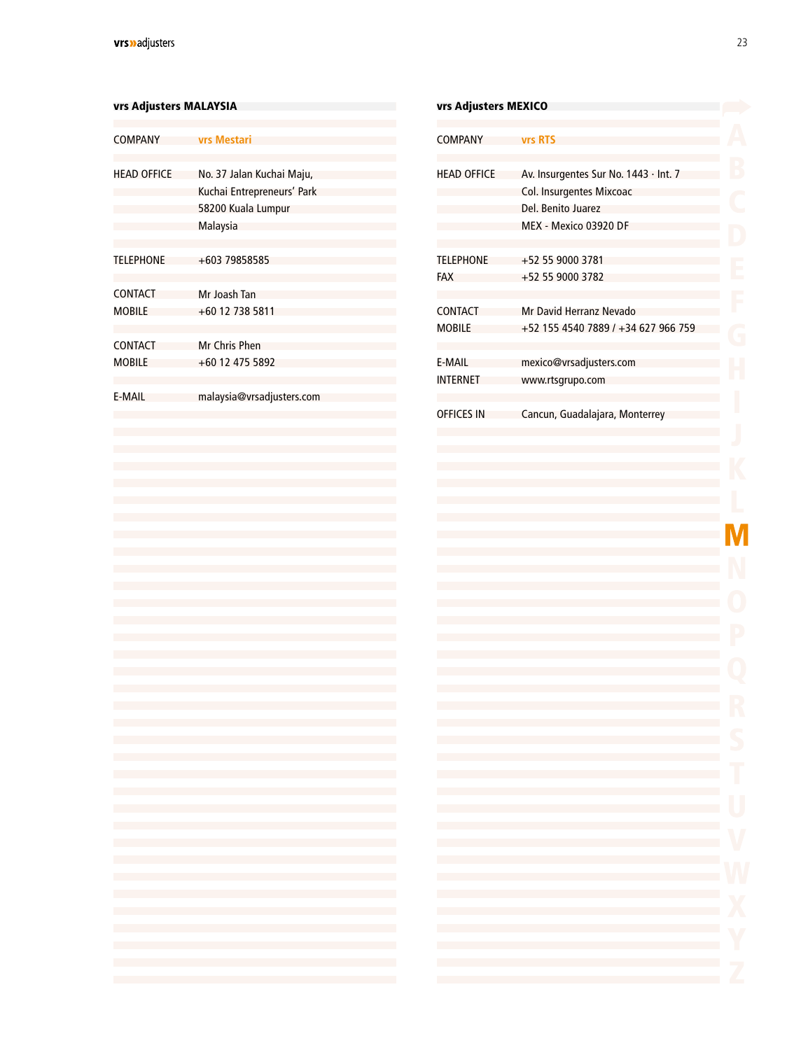<span id="page-21-0"></span>

| vrs Adjusters MALAYSIA          |                                                                                                                                                                                                                                                                                                                                                                                                                                                                                                                                           | vrs Adjusters MEXICO                                                                                                                                                                                                                                                                                                                                                                                                                                                                                                                                                                                     |                                       |
|---------------------------------|-------------------------------------------------------------------------------------------------------------------------------------------------------------------------------------------------------------------------------------------------------------------------------------------------------------------------------------------------------------------------------------------------------------------------------------------------------------------------------------------------------------------------------------------|----------------------------------------------------------------------------------------------------------------------------------------------------------------------------------------------------------------------------------------------------------------------------------------------------------------------------------------------------------------------------------------------------------------------------------------------------------------------------------------------------------------------------------------------------------------------------------------------------------|---------------------------------------|
| <b>COMPANY</b>                  | <b>vrs Mestari</b>                                                                                                                                                                                                                                                                                                                                                                                                                                                                                                                        | <b>COMPANY</b>                                                                                                                                                                                                                                                                                                                                                                                                                                                                                                                                                                                           | vrs R1                                |
| <b>HEAD OFFICE</b>              | No. 37 Jalan Kuchai Maju,<br>Kuchai Entrepreneurs' Park<br>58200 Kuala Lumpur<br>Malaysia                                                                                                                                                                                                                                                                                                                                                                                                                                                 | <b>HEAD OFFICE</b>                                                                                                                                                                                                                                                                                                                                                                                                                                                                                                                                                                                       | Av. In:<br>Col. Ir<br>Del. B<br>MEX - |
| <b>TELEPHONE</b>                | +603 79858585                                                                                                                                                                                                                                                                                                                                                                                                                                                                                                                             | <b>TELEPHONE</b><br><b>FAX</b>                                                                                                                                                                                                                                                                                                                                                                                                                                                                                                                                                                           | $+525$<br>$+525$                      |
| <b>CONTACT</b><br><b>MOBILE</b> | Mr Joash Tan<br>+60 12 738 5811                                                                                                                                                                                                                                                                                                                                                                                                                                                                                                           | <b>CONTACT</b><br><b>MOBILE</b>                                                                                                                                                                                                                                                                                                                                                                                                                                                                                                                                                                          | Mr Da<br>$+521$                       |
| <b>CONTACT</b><br><b>MOBILE</b> | Mr Chris Phen<br>+60 12 475 5892                                                                                                                                                                                                                                                                                                                                                                                                                                                                                                          | E-MAIL<br><b>INTERNET</b>                                                                                                                                                                                                                                                                                                                                                                                                                                                                                                                                                                                | mexic<br>www.                         |
| <b>E-MAIL</b>                   | malaysia@vrsadjusters.com                                                                                                                                                                                                                                                                                                                                                                                                                                                                                                                 | <b>OFFICES IN</b>                                                                                                                                                                                                                                                                                                                                                                                                                                                                                                                                                                                        | Cancu                                 |
|                                 |                                                                                                                                                                                                                                                                                                                                                                                                                                                                                                                                           |                                                                                                                                                                                                                                                                                                                                                                                                                                                                                                                                                                                                          |                                       |
|                                 |                                                                                                                                                                                                                                                                                                                                                                                                                                                                                                                                           |                                                                                                                                                                                                                                                                                                                                                                                                                                                                                                                                                                                                          |                                       |
|                                 |                                                                                                                                                                                                                                                                                                                                                                                                                                                                                                                                           |                                                                                                                                                                                                                                                                                                                                                                                                                                                                                                                                                                                                          |                                       |
|                                 |                                                                                                                                                                                                                                                                                                                                                                                                                                                                                                                                           |                                                                                                                                                                                                                                                                                                                                                                                                                                                                                                                                                                                                          |                                       |
|                                 |                                                                                                                                                                                                                                                                                                                                                                                                                                                                                                                                           |                                                                                                                                                                                                                                                                                                                                                                                                                                                                                                                                                                                                          |                                       |
|                                 |                                                                                                                                                                                                                                                                                                                                                                                                                                                                                                                                           |                                                                                                                                                                                                                                                                                                                                                                                                                                                                                                                                                                                                          |                                       |
|                                 |                                                                                                                                                                                                                                                                                                                                                                                                                                                                                                                                           |                                                                                                                                                                                                                                                                                                                                                                                                                                                                                                                                                                                                          |                                       |
|                                 |                                                                                                                                                                                                                                                                                                                                                                                                                                                                                                                                           |                                                                                                                                                                                                                                                                                                                                                                                                                                                                                                                                                                                                          |                                       |
|                                 |                                                                                                                                                                                                                                                                                                                                                                                                                                                                                                                                           |                                                                                                                                                                                                                                                                                                                                                                                                                                                                                                                                                                                                          |                                       |
|                                 | the control of the control of the control of the control of the control of                                                                                                                                                                                                                                                                                                                                                                                                                                                                | the control of the control of the                                                                                                                                                                                                                                                                                                                                                                                                                                                                                                                                                                        |                                       |
|                                 | the control of the control of the control of the control of the control of<br>the control of the control of the control of the control of the control of                                                                                                                                                                                                                                                                                                                                                                                  | the control of the control of the<br>the control of the control of the                                                                                                                                                                                                                                                                                                                                                                                                                                                                                                                                   |                                       |
|                                 | the control of the control of the control of the control of the control of<br>the control of the control of the control of the control of the control of the control of                                                                                                                                                                                                                                                                                                                                                                   | $\label{eq:2.1} \frac{1}{2} \int_{\mathbb{R}^3} \frac{1}{\sqrt{2}} \left( \frac{1}{\sqrt{2}} \int_{\mathbb{R}^3} \frac{1}{\sqrt{2}} \left( \frac{1}{\sqrt{2}} \int_{\mathbb{R}^3} \frac{1}{\sqrt{2}} \right) \frac{1}{\sqrt{2}} \right) \, d\mathcal{H}^{\frac{1}{3}}_{\frac{1}{3}}(\mathcal{H}) \, d\mathcal{H}^{\frac{1}{3}}_{\frac{1}{3}}(\mathcal{H}) \, d\mathcal{H}^{\frac{1}{3}}_{\frac{1}{3}}(\mathcal{H}) \, d$<br>$\mathcal{L}^{\mathcal{L}}(\mathcal{L}^{\mathcal{L}})$ and $\mathcal{L}^{\mathcal{L}}(\mathcal{L}^{\mathcal{L}})$ and $\mathcal{L}^{\mathcal{L}}(\mathcal{L}^{\mathcal{L}})$ |                                       |
|                                 | $\mathcal{L}(\mathcal{L}(\mathcal{L}(\mathcal{L}(\mathcal{L}(\mathcal{L}(\mathcal{L}(\mathcal{L}(\mathcal{L}(\mathcal{L}(\mathcal{L}(\mathcal{L}(\mathcal{L}(\mathcal{L}(\mathcal{L}(\mathcal{L}(\mathcal{L}(\mathcal{L}(\mathcal{L}(\mathcal{L}(\mathcal{L}(\mathcal{L}(\mathcal{L}(\mathcal{L}(\mathcal{L}(\mathcal{L}(\mathcal{L}(\mathcal{L}(\mathcal{L}(\mathcal{L}(\mathcal{L}(\mathcal{L}(\mathcal{L}(\mathcal{L}(\mathcal{L}(\mathcal{L}(\mathcal{$                                                                               | $\mathcal{L}^{\mathcal{L}}(\mathcal{L}^{\mathcal{L}})$ and $\mathcal{L}^{\mathcal{L}}(\mathcal{L}^{\mathcal{L}})$ and $\mathcal{L}^{\mathcal{L}}(\mathcal{L}^{\mathcal{L}})$                                                                                                                                                                                                                                                                                                                                                                                                                             |                                       |
|                                 | the control of the control of the control of the control of the control of<br>the control of the control of the control of the control of the control of the control of                                                                                                                                                                                                                                                                                                                                                                   | $\mathcal{L}^{\mathcal{L}}(\mathcal{L}^{\mathcal{L}})$ and $\mathcal{L}^{\mathcal{L}}(\mathcal{L}^{\mathcal{L}})$ and $\mathcal{L}^{\mathcal{L}}(\mathcal{L}^{\mathcal{L}})$<br>$\mathcal{L}^{\mathcal{L}}(\mathcal{L}^{\mathcal{L}})$ and $\mathcal{L}^{\mathcal{L}}(\mathcal{L}^{\mathcal{L}})$ and $\mathcal{L}^{\mathcal{L}}(\mathcal{L}^{\mathcal{L}})$                                                                                                                                                                                                                                             |                                       |
|                                 | the control of the control of the control of the control of the control of<br>the control of the control of the control of the control of the control of                                                                                                                                                                                                                                                                                                                                                                                  | $\mathcal{L}^{\mathcal{L}}(\mathcal{L}^{\mathcal{L}})$ and $\mathcal{L}^{\mathcal{L}}(\mathcal{L}^{\mathcal{L}})$ and $\mathcal{L}^{\mathcal{L}}(\mathcal{L}^{\mathcal{L}})$<br>$\label{eq:2.1} \frac{1}{2} \int_{\mathbb{R}^3} \frac{1}{\sqrt{2}} \left( \frac{1}{\sqrt{2}} \int_{\mathbb{R}^3} \frac{1}{\sqrt{2}} \left( \frac{1}{\sqrt{2}} \int_{\mathbb{R}^3} \frac{1}{\sqrt{2}} \right) \frac{1}{\sqrt{2}} \right) \, d\mathcal{H}^{\frac{1}{3}}_{\frac{1}{3}}(\mathcal{H}) \, d\mathcal{H}^{\frac{1}{3}}_{\frac{1}{3}}(\mathcal{H}) \, d\mathcal{H}^{\frac{1}{3}}_{\frac{1}{3}}(\mathcal{H}) \, d$ |                                       |
|                                 | the control of the control of the control of the control of the control of<br>$\mathcal{L}(\mathcal{L}(\mathcal{L}(\mathcal{L}(\mathcal{L}(\mathcal{L}(\mathcal{L}(\mathcal{L}(\mathcal{L}(\mathcal{L}(\mathcal{L}(\mathcal{L}(\mathcal{L}(\mathcal{L}(\mathcal{L}(\mathcal{L}(\mathcal{L}(\mathcal{L}(\mathcal{L}(\mathcal{L}(\mathcal{L}(\mathcal{L}(\mathcal{L}(\mathcal{L}(\mathcal{L}(\mathcal{L}(\mathcal{L}(\mathcal{L}(\mathcal{L}(\mathcal{L}(\mathcal{L}(\mathcal{L}(\mathcal{L}(\mathcal{L}(\mathcal{L}(\mathcal{L}(\mathcal{$ | $\label{eq:2.1} \frac{1}{2} \int_{\mathbb{R}^3} \frac{1}{\sqrt{2}} \left( \frac{1}{\sqrt{2}} \int_{\mathbb{R}^3} \frac{1}{\sqrt{2}} \left( \frac{1}{\sqrt{2}} \int_{\mathbb{R}^3} \frac{1}{\sqrt{2}} \right) \frac{1}{\sqrt{2}} \right) \, d\mathcal{H}^{\frac{1}{3}}_{\frac{1}{3}}(\mathcal{H}) \, d\mathcal{H}^{\frac{1}{3}}_{\frac{1}{3}}(\mathcal{H}) \, d\mathcal{H}^{\frac{1}{3}}_{\frac{1}{3}}(\mathcal{H}) \, d$                                                                                                                                                                                 |                                       |
|                                 | the control of the control of the control of the control of the control of<br>and the control of the control of the control of the control of the control of the control of the control of the                                                                                                                                                                                                                                                                                                                                            | the control of the control of the                                                                                                                                                                                                                                                                                                                                                                                                                                                                                                                                                                        |                                       |

| Adjusters MEXICO |                                                                                                                                                                                                                                                                                                            |             |
|------------------|------------------------------------------------------------------------------------------------------------------------------------------------------------------------------------------------------------------------------------------------------------------------------------------------------------|-------------|
| IPANY            | vrs RTS                                                                                                                                                                                                                                                                                                    |             |
| <b>D</b> OFFICE  | Av. Insurgentes Sur No. 1443 · Int. 7<br>Col. Insurgentes Mixcoac<br>Del. Benito Juarez<br>MEX - Mexico 03920 DF                                                                                                                                                                                           |             |
| PHONE            | +52 55 9000 3781<br>+52 55 9000 3782                                                                                                                                                                                                                                                                       |             |
| TACT<br>ILЕ      | Mr David Herranz Nevado<br>+52 155 4540 7889 / +34 627 966 759                                                                                                                                                                                                                                             |             |
| AIL<br>RNET      | mexico@vrsadjusters.com<br>www.rtsgrupo.com                                                                                                                                                                                                                                                                |             |
| <b>CES IN</b>    | Cancun, Guadalajara, Monterrey                                                                                                                                                                                                                                                                             |             |
|                  |                                                                                                                                                                                                                                                                                                            |             |
|                  |                                                                                                                                                                                                                                                                                                            |             |
|                  |                                                                                                                                                                                                                                                                                                            |             |
|                  |                                                                                                                                                                                                                                                                                                            |             |
|                  |                                                                                                                                                                                                                                                                                                            |             |
|                  |                                                                                                                                                                                                                                                                                                            | الوطن       |
|                  | and the state of the state of the state of the state of the state of the state of<br>and the state of the state of the state of the state of the state of the state of the state of the<br>and the state of the state of the state of the state of the state of the state of the state of the              | T           |
|                  | and the state of the state of the state of the state of the state of the state of the state of the<br>and the control of the control of the control of the control of the control of the control of the control of the                                                                                     | U           |
|                  |                                                                                                                                                                                                                                                                                                            |             |
|                  | the control of the control of the control of the control of the control of the control of<br>the control of the control of the control of the control of the control of the control of<br>and the control of the control of the control of the control of the control of the control of the control of the | W<br>X<br>Y |
|                  |                                                                                                                                                                                                                                                                                                            |             |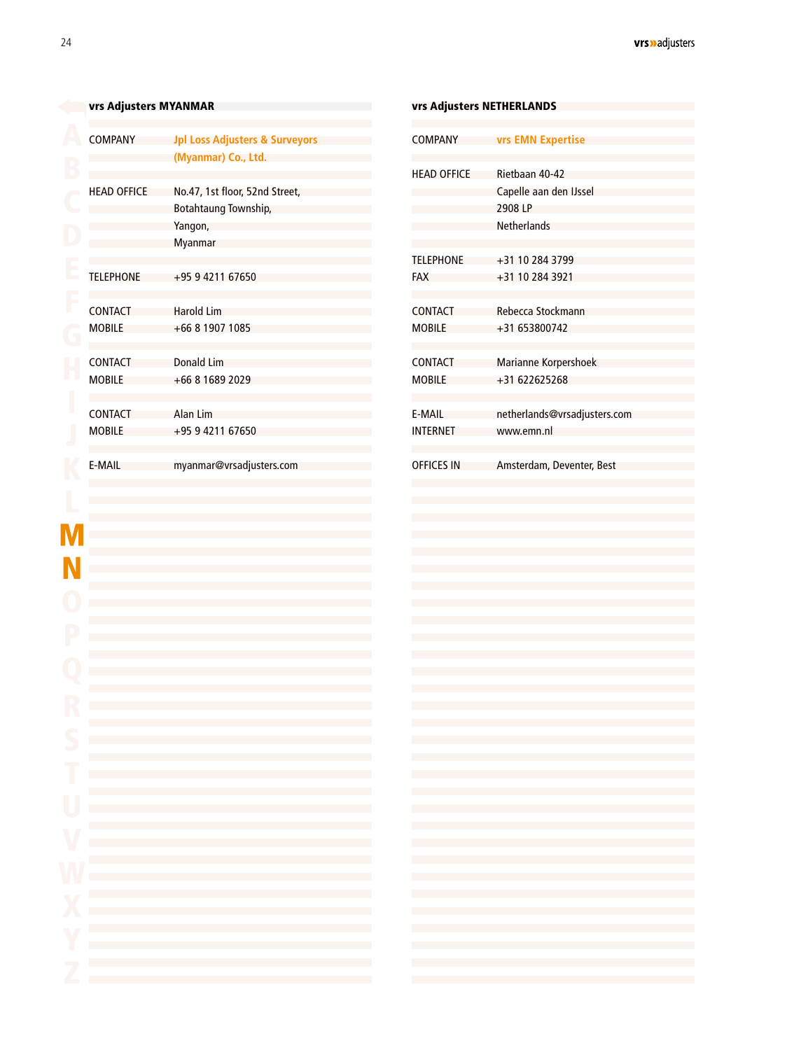<span id="page-22-0"></span>

|         | vrs Adjusters MYANMAR           |                                                                                                                                                                                                                                                                                                                                                   |                                       | vrs Adjusters NETHERLANDS                                                                                                                                                                             |  |  |
|---------|---------------------------------|---------------------------------------------------------------------------------------------------------------------------------------------------------------------------------------------------------------------------------------------------------------------------------------------------------------------------------------------------|---------------------------------------|-------------------------------------------------------------------------------------------------------------------------------------------------------------------------------------------------------|--|--|
|         | <b>COMPANY</b>                  | <b>Jpl Loss Adjusters &amp; Surveyors</b><br>(Myanmar) Co., Ltd.                                                                                                                                                                                                                                                                                  | <b>COMPANY</b>                        | <b>vrs EMN Expertise</b>                                                                                                                                                                              |  |  |
|         | <b>HEAD OFFICE</b>              | No.47, 1st floor, 52nd Street,<br>Botahtaung Township,                                                                                                                                                                                                                                                                                            | <b>HEAD OFFICE</b>                    | Rietbaan 40-42<br>Capelle aan den IJssel<br>2908 LP                                                                                                                                                   |  |  |
|         |                                 | Yangon,<br>Myanmar                                                                                                                                                                                                                                                                                                                                | <b>TELEPHONE</b>                      | Netherlands                                                                                                                                                                                           |  |  |
|         | <b>TELEPHONE</b>                | +95 9 4211 67650                                                                                                                                                                                                                                                                                                                                  | <b>FAX</b>                            | +31 10 284 3799<br>+31 10 284 3921                                                                                                                                                                    |  |  |
|         | <b>CONTACT</b><br><b>MOBILE</b> | <b>Harold Lim</b><br>+66 8 1907 1085                                                                                                                                                                                                                                                                                                              | <b>CONTACT</b><br><b>MOBILE</b>       | Rebecca Stockmann<br>+31 653800742                                                                                                                                                                    |  |  |
|         |                                 |                                                                                                                                                                                                                                                                                                                                                   |                                       |                                                                                                                                                                                                       |  |  |
|         | <b>CONTACT</b><br><b>MOBILE</b> | <b>Donald Lim</b><br>+66 8 1689 2029                                                                                                                                                                                                                                                                                                              | <b>CONTACT</b><br><b>MOBILE</b><br>H. | Marianne Korpershoek<br>+31 622625268                                                                                                                                                                 |  |  |
|         | <b>CONTACT</b><br><b>MOBILE</b> | Alan Lim<br>+95 9 4211 67650                                                                                                                                                                                                                                                                                                                      | E-MAIL<br><b>INTERNET</b>             | netherlands@vrsadjusters.com<br>www.emn.nl                                                                                                                                                            |  |  |
|         | E-MAIL                          | myanmar@vrsadjusters.com                                                                                                                                                                                                                                                                                                                          | <b>OFFICES IN</b>                     | Amsterdam, Deventer, Best                                                                                                                                                                             |  |  |
|         |                                 |                                                                                                                                                                                                                                                                                                                                                   |                                       |                                                                                                                                                                                                       |  |  |
|         |                                 |                                                                                                                                                                                                                                                                                                                                                   |                                       |                                                                                                                                                                                                       |  |  |
|         |                                 |                                                                                                                                                                                                                                                                                                                                                   |                                       |                                                                                                                                                                                                       |  |  |
|         |                                 |                                                                                                                                                                                                                                                                                                                                                   |                                       |                                                                                                                                                                                                       |  |  |
|         |                                 |                                                                                                                                                                                                                                                                                                                                                   |                                       |                                                                                                                                                                                                       |  |  |
|         |                                 |                                                                                                                                                                                                                                                                                                                                                   |                                       |                                                                                                                                                                                                       |  |  |
| D       |                                 | the control of the control of the control of the control of the control of the control of                                                                                                                                                                                                                                                         |                                       | and the state of the state of the state of the state of the state of the state of the state of the state of the                                                                                       |  |  |
| T       |                                 | and the control of the control of the control of the control of the control of the control of the control of the<br>the control of the control of the control of the control of the control of the control of the control of the control of the control of the control of the control of the control of the control of the control of the control |                                       | the contract of the contract of the contract of the contract of the contract of the contract of the<br>the control of the control of the control of the control of the control of the control of      |  |  |
| U       |                                 | and the state of the state of the state of the state of the state of the state of the state of the state of th<br>and the control of the control of the control of the control of the control of the control of the control of the                                                                                                                |                                       | the control of the control of the control of the control of the control of the control of<br>the control of the control of the control of the control of the control of the control of                |  |  |
|         |                                 | and the state of the state of the state of the state of the state of the state of the state of the state of th<br>and the control of the control of the control of the control of the control of the control of the control of the                                                                                                                |                                       | the control of the control of the control of the control of the control of the control of<br>and the state of the state of the state of the state of the state of the state of the state of the       |  |  |
|         |                                 | the control of the control of the control of the control of the control of the control of<br>and the control of the control of the control of the control of the control of the control of the control of the                                                                                                                                     |                                       | and the state of the state of the state of the state of the state of the state of the state of the<br>the contract of the contract of the contract of the contract of the contract of the contract of |  |  |
|         |                                 | and the control of the control of the control of the control of the control of the control of the control of the<br>and the control of the control of the control of the control of the control of the control of the control of the                                                                                                              |                                       | the contract of the contract of the contract of the contract of the contract of<br>the contract of the contract of the contract of the contract of the contract of                                    |  |  |
| Y<br>m, |                                 | and the control of the control of the control of the control of the control of the control of the control of the                                                                                                                                                                                                                                  |                                       | the contract of the contract of the contract of the contract of the contract of                                                                                                                       |  |  |
|         |                                 | the control of the control of the control of the control of the control of the control of                                                                                                                                                                                                                                                         |                                       | the contract of the contract of the contract of the contract of the contract of                                                                                                                       |  |  |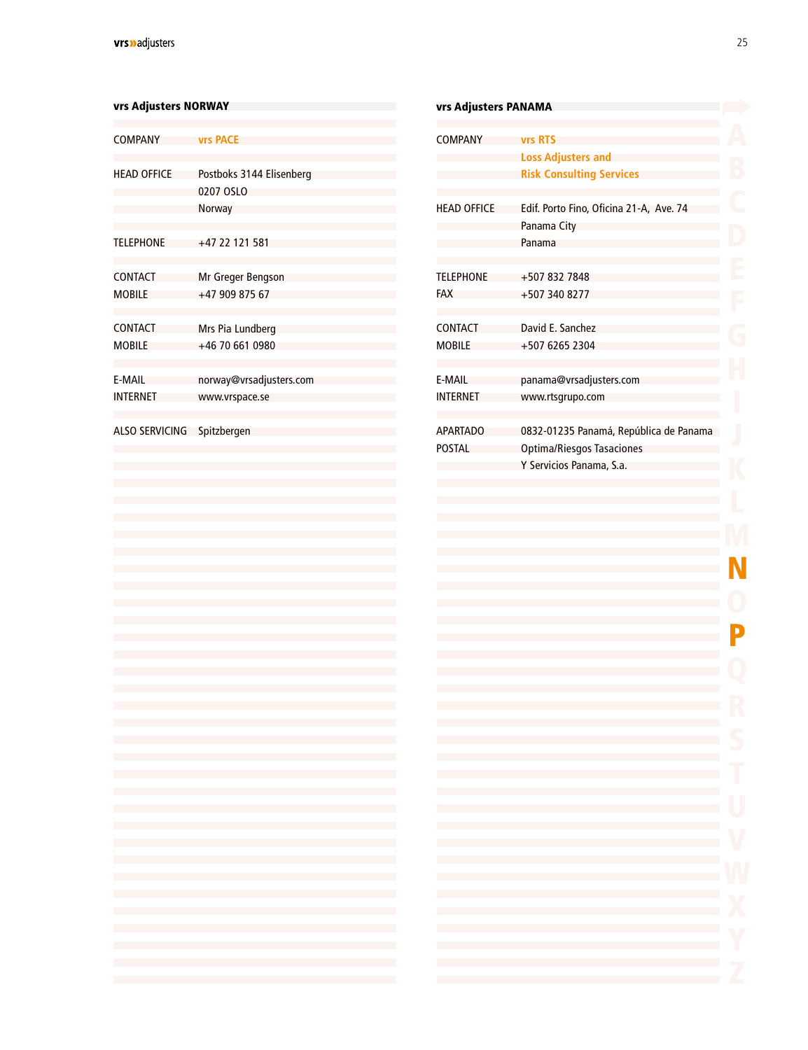<span id="page-23-0"></span>

| vrs Adjusters NORWAY  |                                                                                                                                                                                        | vrs Adjusters                                                                                                                                                                                                                                                                                                                                                                                           |
|-----------------------|----------------------------------------------------------------------------------------------------------------------------------------------------------------------------------------|---------------------------------------------------------------------------------------------------------------------------------------------------------------------------------------------------------------------------------------------------------------------------------------------------------------------------------------------------------------------------------------------------------|
| <b>COMPANY</b>        | <b>vrs PACE</b>                                                                                                                                                                        | <b>COMPANY</b>                                                                                                                                                                                                                                                                                                                                                                                          |
| <b>HEAD OFFICE</b>    | Postboks 3144 Elisenberg<br>0207 OSLO                                                                                                                                                  |                                                                                                                                                                                                                                                                                                                                                                                                         |
|                       | Norway                                                                                                                                                                                 | <b>HEAD OFFICE</b>                                                                                                                                                                                                                                                                                                                                                                                      |
| <b>TELEPHONE</b>      | $+47$ 22 121 581                                                                                                                                                                       |                                                                                                                                                                                                                                                                                                                                                                                                         |
| <b>CONTACT</b>        | Mr Greger Bengson                                                                                                                                                                      | <b>TELEPHONE</b>                                                                                                                                                                                                                                                                                                                                                                                        |
| <b>MOBILE</b>         | +47 909 875 67                                                                                                                                                                         | <b>FAX</b>                                                                                                                                                                                                                                                                                                                                                                                              |
| <b>CONTACT</b>        | Mrs Pia Lundberg                                                                                                                                                                       | <b>CONTACT</b>                                                                                                                                                                                                                                                                                                                                                                                          |
| <b>MOBILE</b>         | +46 70 661 0980                                                                                                                                                                        | <b>MOBILE</b>                                                                                                                                                                                                                                                                                                                                                                                           |
| <b>E-MAIL</b>         | norway@vrsadjusters.com                                                                                                                                                                | <b>E-MAIL</b>                                                                                                                                                                                                                                                                                                                                                                                           |
| <b>INTERNET</b>       | www.vrspace.se                                                                                                                                                                         | <b>INTERNET</b>                                                                                                                                                                                                                                                                                                                                                                                         |
| <b>ALSO SERVICING</b> | Spitzbergen                                                                                                                                                                            | <b>APARTADO</b>                                                                                                                                                                                                                                                                                                                                                                                         |
|                       |                                                                                                                                                                                        | <b>POSTAL</b>                                                                                                                                                                                                                                                                                                                                                                                           |
|                       |                                                                                                                                                                                        |                                                                                                                                                                                                                                                                                                                                                                                                         |
|                       |                                                                                                                                                                                        |                                                                                                                                                                                                                                                                                                                                                                                                         |
|                       |                                                                                                                                                                                        |                                                                                                                                                                                                                                                                                                                                                                                                         |
|                       |                                                                                                                                                                                        |                                                                                                                                                                                                                                                                                                                                                                                                         |
|                       |                                                                                                                                                                                        |                                                                                                                                                                                                                                                                                                                                                                                                         |
|                       |                                                                                                                                                                                        |                                                                                                                                                                                                                                                                                                                                                                                                         |
|                       |                                                                                                                                                                                        |                                                                                                                                                                                                                                                                                                                                                                                                         |
|                       |                                                                                                                                                                                        |                                                                                                                                                                                                                                                                                                                                                                                                         |
|                       |                                                                                                                                                                                        |                                                                                                                                                                                                                                                                                                                                                                                                         |
|                       |                                                                                                                                                                                        |                                                                                                                                                                                                                                                                                                                                                                                                         |
|                       | the control of the control of the control of the control of the control of                                                                                                             |                                                                                                                                                                                                                                                                                                                                                                                                         |
|                       | the control of the control of the control of the control of the control of the control of                                                                                              | $\label{eq:2.1} \frac{1}{2} \int_{\mathbb{R}^3} \frac{1}{\sqrt{2}} \left( \frac{1}{\sqrt{2}} \int_{\mathbb{R}^3} \frac{1}{\sqrt{2}} \left( \frac{1}{\sqrt{2}} \int_{\mathbb{R}^3} \frac{1}{\sqrt{2}} \right) \frac{1}{\sqrt{2}} \right) \, d\mathcal{H}^3 \, d\mathcal{H}^3 \, d\mathcal{H}^3 \, d\mathcal{H}^3 \, d\mathcal{H}^3 \, d\mathcal{H}^3 \, d\mathcal{H}^3 \, d\mathcal{H}^3 \, d\mathcal{H$ |
|                       | the control of the control of the control of the control of the control of                                                                                                             |                                                                                                                                                                                                                                                                                                                                                                                                         |
|                       | the control of the control of the control of the control of the control of the control of<br>the control of the control of the control of the control of the control of the control of |                                                                                                                                                                                                                                                                                                                                                                                                         |
|                       | the control of the control of the control of the control of the control of the control of                                                                                              |                                                                                                                                                                                                                                                                                                                                                                                                         |
|                       | the control of the control of the control of the control of the control of<br>the control of the control of the control of the control of the control of the control of                |                                                                                                                                                                                                                                                                                                                                                                                                         |
|                       | the control of the control of the control of the control of the control of the control of                                                                                              |                                                                                                                                                                                                                                                                                                                                                                                                         |
|                       | the control of the control of the control of the control of the control of                                                                                                             |                                                                                                                                                                                                                                                                                                                                                                                                         |
|                       | the control of the control of the control of the control of the control of                                                                                                             |                                                                                                                                                                                                                                                                                                                                                                                                         |
|                       | the control of the control of the control of the control of the control of the control of<br>the control of the control of the control of the control of the control of the control of | $\mathcal{O}(\mathcal{O}_\mathcal{O})$ . The set of $\mathcal{O}(\mathcal{O}_\mathcal{O})$                                                                                                                                                                                                                                                                                                              |
|                       |                                                                                                                                                                                        |                                                                                                                                                                                                                                                                                                                                                                                                         |

| vrs Adjusters PANAMA             |                                                                                                 |
|----------------------------------|-------------------------------------------------------------------------------------------------|
| <b>COMPANY</b>                   | <b>vrs RTS</b><br><b>Loss Adjusters and</b><br><b>Risk Consulting Services</b>                  |
| <b>HEAD OFFICE</b>               | Edif. Porto Fino, Oficina 21-A, Ave. 74<br>Panama City<br>Panama                                |
| <b>TELEPHONE</b><br>FAX          | +507 832 7848<br>+507 340 8277                                                                  |
| CONTACT<br><b>MOBILE</b>         | David E. Sanchez<br>+507 6265 2304                                                              |
| F-MAII<br><b>INTERNET</b>        | panama@vrsadjusters.com<br>www.rtsgrupo.com                                                     |
| <b>APARTADO</b><br><b>POSTAL</b> | 0832-01235 Panamá, República de Panama<br>Optima/Riesgos Tasaciones<br>Y Servicios Panama, S.a. |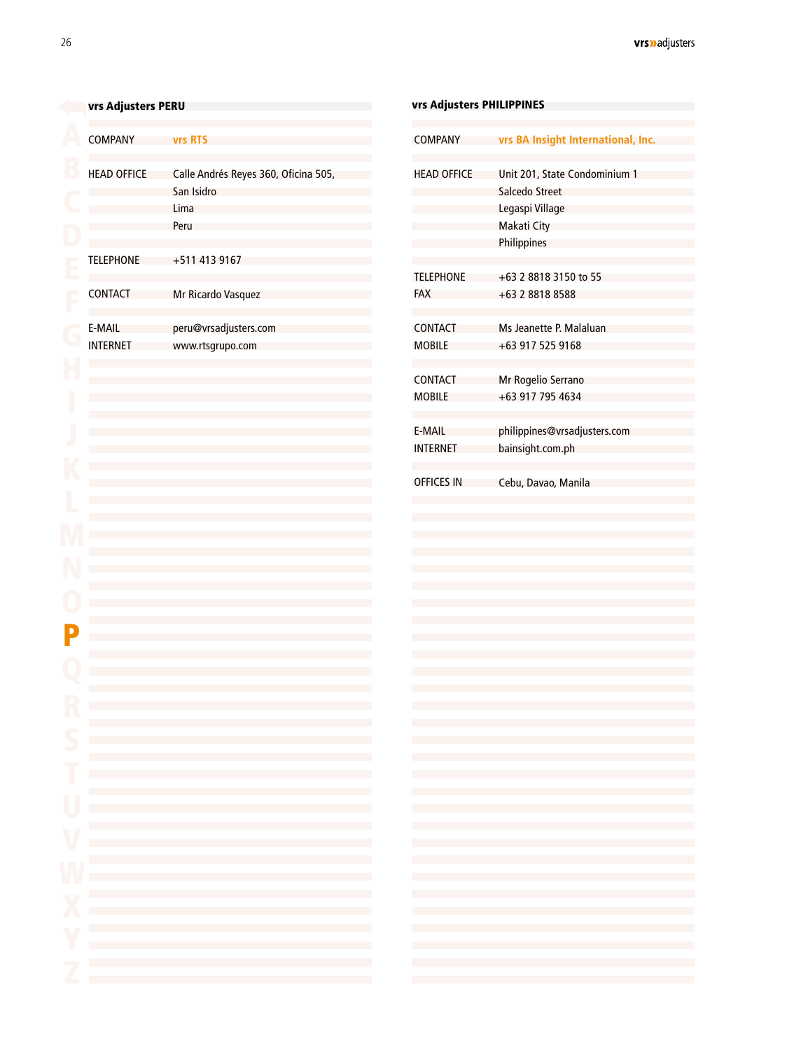# <span id="page-24-0"></span>[v](#page-2-0)rs Adjusters PERU COMPANY **vrs RTS** HEAD OFFICE Calle Andrés Reyes 360, Oficina 505, San Isidro Lima Peru TELEPHONE +511 413 9167 **CONTACT** Mr Ricardo Vasquez FAX E-MAIL [peru@vrsadjusters.com](mailto:peru%40vrsadjusters.com?subject=)  CONTACT INTERNET [www.rtsgrupo.com](http://www.rtsgrupo.com) MOBILE CONTACT MOBILE E-MAIL INTERNET OFFICES IN P

| vrs Adjusters PHILIPPINES       |                                                                                                                                                   |  |
|---------------------------------|---------------------------------------------------------------------------------------------------------------------------------------------------|--|
| <b>COMPANY</b>                  | vrs BA Insight International, Inc.                                                                                                                |  |
| <b>HEAD OFFICE</b>              | Unit 201, State Condominium 1<br>Salcedo Street<br>Legaspi Village<br>Makati City<br>Philippines                                                  |  |
| <b>TELEPHONE</b><br><b>FAX</b>  | +63 2 8818 3150 to 55<br>+63 2 8818 8588                                                                                                          |  |
| <b>CONTACT</b><br><b>MOBILE</b> | Ms Jeanette P. Malaluan<br>+63 917 525 9168                                                                                                       |  |
| CONTACT<br><b>MOBILE</b>        | Mr Rogelio Serrano<br>+63 917 795 4634                                                                                                            |  |
| E-MAIL<br><b>INTERNET</b>       | philippines@vrsadjusters.com<br>bainsight.com.ph                                                                                                  |  |
| <b>OFFICES IN</b>               | Cebu, Davao, Manila                                                                                                                               |  |
|                                 |                                                                                                                                                   |  |
|                                 |                                                                                                                                                   |  |
|                                 |                                                                                                                                                   |  |
|                                 |                                                                                                                                                   |  |
|                                 |                                                                                                                                                   |  |
|                                 |                                                                                                                                                   |  |
|                                 |                                                                                                                                                   |  |
|                                 |                                                                                                                                                   |  |
|                                 | the control of the control of the control of the control of the control of the control of<br><b>Contract Contract Contract</b>                    |  |
|                                 | and the control of the control of the control of the control of the control of the control of the control of the                                  |  |
|                                 |                                                                                                                                                   |  |
|                                 | the control of the control of the control of the control of the<br>and the control of the control of the control of the control of the control of |  |
|                                 |                                                                                                                                                   |  |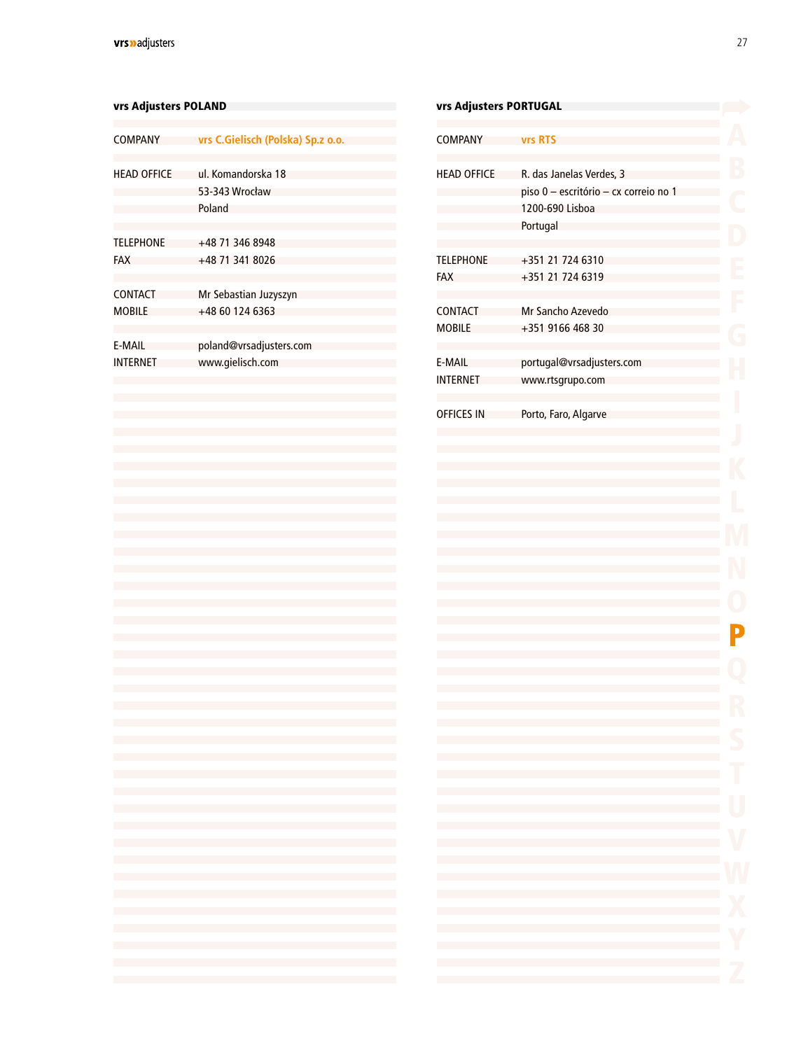#### <span id="page-25-0"></span>vrs Adjusters POLAND

| <b>COMPANY</b>     | vrs C.Gielisch (Polska) Sp.z o.o.              |
|--------------------|------------------------------------------------|
| <b>HEAD OFFICE</b> | ul. Komandorska 18<br>53-343 Wrocław<br>Poland |
| <b>TELEPHONE</b>   | $+48$ 71 346 8948                              |
| <b>FAX</b>         | +48 71 341 8026                                |
| <b>CONTACT</b>     | Mr Sebastian Juzyszyn                          |
| <b>MOBILE</b>      | +48 60 124 6363                                |
| <b>F-MAIL</b>      | poland@vrsadjusters.com                        |
| <b>INTFRNFT</b>    | www.gielisch.com                               |
|                    |                                                |

| vrs Adjusters PORTUGAL          |                                                                                                                                                                                                                                                                                     |        |
|---------------------------------|-------------------------------------------------------------------------------------------------------------------------------------------------------------------------------------------------------------------------------------------------------------------------------------|--------|
| <b>COMPANY</b>                  | <b>vrs RTS</b>                                                                                                                                                                                                                                                                      |        |
| <b>HEAD OFFICE</b>              | R. das Janelas Verdes, 3<br>piso 0 - escritório - cx correio no 1<br>1200-690 Lisboa<br>Portugal                                                                                                                                                                                    |        |
| <b>TELEPHONE</b><br><b>FAX</b>  | +351 21 724 6310<br>+351 21 724 6319                                                                                                                                                                                                                                                |        |
| <b>CONTACT</b><br><b>MOBILE</b> | Mr Sancho Azevedo<br>+351 9166 468 30                                                                                                                                                                                                                                               |        |
| E-MAIL<br><b>INTERNET</b>       | portugal@vrsadjusters.com<br>www.rtsgrupo.com                                                                                                                                                                                                                                       |        |
| <b>OFFICES IN</b>               | Porto, Faro, Algarve                                                                                                                                                                                                                                                                |        |
|                                 |                                                                                                                                                                                                                                                                                     |        |
|                                 |                                                                                                                                                                                                                                                                                     |        |
|                                 |                                                                                                                                                                                                                                                                                     |        |
|                                 |                                                                                                                                                                                                                                                                                     |        |
|                                 |                                                                                                                                                                                                                                                                                     |        |
|                                 |                                                                                                                                                                                                                                                                                     |        |
|                                 | the control of the control of the control of the control of the control of the control of the control of the control of the control of the control of the control of the control of the control of the control of the control                                                       |        |
|                                 | the control of the control of the control of the control of the control of the control of<br>the control of the control of the control of the control of the control of the control of<br>the control of the control of the control of the control of the control of                | T<br>U |
|                                 | the control of the control of the control of the control of the control of the control of<br>the control of the control of the control of the control of the control of the control of<br>the control of the control of the control of the control of the control of the control of |        |
|                                 | and the state of the state of the state of the state of the state of the state of<br>the control of the control of the control of the control of the control of the control of                                                                                                      |        |
|                                 | and the state of the state of the state of the state of the state of the state of<br>the control of the control of the control of the control of the control of the control of<br>the control of the control of the control of the control of the control of the control of         |        |
|                                 |                                                                                                                                                                                                                                                                                     |        |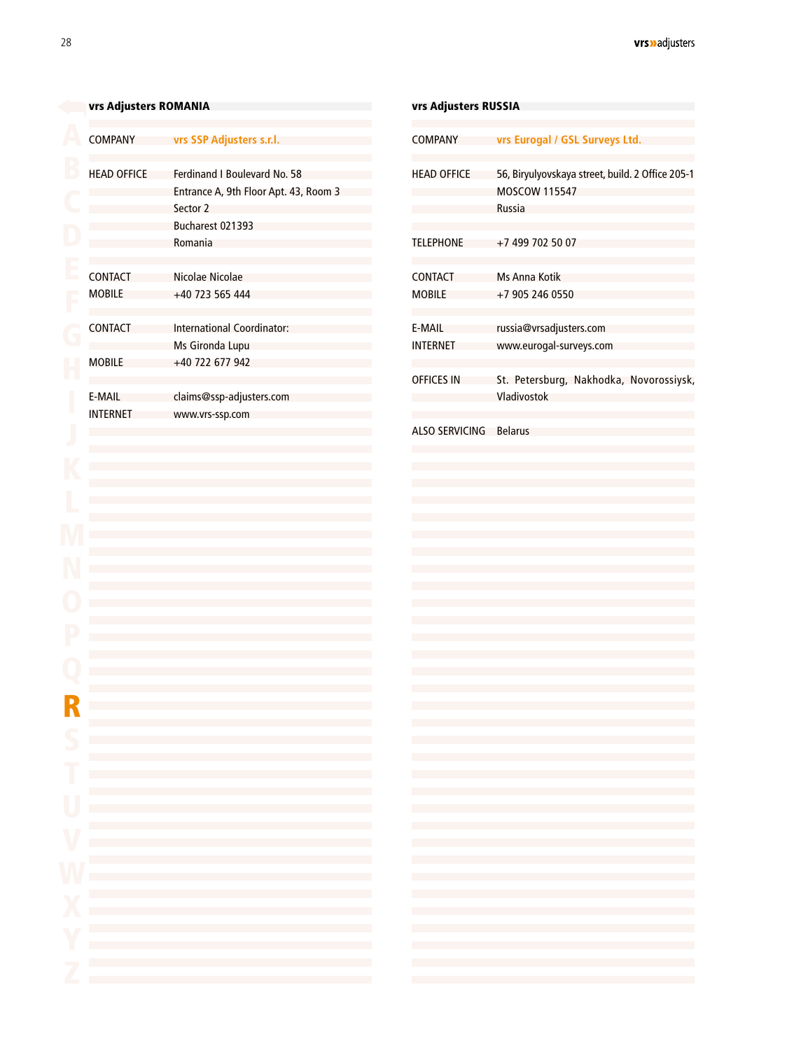<span id="page-26-0"></span>

| <b>COMPANY</b>     | vrs SSP Adjusters s.r.l.                                                                                                                                                                                                                                                                                                                                                                                                                                                                                                                  | <b>COMPANY</b>            | vrs Eurogal / GSL Surveys Ltd.                                                                                                                                                         |
|--------------------|-------------------------------------------------------------------------------------------------------------------------------------------------------------------------------------------------------------------------------------------------------------------------------------------------------------------------------------------------------------------------------------------------------------------------------------------------------------------------------------------------------------------------------------------|---------------------------|----------------------------------------------------------------------------------------------------------------------------------------------------------------------------------------|
| <b>HEAD OFFICE</b> | Ferdinand I Boulevard No. 58<br>Entrance A, 9th Floor Apt. 43, Room 3<br>Sector 2<br>Bucharest 021393                                                                                                                                                                                                                                                                                                                                                                                                                                     | <b>HEAD OFFICE</b>        | 56, Biryulyovskaya street, build. 2 Office 205-1<br><b>MOSCOW 115547</b><br><b>Russia</b>                                                                                              |
|                    | Romania                                                                                                                                                                                                                                                                                                                                                                                                                                                                                                                                   | <b>TELEPHONE</b>          | +7 499 702 50 07                                                                                                                                                                       |
| <b>CONTACT</b>     | Nicolae Nicolae<br>+40 723 565 444                                                                                                                                                                                                                                                                                                                                                                                                                                                                                                        | <b>CONTACT</b>            | Ms Anna Kotik                                                                                                                                                                          |
| <b>MOBILE</b>      |                                                                                                                                                                                                                                                                                                                                                                                                                                                                                                                                           | <b>MOBILE</b>             | +7 905 246 0550                                                                                                                                                                        |
| <b>CONTACT</b>     | International Coordinator:                                                                                                                                                                                                                                                                                                                                                                                                                                                                                                                | E-MAIL<br><b>INTERNET</b> | russia@vrsadjusters.com                                                                                                                                                                |
| <b>MOBILE</b>      | Ms Gironda Lupu<br>+40 722 677 942                                                                                                                                                                                                                                                                                                                                                                                                                                                                                                        |                           | www.eurogal-surveys.com                                                                                                                                                                |
| E-MAIL             | claims@ssp-adjusters.com                                                                                                                                                                                                                                                                                                                                                                                                                                                                                                                  | <b>OFFICES IN</b>         | St. Petersburg, Nakhodka, Novorossiysk,<br>Vladivostok                                                                                                                                 |
| <b>INTERNET</b>    | www.vrs-ssp.com                                                                                                                                                                                                                                                                                                                                                                                                                                                                                                                           |                           |                                                                                                                                                                                        |
|                    |                                                                                                                                                                                                                                                                                                                                                                                                                                                                                                                                           | <b>ALSO SERVICING</b>     | <b>Belarus</b>                                                                                                                                                                         |
|                    |                                                                                                                                                                                                                                                                                                                                                                                                                                                                                                                                           |                           |                                                                                                                                                                                        |
|                    |                                                                                                                                                                                                                                                                                                                                                                                                                                                                                                                                           |                           |                                                                                                                                                                                        |
|                    |                                                                                                                                                                                                                                                                                                                                                                                                                                                                                                                                           |                           |                                                                                                                                                                                        |
|                    |                                                                                                                                                                                                                                                                                                                                                                                                                                                                                                                                           |                           |                                                                                                                                                                                        |
|                    |                                                                                                                                                                                                                                                                                                                                                                                                                                                                                                                                           |                           |                                                                                                                                                                                        |
|                    |                                                                                                                                                                                                                                                                                                                                                                                                                                                                                                                                           |                           |                                                                                                                                                                                        |
|                    |                                                                                                                                                                                                                                                                                                                                                                                                                                                                                                                                           |                           |                                                                                                                                                                                        |
|                    |                                                                                                                                                                                                                                                                                                                                                                                                                                                                                                                                           |                           |                                                                                                                                                                                        |
|                    |                                                                                                                                                                                                                                                                                                                                                                                                                                                                                                                                           |                           |                                                                                                                                                                                        |
|                    |                                                                                                                                                                                                                                                                                                                                                                                                                                                                                                                                           |                           |                                                                                                                                                                                        |
|                    |                                                                                                                                                                                                                                                                                                                                                                                                                                                                                                                                           |                           |                                                                                                                                                                                        |
|                    |                                                                                                                                                                                                                                                                                                                                                                                                                                                                                                                                           |                           |                                                                                                                                                                                        |
|                    |                                                                                                                                                                                                                                                                                                                                                                                                                                                                                                                                           |                           |                                                                                                                                                                                        |
|                    |                                                                                                                                                                                                                                                                                                                                                                                                                                                                                                                                           |                           |                                                                                                                                                                                        |
|                    | and the state of the state of the state of the state of the state of the state of the state of                                                                                                                                                                                                                                                                                                                                                                                                                                            |                           |                                                                                                                                                                                        |
|                    | the control of the control of the control of the control of the control of the control of                                                                                                                                                                                                                                                                                                                                                                                                                                                 |                           | the control of the control of the control of the control of the control of the control of                                                                                              |
|                    | the control of the control of the control of the control of the control of the control of                                                                                                                                                                                                                                                                                                                                                                                                                                                 |                           | the control of the control of the control of the control of the control of the control of                                                                                              |
|                    | the control of the control of the control of the control of the control of the control of                                                                                                                                                                                                                                                                                                                                                                                                                                                 |                           | the control of the control of the control of the control of the control of the control of                                                                                              |
|                    | the control of the control of the control of the control of the control of the control of                                                                                                                                                                                                                                                                                                                                                                                                                                                 |                           | the control of the control of the control of the control of the control of the control of                                                                                              |
|                    | the control of the control of the control of the control of the control of                                                                                                                                                                                                                                                                                                                                                                                                                                                                |                           | the control of the control of the control of the control of the control of the control of                                                                                              |
|                    | $\mathcal{L}(\mathcal{L}(\mathcal{L}(\mathcal{L}(\mathcal{L}(\mathcal{L}(\mathcal{L}(\mathcal{L}(\mathcal{L}(\mathcal{L}(\mathcal{L}(\mathcal{L}(\mathcal{L}(\mathcal{L}(\mathcal{L}(\mathcal{L}(\mathcal{L}(\mathcal{L}(\mathcal{L}(\mathcal{L}(\mathcal{L}(\mathcal{L}(\mathcal{L}(\mathcal{L}(\mathcal{L}(\mathcal{L}(\mathcal{L}(\mathcal{L}(\mathcal{L}(\mathcal{L}(\mathcal{L}(\mathcal{L}(\mathcal{L}(\mathcal{L}(\mathcal{L}(\mathcal{L}(\mathcal{$<br>the control of the control of the control of the control of the control of |                           | the control of the control of the control of the control of the control of the control of<br>the control of the control of the control of the control of the control of the control of |
|                    | the control of the control of the control of the control of the control of the control of                                                                                                                                                                                                                                                                                                                                                                                                                                                 |                           | the control of the control of the control of the control of the control of the control of                                                                                              |
|                    | the control of the control of the control of the control of the control of                                                                                                                                                                                                                                                                                                                                                                                                                                                                |                           | the control of the control of the control of the control of the control of the control of                                                                                              |
|                    | and the state of the state of the state of the state of the state of the state of                                                                                                                                                                                                                                                                                                                                                                                                                                                         |                           | the control of the control of the control of the control of the control of                                                                                                             |
|                    | the control of the control of the control of the control of the control of                                                                                                                                                                                                                                                                                                                                                                                                                                                                |                           | the control of the control of the control of the control of the control of the control of                                                                                              |
|                    | the control of the control of the control of the control of the control of the control of                                                                                                                                                                                                                                                                                                                                                                                                                                                 |                           |                                                                                                                                                                                        |
|                    |                                                                                                                                                                                                                                                                                                                                                                                                                                                                                                                                           |                           |                                                                                                                                                                                        |

#### [v](#page-2-0)rs Adjusters ROMANIA vrs Adjusters RUSSIA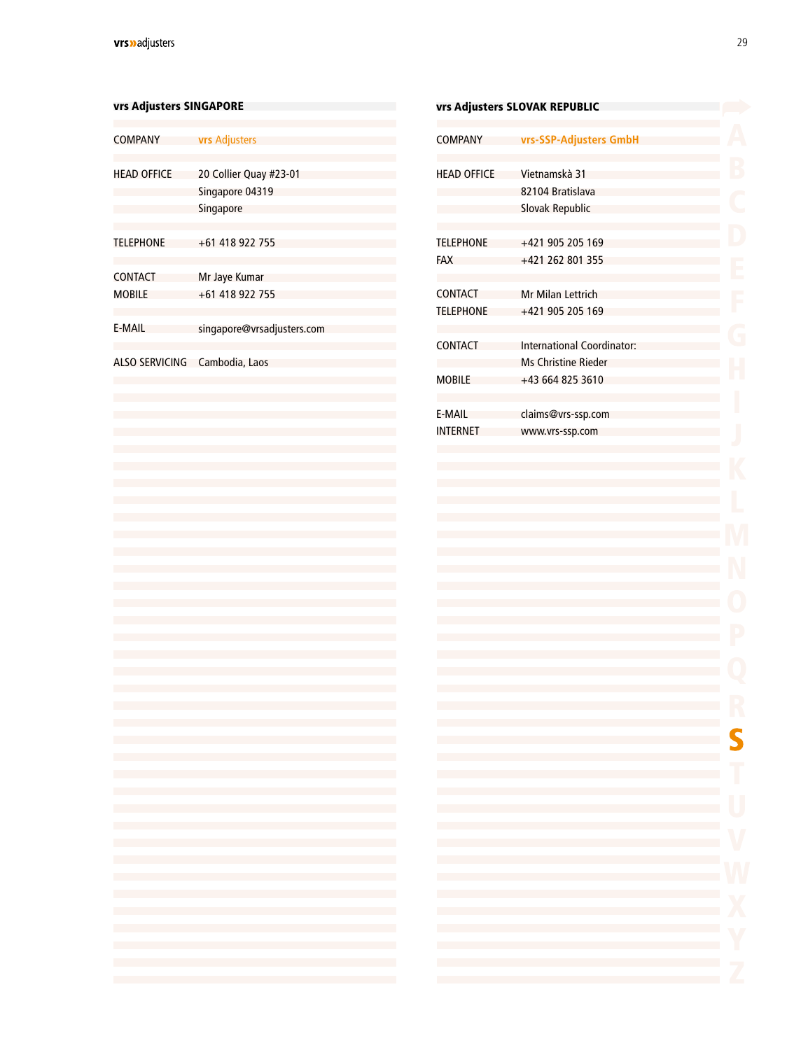<span id="page-27-0"></span>

| vrs Adjusters SINGAPORE                 |                                                                                                                                                                                                                                                                                                                                                                                           |                                    | vrs Adjusters SLOVAK REPUBLIC                                                                                                                                                                                                          |
|-----------------------------------------|-------------------------------------------------------------------------------------------------------------------------------------------------------------------------------------------------------------------------------------------------------------------------------------------------------------------------------------------------------------------------------------------|------------------------------------|----------------------------------------------------------------------------------------------------------------------------------------------------------------------------------------------------------------------------------------|
| <b>COMPANY</b>                          | <b>vrs</b> Adjusters                                                                                                                                                                                                                                                                                                                                                                      | <b>COMPANY</b>                     | vrs-SSP-Adjuster                                                                                                                                                                                                                       |
| <b>HEAD OFFICE</b>                      | 20 Collier Quay #23-01<br>Singapore 04319<br>Singapore                                                                                                                                                                                                                                                                                                                                    | <b>HEAD OFFICE</b>                 | Vietnamskà 31<br>82104 Bratislava<br>Slovak Republic                                                                                                                                                                                   |
| <b>TELEPHONE</b>                        | +61 418 922 755                                                                                                                                                                                                                                                                                                                                                                           | <b>TELEPHONE</b><br><b>FAX</b>     | +421 905 205 16<br>+421 262 801 35                                                                                                                                                                                                     |
| <b>CONTACT</b><br><b>MOBILE</b>         | Mr Jaye Kumar<br>+61 418 922 755                                                                                                                                                                                                                                                                                                                                                          | <b>CONTACT</b><br><b>TELEPHONE</b> | Mr Milan Lettrich<br>+421 905 205 16                                                                                                                                                                                                   |
| E-MAIL<br>ALSO SERVICING Cambodia, Laos | singapore@vrsadjusters.com                                                                                                                                                                                                                                                                                                                                                                | <b>CONTACT</b>                     | <b>International Coo</b><br><b>Ms Christine Ried</b>                                                                                                                                                                                   |
|                                         |                                                                                                                                                                                                                                                                                                                                                                                           | <b>MOBILE</b>                      | +43 664 825 361                                                                                                                                                                                                                        |
|                                         |                                                                                                                                                                                                                                                                                                                                                                                           | E-MAIL<br><b>INTERNET</b>          | claims@vrs-ssp.co<br>www.vrs-ssp.com                                                                                                                                                                                                   |
|                                         |                                                                                                                                                                                                                                                                                                                                                                                           |                                    |                                                                                                                                                                                                                                        |
|                                         |                                                                                                                                                                                                                                                                                                                                                                                           |                                    |                                                                                                                                                                                                                                        |
|                                         |                                                                                                                                                                                                                                                                                                                                                                                           | ria.                               |                                                                                                                                                                                                                                        |
| <b>Contract</b><br><b>College</b>       | the control of the control of the control of the control of the control of the control of<br>the control of the control of the control of the control of the control of the control of<br>the control of the control of the control of the control of the control of the control of<br>and the state of the state of the state of the state of the state of the state of the state of the |                                    | and the control of the control of the control of the control of the control of<br>the control of the control of the control of<br>the control of the control of the control of the<br>the control of the control of the control of the |
| <b>Contract</b><br><b>Contract</b>      | and the state of the state of the state of the state of the state of the state of the state of the<br>and the state of the state of the state of the state of the state of the state of the state of the<br>and the state of the state of the state of the state of the state of the state of the state of the                                                                            |                                    | the control of the control of the control of the<br>the control of the control of the control of the control of<br>the control of the control of the control of the control of                                                         |
| <b>Contract</b><br><b>College</b>       | and the state of the state of the state of the state of the state of the state of the state of the<br>the control of the control of the control of the control of the control of the control of                                                                                                                                                                                           |                                    | and the control of the control of the control of the control of the control of<br>the control of the control of the control of the control of                                                                                          |
|                                         | the control of the control of the control of the control of the control of the control of                                                                                                                                                                                                                                                                                                 |                                    | the control of the control of the control of the control of<br>the control of the control of the control of the control of                                                                                                             |

| vrs Adjusters SLOVAK REPUBLIC      |                                                      |  |  |
|------------------------------------|------------------------------------------------------|--|--|
| <b>COMPANY</b>                     | vrs-SSP-Adjusters GmbH                               |  |  |
| <b>HEAD OFFICE</b>                 | Vietnamskà 31<br>82104 Bratislava<br>Slovak Republic |  |  |
| <b>TELEPHONE</b><br><b>FAX</b>     | +421 905 205 169<br>+421 262 801 355                 |  |  |
| <b>CONTACT</b><br><b>TELEPHONE</b> | Mr Milan Lettrich<br>+421 905 205 169                |  |  |
| <b>CONTACT</b>                     | International Coordinator:<br>Ms Christine Rieder    |  |  |
| <b>MOBILE</b>                      | +43 664 825 3610                                     |  |  |
| E-MAIL<br><b>INTERNET</b>          | claims@vrs-ssp.com<br>www.vrs-ssp.com                |  |  |
|                                    |                                                      |  |  |

5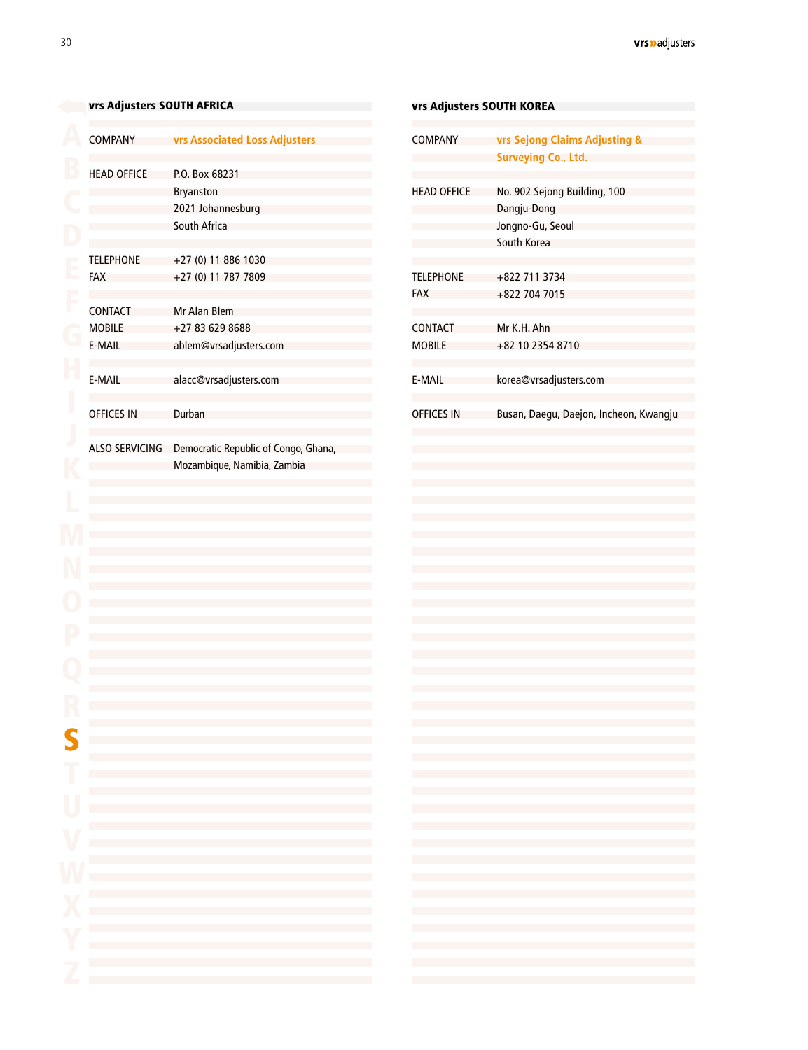<span id="page-28-0"></span>

|                       |                                                                                                                  | vrs Adjusters SOUTH KOREA |                                                                                                                                                                                                                                                                                                                                                                                                                                                             |
|-----------------------|------------------------------------------------------------------------------------------------------------------|---------------------------|-------------------------------------------------------------------------------------------------------------------------------------------------------------------------------------------------------------------------------------------------------------------------------------------------------------------------------------------------------------------------------------------------------------------------------------------------------------|
| <b>COMPANY</b>        | vrs Associated Loss Adjusters                                                                                    | <b>COMPANY</b>            | vrs Sejong Claims Adjusting &<br><b>Surveying Co., Ltd.</b>                                                                                                                                                                                                                                                                                                                                                                                                 |
| <b>HEAD OFFICE</b>    | P.O. Box 68231                                                                                                   |                           |                                                                                                                                                                                                                                                                                                                                                                                                                                                             |
|                       | <b>Bryanston</b>                                                                                                 | <b>HEAD OFFICE</b>        | No. 902 Sejong Building, 100                                                                                                                                                                                                                                                                                                                                                                                                                                |
|                       | 2021 Johannesburg                                                                                                |                           | Dangju-Dong                                                                                                                                                                                                                                                                                                                                                                                                                                                 |
|                       | <b>South Africa</b>                                                                                              |                           |                                                                                                                                                                                                                                                                                                                                                                                                                                                             |
|                       |                                                                                                                  |                           | Jongno-Gu, Seoul                                                                                                                                                                                                                                                                                                                                                                                                                                            |
|                       |                                                                                                                  |                           | South Korea                                                                                                                                                                                                                                                                                                                                                                                                                                                 |
| <b>TELEPHONE</b>      | $+27(0)$ 11 886 1030                                                                                             |                           |                                                                                                                                                                                                                                                                                                                                                                                                                                                             |
| FAX                   | +27 (0) 11 787 7809                                                                                              | <b>TELEPHONE</b>          | +822 711 3734                                                                                                                                                                                                                                                                                                                                                                                                                                               |
|                       |                                                                                                                  | FAX                       | +822 704 7015                                                                                                                                                                                                                                                                                                                                                                                                                                               |
| CONTACT               | <b>Mr Alan Blem</b>                                                                                              |                           |                                                                                                                                                                                                                                                                                                                                                                                                                                                             |
| <b>MOBILE</b>         | +27 83 629 8688                                                                                                  | <b>CONTACT</b>            | Mr K.H. Ahn                                                                                                                                                                                                                                                                                                                                                                                                                                                 |
| E-MAIL                | ablem@vrsadjusters.com                                                                                           | <b>MOBILE</b>             | +82 10 2354 8710                                                                                                                                                                                                                                                                                                                                                                                                                                            |
| E-MAIL                | alacc@vrsadjusters.com                                                                                           | E-MAIL                    | korea@vrsadjusters.com                                                                                                                                                                                                                                                                                                                                                                                                                                      |
| <b>OFFICES IN</b>     | Durban                                                                                                           | <b>OFFICES IN</b>         | Busan, Daegu, Daejon, Incheon, Kwangju                                                                                                                                                                                                                                                                                                                                                                                                                      |
| <b>ALSO SERVICING</b> | Democratic Republic of Congo, Ghana,                                                                             |                           |                                                                                                                                                                                                                                                                                                                                                                                                                                                             |
|                       | Mozambique, Namibia, Zambia                                                                                      |                           |                                                                                                                                                                                                                                                                                                                                                                                                                                                             |
|                       |                                                                                                                  |                           |                                                                                                                                                                                                                                                                                                                                                                                                                                                             |
|                       |                                                                                                                  |                           |                                                                                                                                                                                                                                                                                                                                                                                                                                                             |
|                       |                                                                                                                  |                           |                                                                                                                                                                                                                                                                                                                                                                                                                                                             |
|                       |                                                                                                                  |                           |                                                                                                                                                                                                                                                                                                                                                                                                                                                             |
|                       |                                                                                                                  |                           |                                                                                                                                                                                                                                                                                                                                                                                                                                                             |
|                       |                                                                                                                  |                           |                                                                                                                                                                                                                                                                                                                                                                                                                                                             |
|                       |                                                                                                                  |                           |                                                                                                                                                                                                                                                                                                                                                                                                                                                             |
|                       |                                                                                                                  |                           |                                                                                                                                                                                                                                                                                                                                                                                                                                                             |
|                       |                                                                                                                  |                           |                                                                                                                                                                                                                                                                                                                                                                                                                                                             |
|                       |                                                                                                                  |                           |                                                                                                                                                                                                                                                                                                                                                                                                                                                             |
|                       |                                                                                                                  |                           |                                                                                                                                                                                                                                                                                                                                                                                                                                                             |
|                       |                                                                                                                  |                           |                                                                                                                                                                                                                                                                                                                                                                                                                                                             |
|                       |                                                                                                                  |                           |                                                                                                                                                                                                                                                                                                                                                                                                                                                             |
|                       |                                                                                                                  |                           |                                                                                                                                                                                                                                                                                                                                                                                                                                                             |
|                       |                                                                                                                  |                           |                                                                                                                                                                                                                                                                                                                                                                                                                                                             |
|                       |                                                                                                                  |                           |                                                                                                                                                                                                                                                                                                                                                                                                                                                             |
|                       |                                                                                                                  |                           |                                                                                                                                                                                                                                                                                                                                                                                                                                                             |
|                       | and the control of the control of the control of the control of the control of the control of the control of the |                           |                                                                                                                                                                                                                                                                                                                                                                                                                                                             |
|                       | the control of the control of the control of the control of the control of the control of                        |                           | $\mathcal{L}(\mathcal{L}(\mathcal{L}(\mathcal{L}(\mathcal{L}(\mathcal{L}(\mathcal{L}(\mathcal{L}(\mathcal{L}(\mathcal{L}(\mathcal{L}(\mathcal{L}(\mathcal{L}(\mathcal{L}(\mathcal{L}(\mathcal{L}(\mathcal{L}(\mathcal{L}(\mathcal{L}(\mathcal{L}(\mathcal{L}(\mathcal{L}(\mathcal{L}(\mathcal{L}(\mathcal{L}(\mathcal{L}(\mathcal{L}(\mathcal{L}(\mathcal{L}(\mathcal{L}(\mathcal{L}(\mathcal{L}(\mathcal{L}(\mathcal{L}(\mathcal{L}(\mathcal{L}(\mathcal{$ |
|                       | and the state of the state of the state of the state of the state of the state of the state of                   |                           |                                                                                                                                                                                                                                                                                                                                                                                                                                                             |
|                       | and the state of the state of the state of the state of the state of the state of the state of                   |                           | $\mathcal{L}(\mathcal{L}(\mathcal{L}(\mathcal{L}(\mathcal{L}(\mathcal{L}(\mathcal{L}(\mathcal{L}(\mathcal{L}(\mathcal{L}(\mathcal{L}(\mathcal{L}(\mathcal{L}(\mathcal{L}(\mathcal{L}(\mathcal{L}(\mathcal{L}(\mathcal{L}(\mathcal{L}(\mathcal{L}(\mathcal{L}(\mathcal{L}(\mathcal{L}(\mathcal{L}(\mathcal{L}(\mathcal{L}(\mathcal{L}(\mathcal{L}(\mathcal{L}(\mathcal{L}(\mathcal{L}(\mathcal{L}(\mathcal{L}(\mathcal{L}(\mathcal{L}(\mathcal{L}(\mathcal{$ |
|                       |                                                                                                                  |                           |                                                                                                                                                                                                                                                                                                                                                                                                                                                             |
|                       |                                                                                                                  |                           |                                                                                                                                                                                                                                                                                                                                                                                                                                                             |
|                       |                                                                                                                  |                           |                                                                                                                                                                                                                                                                                                                                                                                                                                                             |
|                       |                                                                                                                  |                           |                                                                                                                                                                                                                                                                                                                                                                                                                                                             |
|                       | and the state of the state of the state of the state of the state of the state of the state of the               |                           |                                                                                                                                                                                                                                                                                                                                                                                                                                                             |
|                       |                                                                                                                  |                           |                                                                                                                                                                                                                                                                                                                                                                                                                                                             |
|                       |                                                                                                                  |                           |                                                                                                                                                                                                                                                                                                                                                                                                                                                             |
|                       |                                                                                                                  |                           |                                                                                                                                                                                                                                                                                                                                                                                                                                                             |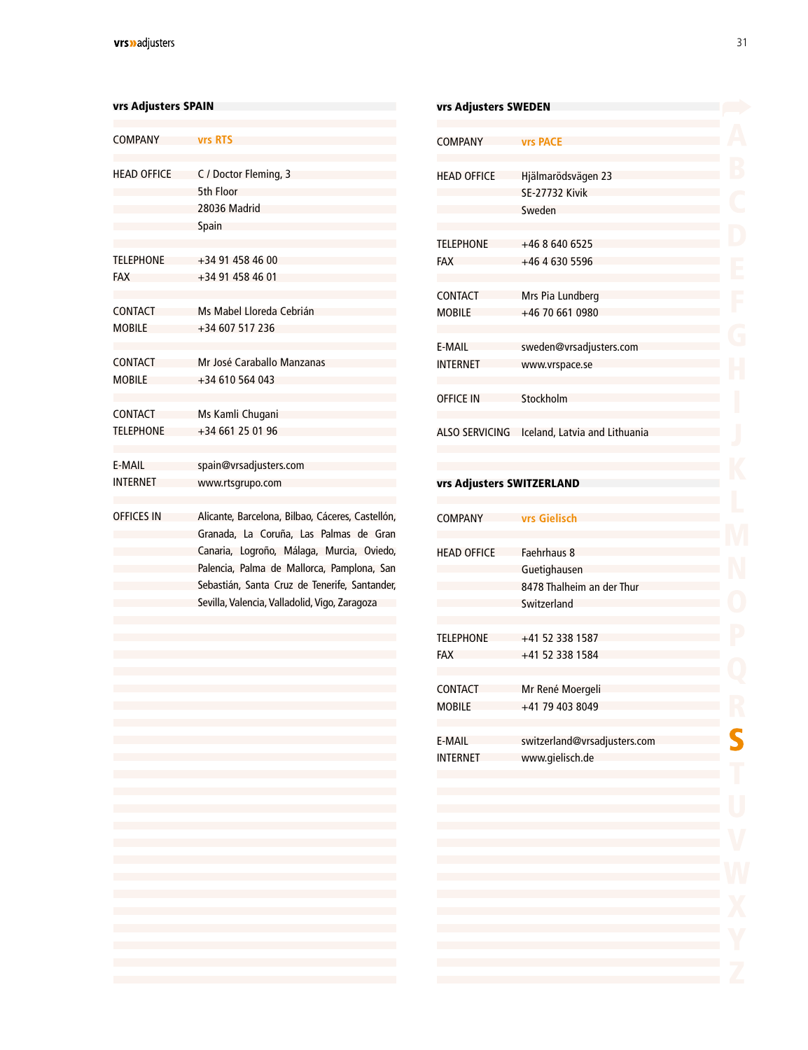#### <span id="page-29-0"></span>vrs Adjusters SPAIN

| <b>COMPANY</b>     | <b>vrs RTS</b>                                   |
|--------------------|--------------------------------------------------|
|                    |                                                  |
| <b>HFAD OFFICE</b> | C / Doctor Fleming, 3                            |
|                    | 5th Floor                                        |
|                    | 28036 Madrid                                     |
|                    | Spain                                            |
| <b>TELEPHONE</b>   | +34 91 458 46 00                                 |
| <b>FAX</b>         | $+34914584601$                                   |
| CONTACT            | Ms Mabel Lloreda Cebrián                         |
| <b>MOBILE</b>      | +34 607 517 236                                  |
| CONTACT            | Mr José Caraballo Manzanas                       |
| <b>MOBILE</b>      | $+34610564043$                                   |
| CONTACT            | Ms Kamli Chugani                                 |
| <b>TFI FPHONF</b>  | +34 661 25 01 96                                 |
| F-MAII             | spain@vrsadjusters.com                           |
| <b>INTERNET</b>    | www.rtsgrupo.com                                 |
| <b>OFFICES IN</b>  | Alicante, Barcelona, Bilbao, Cáceres, Castellón, |
|                    | Granada, La Coruña, Las Palmas de Gran           |
|                    | Canaria, Logroño, Málaga, Murcia, Oviedo,        |
|                    | Palencia, Palma de Mallorca, Pamplona, San       |
|                    | Sebastián, Santa Cruz de Tenerife, Santander,    |
|                    | Sevilla, Valencia, Valladolid, Vigo, Zaragoza    |

| vrs Adjusters SWEDEN            |                                                                         |  |
|---------------------------------|-------------------------------------------------------------------------|--|
| <b>COMPANY</b>                  | <b>vrs PACE</b>                                                         |  |
| <b>HEAD OFFICE</b>              | Hjälmarödsvägen 23<br><b>SE-27732 Kivik</b><br>Sweden                   |  |
| <b>TELEPHONE</b><br><b>FAX</b>  | +46 8 640 6525<br>+46 4 630 5596                                        |  |
| <b>CONTACT</b><br><b>MOBILE</b> | Mrs Pia Lundberg<br>+46 70 661 0980                                     |  |
| E-MAIL<br><b>INTERNET</b>       | sweden@vrsadjusters.com<br>www.vrspace.se                               |  |
| <b>OFFICE IN</b>                | Stockholm                                                               |  |
| <b>ALSO SERVICING</b>           | Iceland, Latvia and Lithuania                                           |  |
| vrs Adjusters SWITZERLAND       |                                                                         |  |
| <b>COMPANY</b>                  | vrs Gielisch                                                            |  |
| <b>HEAD OFFICE</b>              | Faehrhaus 8<br>Guetighausen<br>8478 Thalheim an der Thur<br>Switzerland |  |
| <b>TELEPHONE</b><br>FAX         | +41 52 338 1587<br>+41 52 338 1584                                      |  |
| <b>CONTACT</b><br><b>MOBILE</b> | Mr René Moergeli<br>+41 79 403 8049                                     |  |
| E-MAIL<br><b>INTERNET</b>       | switzerland@vrsadjusters.com<br>www.gielisch.de                         |  |
|                                 |                                                                         |  |
|                                 |                                                                         |  |
|                                 |                                                                         |  |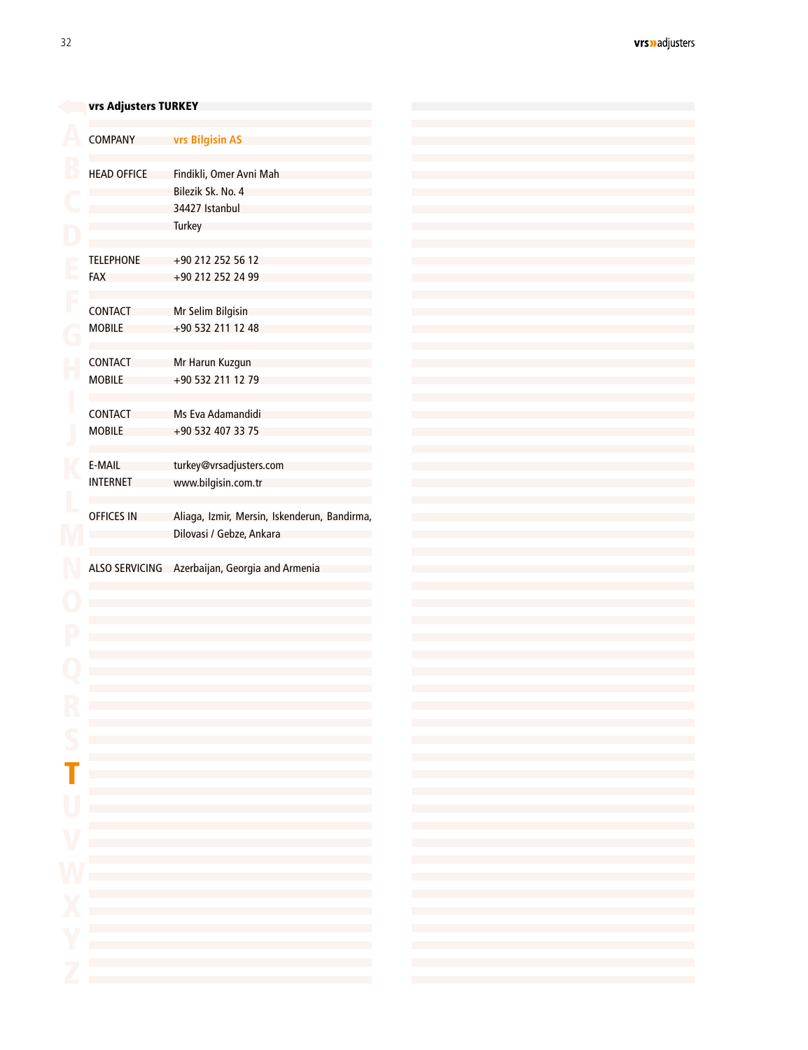<span id="page-30-0"></span>

|                          | vrs Adjusters TURKEY                                                                                                                                                                                                          |
|--------------------------|-------------------------------------------------------------------------------------------------------------------------------------------------------------------------------------------------------------------------------|
| <b>COMPANY</b>           | vrs Bilgisin AS                                                                                                                                                                                                               |
|                          |                                                                                                                                                                                                                               |
| <b>HEAD OFFICE</b>       | Findikli, Omer Avni Mah                                                                                                                                                                                                       |
|                          | Bilezik Sk. No. 4                                                                                                                                                                                                             |
|                          | 34427 Istanbul                                                                                                                                                                                                                |
|                          | <b>Turkey</b>                                                                                                                                                                                                                 |
|                          |                                                                                                                                                                                                                               |
| <b>TELEPHONE</b>         | +90 212 252 56 12                                                                                                                                                                                                             |
| <b>FAX</b>               | +90 212 252 24 99                                                                                                                                                                                                             |
|                          |                                                                                                                                                                                                                               |
| <b>CONTACT</b>           | Mr Selim Bilgisin                                                                                                                                                                                                             |
| <b>MOBILE</b>            | +90 532 211 12 48                                                                                                                                                                                                             |
|                          |                                                                                                                                                                                                                               |
| CONTACT                  | Mr Harun Kuzgun                                                                                                                                                                                                               |
| <b>MOBILE</b>            | +90 532 211 12 79                                                                                                                                                                                                             |
|                          |                                                                                                                                                                                                                               |
| CONTACT                  | Ms Eva Adamandidi                                                                                                                                                                                                             |
| <b>MOBILE</b>            | +90 532 407 33 75                                                                                                                                                                                                             |
|                          |                                                                                                                                                                                                                               |
| E-MAIL                   | turkey@vrsadjusters.com                                                                                                                                                                                                       |
| <b>INTERNET</b>          | www.bilgisin.com.tr                                                                                                                                                                                                           |
|                          |                                                                                                                                                                                                                               |
| <b>OFFICES IN</b>        | Aliaga, Izmir, Mersin, Iskenderun, Bandirma,                                                                                                                                                                                  |
|                          | Dilovasi / Gebze, Ankara                                                                                                                                                                                                      |
|                          |                                                                                                                                                                                                                               |
|                          | ALSO SERVICING Azerbaijan, Georgia and Armenia                                                                                                                                                                                |
|                          |                                                                                                                                                                                                                               |
|                          |                                                                                                                                                                                                                               |
|                          |                                                                                                                                                                                                                               |
|                          |                                                                                                                                                                                                                               |
|                          |                                                                                                                                                                                                                               |
|                          |                                                                                                                                                                                                                               |
|                          |                                                                                                                                                                                                                               |
|                          |                                                                                                                                                                                                                               |
|                          |                                                                                                                                                                                                                               |
|                          |                                                                                                                                                                                                                               |
|                          |                                                                                                                                                                                                                               |
|                          |                                                                                                                                                                                                                               |
|                          | and the control of the control of the control of the control of the control of the control of                                                                                                                                 |
|                          | the control of the control of the control of the control of the control of the control of                                                                                                                                     |
|                          |                                                                                                                                                                                                                               |
|                          | the control of the control of the control of the control of the control of the control of                                                                                                                                     |
|                          | the control of the control of the control of the control of the control of the control of the control of the control of the control of the control of the control of the control of the control of the control of the control |
|                          | the control of the control of the control of the control of the control of the control of                                                                                                                                     |
|                          | the control of the control of the control of the control of the control of the control of the control of the control of the control of the control of the control of the control of the control of the control of the control |
|                          | the control of the control of the control of the control of the control of the control of                                                                                                                                     |
|                          |                                                                                                                                                                                                                               |
|                          | the control of the control of the control of the control of the control of the control of                                                                                                                                     |
|                          | the control of the control of the control of the control of the control of the control of the control of the control of the control of the control of the control of the control of the control of the control of the control |
|                          | the control of the control of the control of the control of the control of the control of                                                                                                                                     |
|                          | the control of the control of the control of the control of the control of the control of                                                                                                                                     |
|                          | the control of the control of the control of the control of the control of the control of                                                                                                                                     |
| <b>Contract Contract</b> | the contract of the contract of the contract of the contract of the contract of                                                                                                                                               |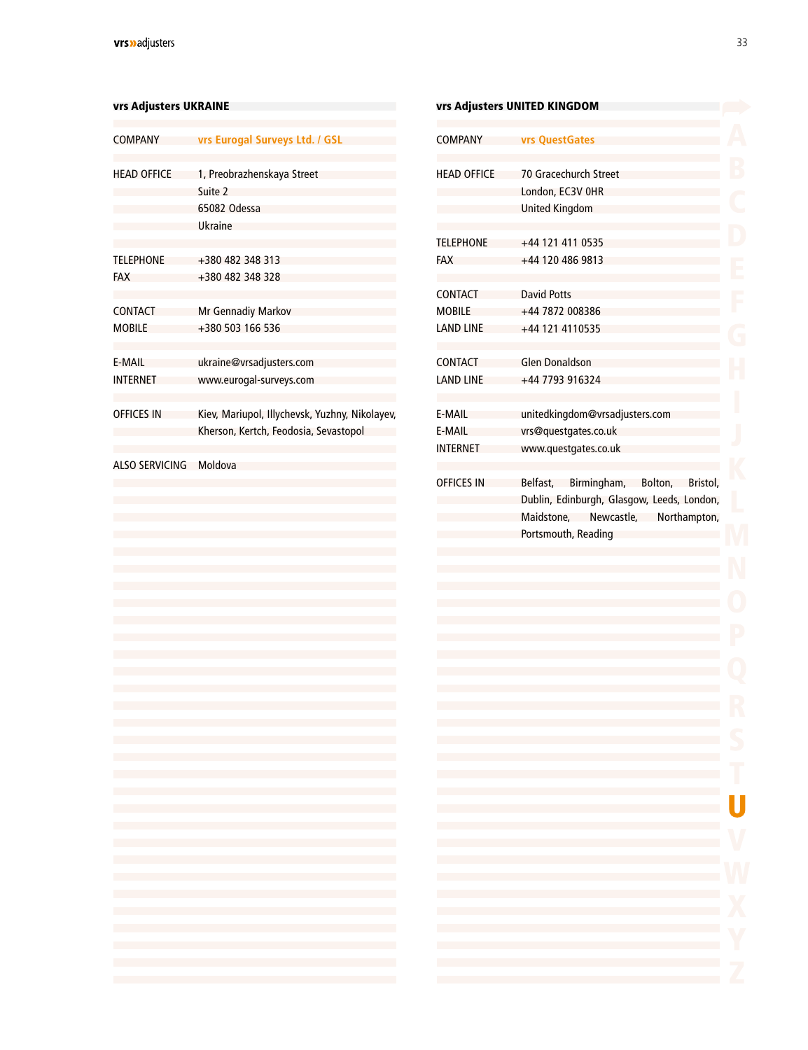#### <span id="page-31-0"></span>vrs Adjusters UKRAINE

| <b>COMPANY</b>        | vrs Eurogal Surveys Ltd. / GSL                                                          |
|-----------------------|-----------------------------------------------------------------------------------------|
| <b>HEAD OFFICE</b>    | 1, Preobrazhenskaya Street<br>Suite 2                                                   |
|                       | 65082 Odessa                                                                            |
|                       | Ukraine                                                                                 |
| <b>TELEPHONE</b>      | +380 482 348 313                                                                        |
| <b>FAX</b>            | +380 482 348 328                                                                        |
| <b>CONTACT</b>        | Mr Gennadiy Markov                                                                      |
| <b>MOBILE</b>         | +380 503 166 536                                                                        |
| E-MAIL                | ukraine@vrsadjusters.com                                                                |
| <b>INTERNET</b>       | www.eurogal-surveys.com                                                                 |
| <b>OFFICES IN</b>     | Kiev, Mariupol, Illychevsk, Yuzhny, Nikolayev,<br>Kherson, Kertch, Feodosia, Sevastopol |
| <b>ALSO SERVICING</b> | Moldova                                                                                 |
|                       |                                                                                         |
|                       |                                                                                         |
|                       |                                                                                         |
|                       |                                                                                         |
|                       |                                                                                         |
|                       |                                                                                         |
|                       |                                                                                         |
|                       |                                                                                         |
|                       |                                                                                         |
|                       |                                                                                         |
|                       |                                                                                         |
| h.                    |                                                                                         |
|                       |                                                                                         |
| L<br>L                | <b>Contract Contract</b><br><b>Contract Contract</b>                                    |
| I.                    | <b>Contract Contract</b>                                                                |
| L                     | <b>Contract Contract</b><br><b>Contract Contract</b>                                    |
|                       | <b>Contract Contract</b>                                                                |
|                       |                                                                                         |
|                       |                                                                                         |

|                    | vrs Adjusters UNITED KINGDOM                                                                                                                                                                                                                                                                                                                      |
|--------------------|---------------------------------------------------------------------------------------------------------------------------------------------------------------------------------------------------------------------------------------------------------------------------------------------------------------------------------------------------|
| <b>COMPANY</b>     | vrs QuestGates                                                                                                                                                                                                                                                                                                                                    |
| <b>HEAD OFFICE</b> | 70 Gracechurch Street                                                                                                                                                                                                                                                                                                                             |
|                    | London, EC3V OHR                                                                                                                                                                                                                                                                                                                                  |
|                    | United Kingdom                                                                                                                                                                                                                                                                                                                                    |
| <b>TELEPHONE</b>   | +44 121 411 0535                                                                                                                                                                                                                                                                                                                                  |
| FAX                | +44 120 486 9813                                                                                                                                                                                                                                                                                                                                  |
| CONTACT            | <b>David Potts</b>                                                                                                                                                                                                                                                                                                                                |
| <b>MOBILE</b>      | +44 7872 008386                                                                                                                                                                                                                                                                                                                                   |
| LAND LINE          | +44 121 4110535                                                                                                                                                                                                                                                                                                                                   |
| CONTACT            | Glen Donaldson                                                                                                                                                                                                                                                                                                                                    |
| <b>LAND LINE</b>   | +44 7793 916324                                                                                                                                                                                                                                                                                                                                   |
| E-MAIL             | unitedkingdom@vrsadjusters.com                                                                                                                                                                                                                                                                                                                    |
| E-MAIL             | vrs@questgates.co.uk                                                                                                                                                                                                                                                                                                                              |
| <b>INTERNET</b>    | www.questgates.co.uk                                                                                                                                                                                                                                                                                                                              |
| <b>OFFICES IN</b>  | Belfast, Birmingham, Bolton, Bristol,<br>Dublin, Edinburgh, Glasgow, Leeds, London,<br>Maidstone, Newcastle, Northampton,<br>Portsmouth, Reading                                                                                                                                                                                                  |
|                    |                                                                                                                                                                                                                                                                                                                                                   |
|                    |                                                                                                                                                                                                                                                                                                                                                   |
|                    |                                                                                                                                                                                                                                                                                                                                                   |
|                    |                                                                                                                                                                                                                                                                                                                                                   |
|                    |                                                                                                                                                                                                                                                                                                                                                   |
|                    |                                                                                                                                                                                                                                                                                                                                                   |
|                    |                                                                                                                                                                                                                                                                                                                                                   |
|                    | the control of the control of the control of the control of the control of the control of the control of the control of the control of the control of the control of the control of the control of the control of the control<br>and the control of the control of the control of the control of the control of the control of the control of the |
|                    | and the control of the control of the control of the control of the control of the control of the control of the                                                                                                                                                                                                                                  |
|                    | the control of the control of the control of the control of the control of the control of                                                                                                                                                                                                                                                         |
|                    |                                                                                                                                                                                                                                                                                                                                                   |
|                    | the control of the control of the control of                                                                                                                                                                                                                                                                                                      |
|                    | ٦                                                                                                                                                                                                                                                                                                                                                 |

J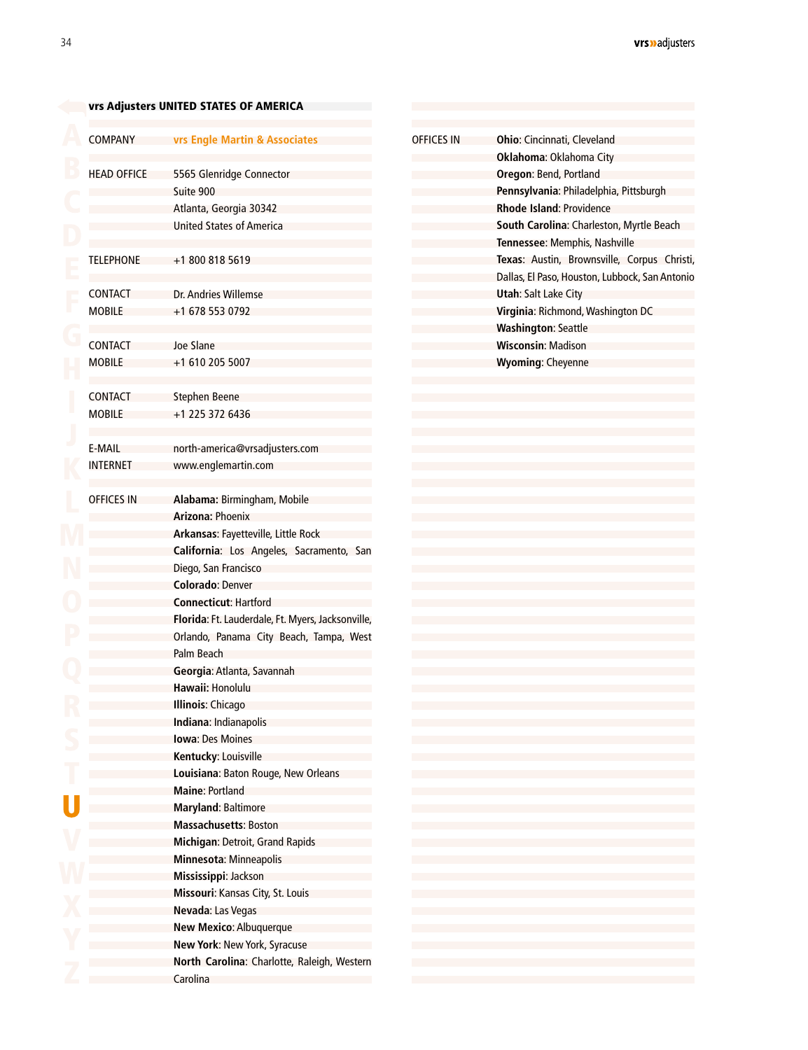<span id="page-32-0"></span>[v](#page-2-0)rs Adjusters UNITED STATES OF AMERICA

| <b>COMPANY</b>     | vrs Engle Martin & Associates                              | <b>OFFICES IN</b> | <b>Ohio: Cincinnati, Cleveland</b>                                                            |
|--------------------|------------------------------------------------------------|-------------------|-----------------------------------------------------------------------------------------------|
|                    |                                                            |                   | Oklahoma: Oklahoma City                                                                       |
| <b>HEAD OFFICE</b> | 5565 Glenridge Connector                                   |                   | Oregon: Bend, Portland                                                                        |
|                    | Suite 900                                                  |                   | Pennsylvania: Philadelphia, Pittsburgh                                                        |
|                    | Atlanta, Georgia 30342                                     |                   | <b>Rhode Island: Providence</b>                                                               |
|                    | <b>United States of America</b>                            |                   | South Carolina: Charleston, Myrtle Beach                                                      |
|                    |                                                            |                   | Tennessee: Memphis, Nashville                                                                 |
| <b>TELEPHONE</b>   | +1 800 818 5619                                            |                   | Texas: Austin, Brownsville, Corpus Christi,<br>Dallas, El Paso, Houston, Lubbock, San Antonio |
| <b>CONTACT</b>     | Dr. Andries Willemse                                       |                   | <b>Utah: Salt Lake City</b>                                                                   |
| <b>MOBILE</b>      | +1 678 553 0792                                            |                   | Virginia: Richmond, Washington DC                                                             |
|                    |                                                            |                   | <b>Washington: Seattle</b>                                                                    |
| CONTACT            | Joe Slane                                                  |                   | <b>Wisconsin: Madison</b>                                                                     |
| <b>MOBILE</b>      | +1 610 205 5007                                            |                   | <b>Wyoming: Cheyenne</b>                                                                      |
|                    |                                                            |                   |                                                                                               |
| <b>CONTACT</b>     | <b>Stephen Beene</b>                                       |                   |                                                                                               |
| <b>MOBILE</b>      | +1 225 372 6436                                            |                   |                                                                                               |
|                    |                                                            |                   |                                                                                               |
| E-MAIL             | north-america@vrsadjusters.com                             |                   |                                                                                               |
| <b>INTERNET</b>    | www.englemartin.com                                        |                   |                                                                                               |
|                    |                                                            |                   |                                                                                               |
| <b>OFFICES IN</b>  | Alabama: Birmingham, Mobile                                |                   |                                                                                               |
|                    | Arizona: Phoenix                                           |                   |                                                                                               |
|                    | Arkansas: Fayetteville, Little Rock                        |                   |                                                                                               |
|                    | California: Los Angeles, Sacramento, San                   |                   |                                                                                               |
|                    | Diego, San Francisco                                       |                   |                                                                                               |
|                    | <b>Colorado: Denver</b>                                    |                   |                                                                                               |
|                    | <b>Connecticut: Hartford</b>                               |                   |                                                                                               |
|                    | Florida: Ft. Lauderdale, Ft. Myers, Jacksonville,          |                   |                                                                                               |
|                    | Orlando, Panama City Beach, Tampa, West                    |                   |                                                                                               |
|                    | Palm Beach                                                 |                   |                                                                                               |
|                    | Georgia: Atlanta, Savannah                                 |                   |                                                                                               |
|                    | Hawaii: Honolulu                                           |                   |                                                                                               |
|                    | <b>Illinois: Chicago</b>                                   |                   |                                                                                               |
|                    | Indiana: Indianapolis                                      |                   |                                                                                               |
|                    | <b>Iowa: Des Moines</b>                                    |                   |                                                                                               |
|                    | Kentucky: Louisville                                       |                   |                                                                                               |
|                    | Louisiana: Baton Rouge, New Orleans                        |                   |                                                                                               |
|                    | <b>Maine: Portland</b>                                     |                   |                                                                                               |
|                    | <b>Maryland: Baltimore</b><br><b>Massachusetts: Boston</b> |                   |                                                                                               |
|                    | Michigan: Detroit, Grand Rapids                            |                   |                                                                                               |
|                    | Minnesota: Minneapolis                                     |                   |                                                                                               |
|                    | Mississippi: Jackson                                       |                   |                                                                                               |
|                    | Missouri: Kansas City, St. Louis                           |                   |                                                                                               |
|                    | Nevada: Las Vegas                                          |                   |                                                                                               |
|                    | New Mexico: Albuquerque                                    |                   |                                                                                               |
|                    | New York: New York, Syracuse                               |                   |                                                                                               |
|                    | North Carolina: Charlotte, Raleigh, Western                |                   |                                                                                               |
|                    | Carolina                                                   |                   |                                                                                               |
|                    |                                                            |                   |                                                                                               |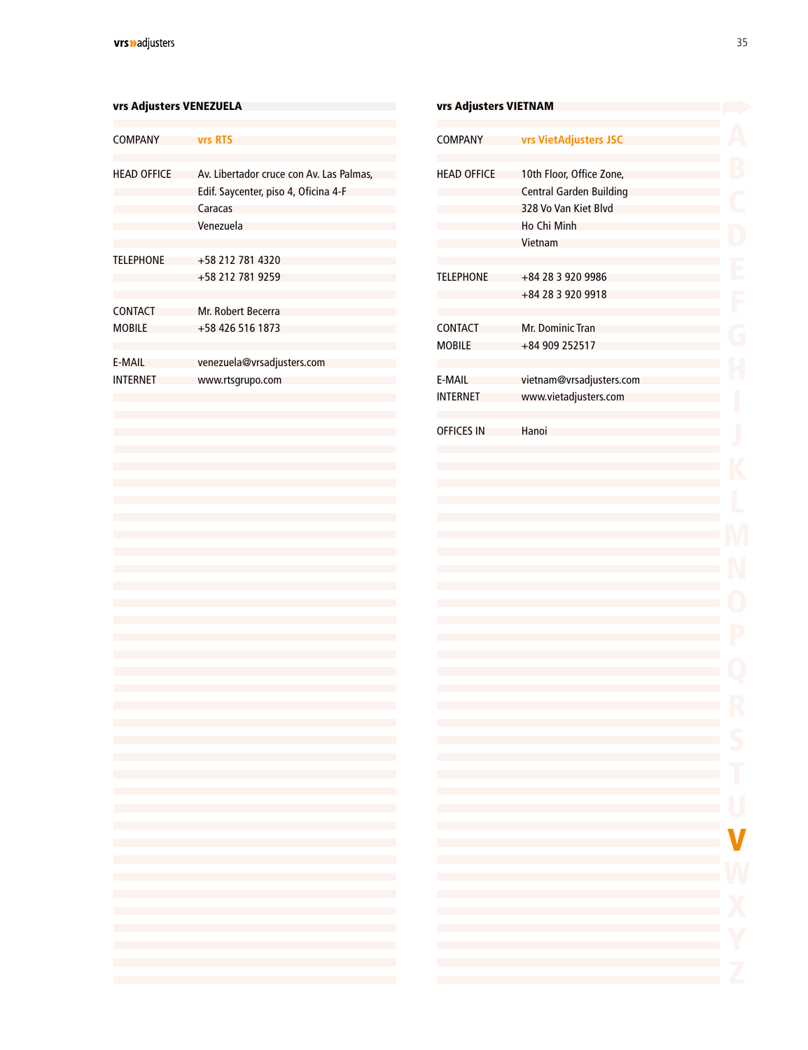### <span id="page-33-0"></span>vrs Adjusters VENEZUELA van die verskilling van die verskilling van die verskilling van die verskilling van die

| <b>COMPANY</b>                  | vrs RTS                                                                                                  |
|---------------------------------|----------------------------------------------------------------------------------------------------------|
| <b>HEAD OFFICE</b>              | Av. Libertador cruce con Av. Las Palmas,<br>Edif. Saycenter, piso 4, Oficina 4-F<br>Caracas<br>Venezuela |
| <b>TELEPHONE</b>                | +58 212 781 4320<br>+58 212 781 9259                                                                     |
| <b>CONTACT</b><br><b>MOBILE</b> | Mr. Robert Becerra<br>+58 426 516 1873                                                                   |
| E-MAIL<br><b>INTERNET</b>       | venezuela@vrsadjusters.com<br>www.rtsgrupo.com                                                           |
|                                 |                                                                                                          |

| <b>vrs Adjusters VIETNAM</b> |                                                                                                                                                                                                                    |   |
|------------------------------|--------------------------------------------------------------------------------------------------------------------------------------------------------------------------------------------------------------------|---|
| <b>COMPANY</b>               | <b>vrs VietAdjusters JSC</b>                                                                                                                                                                                       |   |
| <b>HEAD OFFICE</b>           | 10th Floor, Office Zone,                                                                                                                                                                                           |   |
|                              | <b>Central Garden Building</b><br>328 Vo Van Kiet Blvd                                                                                                                                                             |   |
|                              | Ho Chi Minh                                                                                                                                                                                                        |   |
|                              | Vietnam                                                                                                                                                                                                            |   |
|                              |                                                                                                                                                                                                                    |   |
| <b>TELEPHONE</b>             | +84 28 3 920 9986<br>+84 28 3 920 9918                                                                                                                                                                             |   |
|                              |                                                                                                                                                                                                                    |   |
| <b>CONTACT</b>               | Mr. Dominic Tran                                                                                                                                                                                                   |   |
| <b>MOBILE</b>                | +84 909 252517                                                                                                                                                                                                     |   |
| E-MAIL                       | vietnam@vrsadjusters.com                                                                                                                                                                                           |   |
| <b>INTERNET</b>              | www.vietadjusters.com                                                                                                                                                                                              |   |
|                              |                                                                                                                                                                                                                    |   |
| <b>OFFICES IN</b>            | Hanoi                                                                                                                                                                                                              |   |
|                              |                                                                                                                                                                                                                    |   |
|                              |                                                                                                                                                                                                                    |   |
|                              |                                                                                                                                                                                                                    |   |
|                              |                                                                                                                                                                                                                    |   |
|                              |                                                                                                                                                                                                                    |   |
|                              |                                                                                                                                                                                                                    |   |
|                              |                                                                                                                                                                                                                    |   |
|                              |                                                                                                                                                                                                                    |   |
|                              |                                                                                                                                                                                                                    |   |
|                              |                                                                                                                                                                                                                    |   |
|                              |                                                                                                                                                                                                                    |   |
|                              |                                                                                                                                                                                                                    |   |
|                              |                                                                                                                                                                                                                    |   |
|                              |                                                                                                                                                                                                                    |   |
|                              | the control of the control of the control of the control of the control of the control of                                                                                                                          | Г |
|                              | and the control of the control of the control of the control of the control of the control of the control of the<br>and the state of the state of the state of the state of the state of the state of the state of |   |
|                              |                                                                                                                                                                                                                    | J |
| e e                          |                                                                                                                                                                                                                    |   |
| œ                            |                                                                                                                                                                                                                    |   |
| <b>Contract</b>              | and the state of the state of the state of the state of the state of the state of the state of                                                                                                                     |   |
|                              |                                                                                                                                                                                                                    |   |
|                              |                                                                                                                                                                                                                    |   |
|                              |                                                                                                                                                                                                                    |   |
| <b>College</b>               | the control of the control of the control of the control of the control of the control of                                                                                                                          |   |
|                              |                                                                                                                                                                                                                    |   |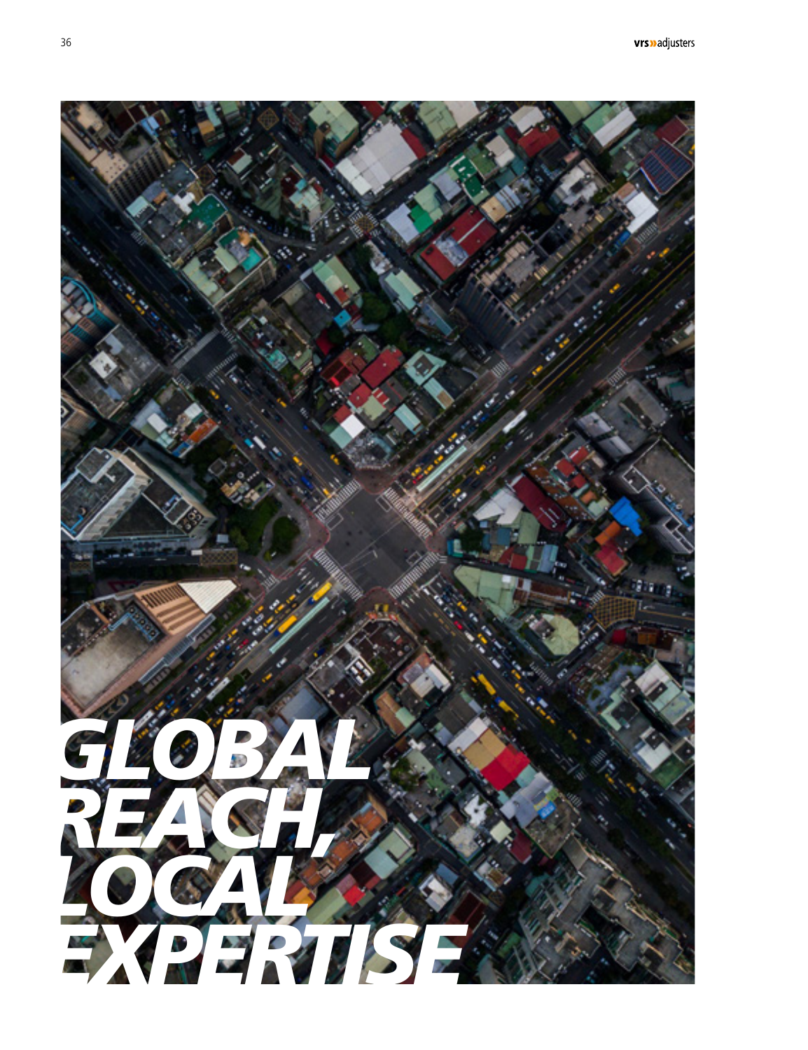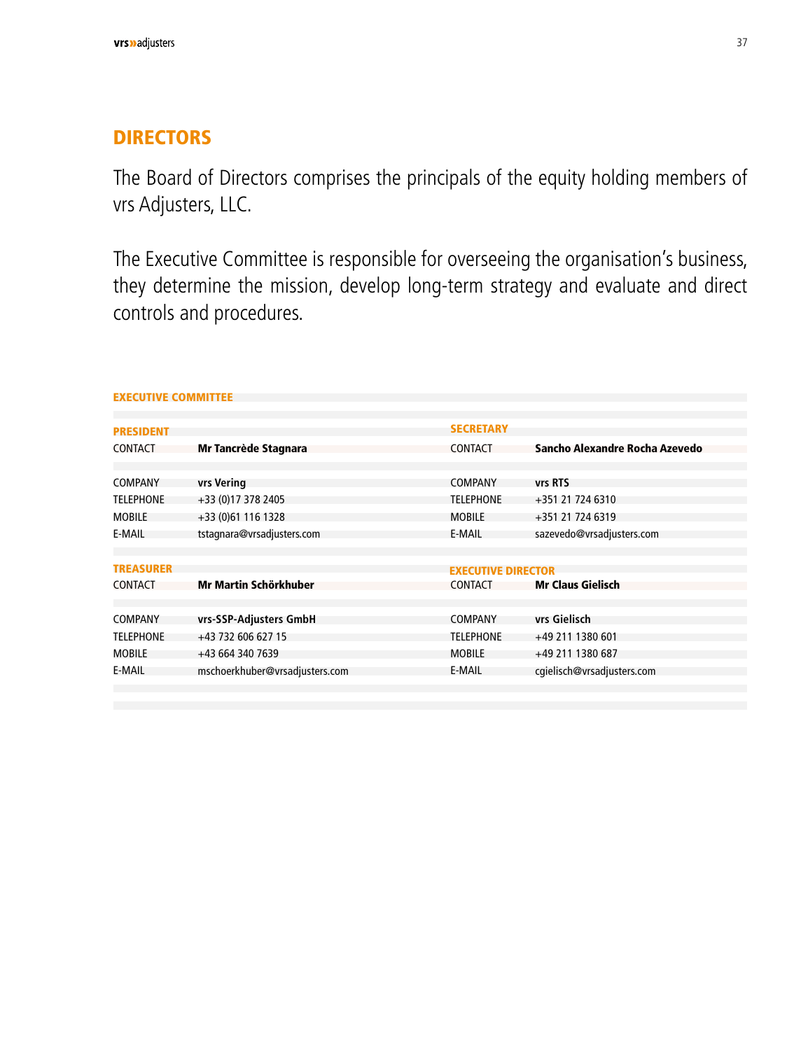### <span id="page-35-0"></span>**DIRECTORS**

The Board of Directors comprises the principals of the equity holding members of vrs Adjusters, LLC.

The Executive Committee is responsible for overseeing the organisation's business, they determine the mission, develop long-term strategy and evaluate and direct controls and procedures.

| <b>PRESIDENT</b> |                                | <b>SECRETARY</b>          |                                |
|------------------|--------------------------------|---------------------------|--------------------------------|
| CONTACT          | Mr Tancrède Stagnara           | <b>CONTACT</b>            | Sancho Alexandre Rocha Azevedo |
|                  |                                |                           |                                |
| COMPANY          | vrs Vering                     | <b>COMPANY</b>            | vrs RTS                        |
| <b>TELEPHONE</b> | +33 (0)17 378 2405             | <b>TELEPHONE</b>          | +351 21 724 6310               |
| <b>MOBILE</b>    | +33 (0)61 116 1328             | <b>MOBILE</b>             | +351 21 724 6319               |
| <b>E-MAIL</b>    | tstagnara@vrsadjusters.com     | E-MAIL                    | sazevedo@vrsadjusters.com      |
|                  |                                |                           |                                |
| <b>TREASURER</b> |                                | <b>EXECUTIVE DIRECTOR</b> |                                |
| CONTACT          | Mr Martin Schörkhuber          | CONTACT                   | <b>Mr Claus Gielisch</b>       |
|                  |                                |                           |                                |
| COMPANY          | vrs-SSP-Adjusters GmbH         | <b>COMPANY</b>            | vrs Gielisch                   |
| <b>TELEPHONE</b> | +43 732 606 627 15             | <b>TELEPHONE</b>          | +49 211 1380 601               |
| <b>MOBILE</b>    | +43 664 340 7639               | <b>MOBILE</b>             | +49 211 1380 687               |
| E-MAIL           | mschoerkhuber@vrsadjusters.com | E-MAIL                    | cgielisch@vrsadjusters.com     |
|                  |                                |                           |                                |

#### EXECUTIVE COMMITTEE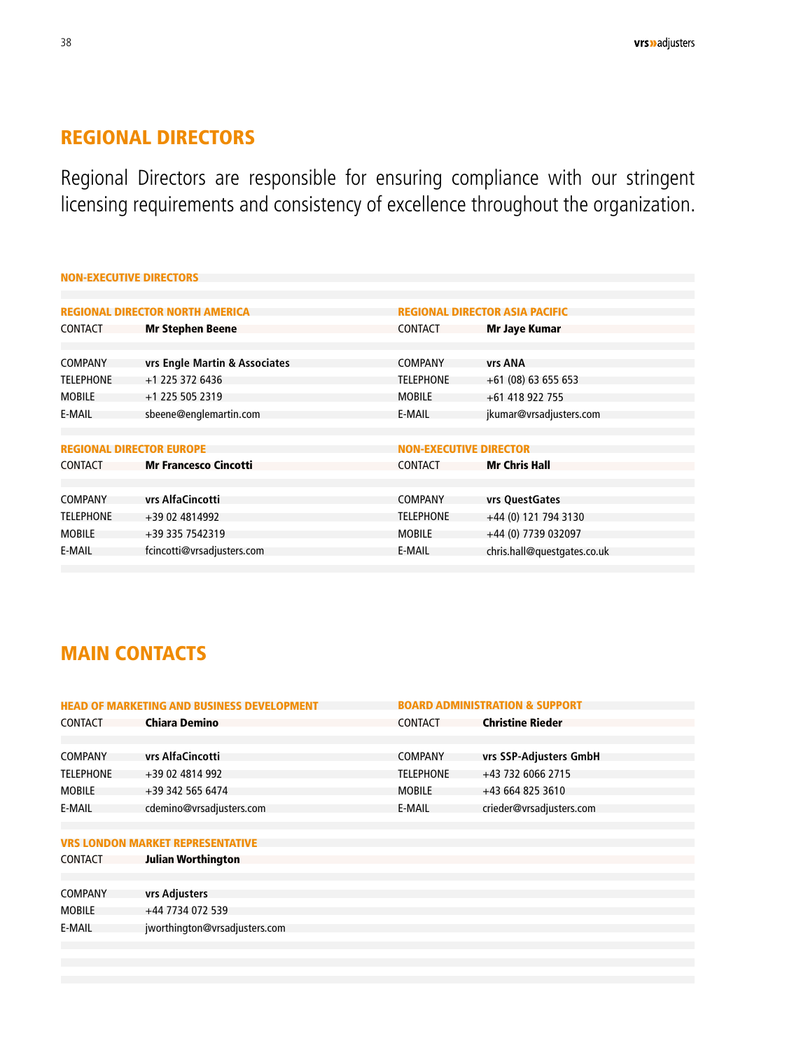### <span id="page-36-0"></span>REGIONAL DIRECTORS

Regional Directors are responsible for ensuring compliance with our stringent licensing requirements and consistency of excellence throughout the organization.

| <b>NON-EXECUTIVE DIRECTORS</b>                                                  |                               |                             |  |  |
|---------------------------------------------------------------------------------|-------------------------------|-----------------------------|--|--|
|                                                                                 |                               |                             |  |  |
| <b>REGIONAL DIRECTOR NORTH AMERICA</b><br><b>REGIONAL DIRECTOR ASIA PACIFIC</b> |                               |                             |  |  |
| <b>Mr Stephen Beene</b>                                                         | <b>CONTACT</b>                | Mr Jaye Kumar               |  |  |
|                                                                                 |                               |                             |  |  |
| vrs Engle Martin & Associates                                                   | <b>COMPANY</b>                | vrs ANA                     |  |  |
| +1 225 372 6436                                                                 | <b>TELEPHONE</b>              | $+61(08)63655653$           |  |  |
| +1 225 505 2319                                                                 | <b>MOBILE</b>                 | +61 418 922 755             |  |  |
| sbeene@englemartin.com                                                          | E-MAIL                        | jkumar@vrsadjusters.com     |  |  |
|                                                                                 |                               |                             |  |  |
| <b>REGIONAL DIRECTOR EUROPE</b>                                                 | <b>NON-EXECUTIVE DIRECTOR</b> |                             |  |  |
| <b>Mr Francesco Cincotti</b>                                                    | <b>CONTACT</b>                | <b>Mr Chris Hall</b>        |  |  |
|                                                                                 |                               |                             |  |  |
| vrs AlfaCincotti                                                                | <b>COMPANY</b>                | vrs QuestGates              |  |  |
| +39 02 4814992                                                                  | <b>TELEPHONE</b>              | +44 (0) 121 794 3130        |  |  |
| +39 335 7542319                                                                 | <b>MOBILE</b>                 | +44 (0) 7739 032097         |  |  |
| fcincotti@vrsadjusters.com                                                      | E-MAIL                        | chris.hall@questgates.co.uk |  |  |
|                                                                                 |                               |                             |  |  |

### MAIN CONTACTS

| <b>HEAD OF MARKETING AND BUSINESS DEVELOPMENT</b> |                                         |                  | <b>BOARD ADMINISTRATION &amp; SUPPORT</b> |  |
|---------------------------------------------------|-----------------------------------------|------------------|-------------------------------------------|--|
| <b>CONTACT</b>                                    | <b>Chiara Demino</b>                    | CONTACT          | <b>Christine Rieder</b>                   |  |
|                                                   |                                         |                  |                                           |  |
| <b>COMPANY</b>                                    | vrs AlfaCincotti                        | <b>COMPANY</b>   | vrs SSP-Adjusters GmbH                    |  |
| <b>TELEPHONE</b>                                  | +39 02 4814 992                         | <b>TELEPHONE</b> | +43 732 6066 2715                         |  |
| <b>MOBILE</b>                                     | +39 342 565 6474                        | <b>MOBILE</b>    | +43 664 825 3610                          |  |
| E-MAIL                                            | cdemino@vrsadjusters.com                | E-MAIL           | crieder@vrsadjusters.com                  |  |
|                                                   |                                         |                  |                                           |  |
|                                                   | <b>VRS LONDON MARKET REPRESENTATIVE</b> |                  |                                           |  |
| <b>CONTACT</b>                                    | <b>Julian Worthington</b>               |                  |                                           |  |
|                                                   |                                         |                  |                                           |  |
| COMPANY                                           | vrs Adjusters                           |                  |                                           |  |
| 100115                                            | 11.773107250                            |                  |                                           |  |

+44 7734 072 539 jworthington@vrsadjusters.com MOBILE E-MAIL